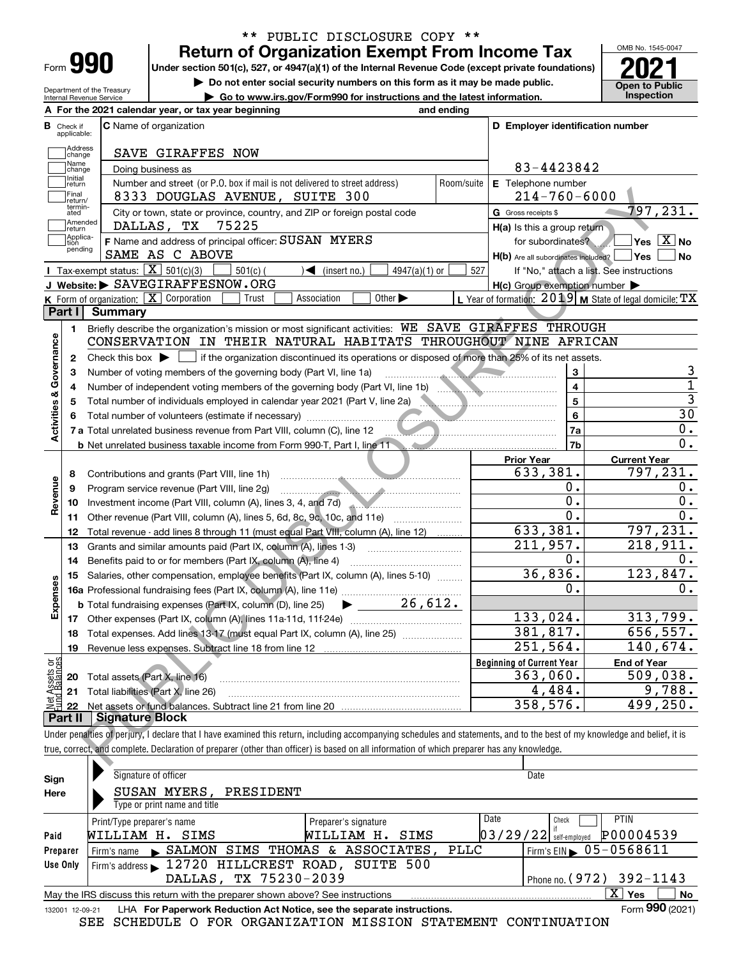| ⊦orm |  |
|------|--|

## **Return of Organization Exempt From Income Tax** \*\* PUBLIC DISCLOSURE COPY \*\*

Under section 501(c), 527, or 4947(a)(1) of the Internal Revenue Code (except private foundations) **2021** 

**| Do not enter social security numbers on this form as it may be made public.**

**| Go to www.irs.gov/Form990 for instructions and the latest information. Inspection**



Department of the Treasury Internal Revenue Service

|                               | A For the 2021 calendar year, or tax year beginning                                                                                                                        | and ending |                                                                                                                        |                                                           |
|-------------------------------|----------------------------------------------------------------------------------------------------------------------------------------------------------------------------|------------|------------------------------------------------------------------------------------------------------------------------|-----------------------------------------------------------|
| в<br>Check if<br>applicable:  | C Name of organization                                                                                                                                                     |            | D Employer identification number                                                                                       |                                                           |
| Address<br>change             | SAVE GIRAFFES NOW                                                                                                                                                          |            |                                                                                                                        |                                                           |
| Name<br>change                | Doing business as                                                                                                                                                          |            | 83-4423842                                                                                                             |                                                           |
| Initial<br>return             | Number and street (or P.O. box if mail is not delivered to street address)                                                                                                 | Room/suite | E Telephone number                                                                                                     |                                                           |
| Final<br>return/              | 8333 DOUGLAS AVENUE, SUITE 300                                                                                                                                             |            | $214 - 760 - 6000$                                                                                                     |                                                           |
| termin-<br>ated               | City or town, state or province, country, and ZIP or foreign postal code                                                                                                   |            | G Gross receipts \$                                                                                                    | 797,231.                                                  |
| Amended<br>return             | 75225<br>DALLAS, TX                                                                                                                                                        |            | H(a) Is this a group return                                                                                            |                                                           |
| Applica-<br>tion              | F Name and address of principal officer: SUSAN MYERS                                                                                                                       |            | for subordinates?                                                                                                      | $\overline{\ }$ Yes $\overline{\phantom{a}X}$ No          |
| pending                       | SAME AS C ABOVE                                                                                                                                                            |            | H(b) Are all subordinates included?                                                                                    | Yes<br>  No                                               |
|                               | Tax-exempt status: $\boxed{\mathbf{X}}$ 501(c)(3)<br>$501(c)$ (<br>$\mathcal{A}$ (insert no.)<br>$4947(a)(1)$ or                                                           | 527        |                                                                                                                        | If "No," attach a list. See instructions                  |
|                               | J Website: SAVEGIRAFFESNOW.ORG                                                                                                                                             |            | $H(c)$ Group exemption number $\blacktriangleright$                                                                    |                                                           |
|                               | K Form of organization: $\boxed{\mathbf{X}}$ Corporation<br>Association<br>Other $\blacktriangleright$<br>Trust                                                            |            |                                                                                                                        | L Year of formation: $2019$ M State of legal domicile: TX |
| Part I                        | <b>Summary</b>                                                                                                                                                             |            |                                                                                                                        |                                                           |
| 1.                            | Briefly describe the organization's mission or most significant activities: WE SAVE GIRAFFES THROUGH                                                                       |            |                                                                                                                        |                                                           |
|                               | CONSERVATION IN THEIR NATURAL HABITATS THROUGHOUT NINE AFRICAN                                                                                                             |            |                                                                                                                        |                                                           |
| 2                             | if the organization discontinued its operations or disposed of more than 25% of its net assets.<br>Check this box $\blacktriangleright$                                    |            |                                                                                                                        |                                                           |
| з                             | Number of voting members of the governing body (Part VI, line 1a)                                                                                                          |            | <u> Estados de Santiagos de la contrada de la contrada de la contrada de la contrada de la contrada de la contrada</u> | 3                                                         |
| Activities & Governance<br>4  |                                                                                                                                                                            |            | $\overline{4}$                                                                                                         | $\overline{1}$                                            |
| 5                             |                                                                                                                                                                            |            | $\overline{5}$                                                                                                         | $\overline{3}$                                            |
|                               |                                                                                                                                                                            |            | 6                                                                                                                      | $\overline{30}$                                           |
|                               | 7 a Total unrelated business revenue from Part VIII, column (C), line 12 <b>Column Contra Process</b>                                                                      |            | 7a                                                                                                                     | 0.                                                        |
|                               | <b>b</b> Net unrelated business taxable income from Form 990-T, Part I, line 11                                                                                            |            | 7 <sub>b</sub>                                                                                                         | 0.                                                        |
|                               |                                                                                                                                                                            |            | <b>Prior Year</b>                                                                                                      | <b>Current Year</b>                                       |
| 8                             | Contributions and grants (Part VIII, line 1h)                                                                                                                              |            | 633,381.                                                                                                               | 797,231.                                                  |
| Revenue<br>9                  | Program service revenue (Part VIII, line 2g)                                                                                                                               |            | 0.                                                                                                                     | 0.                                                        |
| 10                            | Investment income (Part VIII, column (A), lines 3, 4, and 7d)                                                                                                              |            | $\overline{0}$ .                                                                                                       | 0.                                                        |
| 11                            | Other revenue (Part VIII, column (A), lines 5, 6d, 8c, 9c, 10c, and 11e)                                                                                                   |            | $\overline{0}$ .                                                                                                       | 0.                                                        |
| 12                            | Total revenue - add lines 8 through 11 (must equal Part VIII, column (A), line 12)                                                                                         |            | 633,381.                                                                                                               | 797,231.                                                  |
| 13                            | Grants and similar amounts paid (Part IX, column (A), lines 1-3)                                                                                                           |            | 211,957.                                                                                                               | $\overline{218,911.}$                                     |
| 14                            | Benefits paid to or for members (Part IX, column (A), line 4)                                                                                                              |            | 0.                                                                                                                     | 0.                                                        |
| 15                            | Salaries, other compensation, employee benefits (Part IX, column (A), lines 5-10)                                                                                          |            | 36,836.                                                                                                                | 123,847.                                                  |
| Expenses                      |                                                                                                                                                                            |            | $\mathbf{0}$ .                                                                                                         | 0.                                                        |
|                               |                                                                                                                                                                            |            |                                                                                                                        |                                                           |
|                               |                                                                                                                                                                            |            | 133,024.                                                                                                               | 313,799.                                                  |
|                               | 18 Total expenses. Add lines 13-17 (must equal Part IX, column (A), line 25)                                                                                               |            | 381, 817.                                                                                                              | 656, 557.                                                 |
| 19                            | Revenue less expenses. Subtract line 18 from line 12                                                                                                                       |            | 251,564.                                                                                                               | 140,674.                                                  |
|                               |                                                                                                                                                                            |            | <b>Beginning of Current Year</b>                                                                                       | <b>End of Year</b>                                        |
| Assets or<br>d Balances<br>20 | Total assets (Part X, line 16)                                                                                                                                             |            | 363,060.                                                                                                               | 509,038.                                                  |
| 21                            | Total liabilities (Part X, line 26)                                                                                                                                        |            | 4,484.                                                                                                                 | 9,788.                                                    |
| 22                            | Net assets or fund balances. Subtract line 21 from line 20                                                                                                                 |            | 358,576.                                                                                                               | 499,250.                                                  |
| Part II                       | <b>Signature Block</b>                                                                                                                                                     |            |                                                                                                                        |                                                           |
|                               | Under penalties of perjury, I declare that I have examined this return, including accompanying schedules and statements, and to the best of my knowledge and belief, it is |            |                                                                                                                        |                                                           |
|                               | true, correct, and complete. Declaration of preparer (other than officer) is based on all information of which preparer has any knowledge.                                 |            |                                                                                                                        |                                                           |
|                               |                                                                                                                                                                            |            |                                                                                                                        |                                                           |
| Sign                          | Signature of officer                                                                                                                                                       |            | Date                                                                                                                   |                                                           |
| Here                          | SUSAN MYERS PRESIDENT                                                                                                                                                      |            |                                                                                                                        |                                                           |

| Here            | SUSAN MYERS, PRESIDENT                                                          |                      |                          |                                            |
|-----------------|---------------------------------------------------------------------------------|----------------------|--------------------------|--------------------------------------------|
|                 | Type or print name and title                                                    |                      |                          |                                            |
|                 | Print/Type preparer's name                                                      | Preparer's signature | Date<br>Check            | <b>PTIN</b>                                |
| Paid            | WILLIAM H. SIMS                                                                 | WILLIAM H.<br>SIMS   | $03/29/22$ self-employed | P00004539                                  |
| Preparer        | Firm's name SALMON SIMS THOMAS & ASSOCIATES,                                    |                      | PLLC                     | $1$ Firm's EIN $\triangleright$ 05-0568611 |
| Use Only        | Firm's address 12720 HILLCREST ROAD, SUITE 500                                  |                      |                          |                                            |
|                 | DALLAS, TX 75230-2039                                                           |                      |                          | Phone no. (972) 392-1143                   |
|                 | May the IRS discuss this return with the preparer shown above? See instructions |                      |                          | $\mathbf{X}$<br><b>No</b><br>Yes           |
| 132001 12-09-21 | LHA For Paperwork Reduction Act Notice, see the separate instructions.          |                      |                          | Form 990 (2021)                            |
|                 | SCHEDULE O FOR ORGANIZATION MISSION STATEMENT CONTINUATION<br>SEE               |                      |                          |                                            |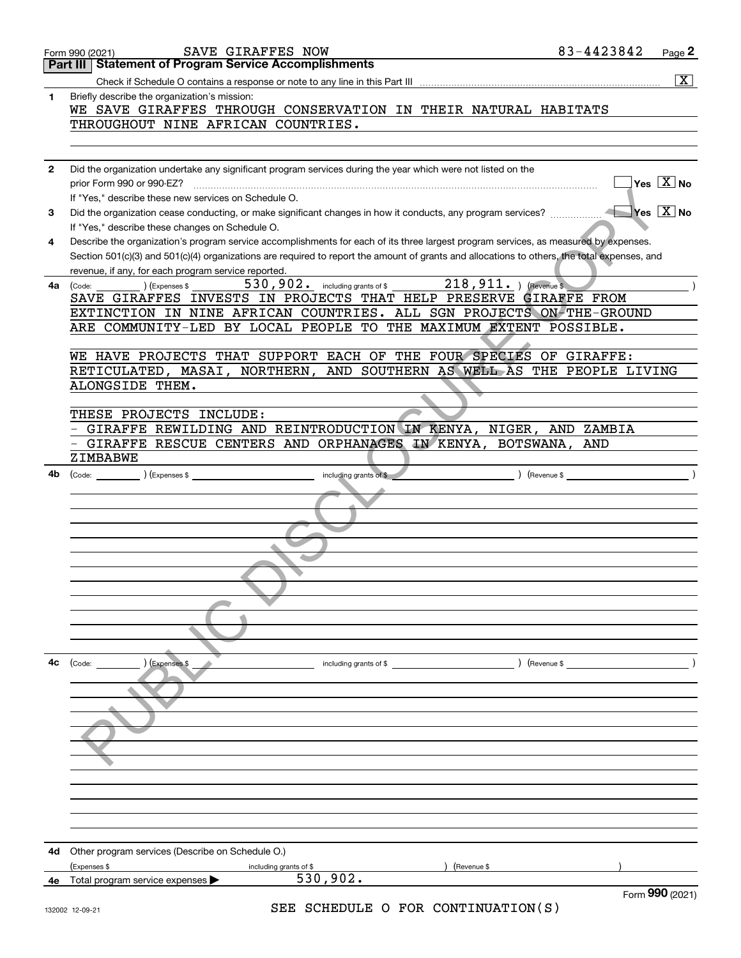|              | SAVE GIRAFFES NOW<br>Form 990 (2021)                                                                                                                                                                                                                                                                                                                                                                                                                    | 83-4423842     | Page 2                            |
|--------------|---------------------------------------------------------------------------------------------------------------------------------------------------------------------------------------------------------------------------------------------------------------------------------------------------------------------------------------------------------------------------------------------------------------------------------------------------------|----------------|-----------------------------------|
|              | <b>Part III Statement of Program Service Accomplishments</b>                                                                                                                                                                                                                                                                                                                                                                                            |                |                                   |
|              |                                                                                                                                                                                                                                                                                                                                                                                                                                                         |                | $\overline{\mathbf{X}}$           |
| 1.           | Briefly describe the organization's mission:                                                                                                                                                                                                                                                                                                                                                                                                            |                |                                   |
|              | WE SAVE GIRAFFES THROUGH CONSERVATION IN THEIR NATURAL HABITATS                                                                                                                                                                                                                                                                                                                                                                                         |                |                                   |
|              | THROUGHOUT NINE AFRICAN COUNTRIES.                                                                                                                                                                                                                                                                                                                                                                                                                      |                |                                   |
|              |                                                                                                                                                                                                                                                                                                                                                                                                                                                         |                |                                   |
| $\mathbf{2}$ | Did the organization undertake any significant program services during the year which were not listed on the                                                                                                                                                                                                                                                                                                                                            |                |                                   |
|              | prior Form 990 or 990-EZ?                                                                                                                                                                                                                                                                                                                                                                                                                               |                | $Yes \sqrt{X}$ No                 |
|              | If "Yes," describe these new services on Schedule O.                                                                                                                                                                                                                                                                                                                                                                                                    |                |                                   |
| 3            |                                                                                                                                                                                                                                                                                                                                                                                                                                                         |                | $\gamma$ es $\boxed{\text{X}}$ No |
|              | If "Yes," describe these changes on Schedule O.                                                                                                                                                                                                                                                                                                                                                                                                         |                |                                   |
| 4            | Describe the organization's program service accomplishments for each of its three largest program services, as measured by expenses.                                                                                                                                                                                                                                                                                                                    |                |                                   |
|              | Section 501(c)(3) and 501(c)(4) organizations are required to report the amount of grants and allocations to others, the total expenses, and                                                                                                                                                                                                                                                                                                            |                |                                   |
|              | revenue, if any, for each program service reported.                                                                                                                                                                                                                                                                                                                                                                                                     |                |                                   |
| 4a           | 530,902. including grants of \$218,911. ) (Revenue \$<br>) (Expenses \$<br>(Code:                                                                                                                                                                                                                                                                                                                                                                       |                |                                   |
|              | SAVE GIRAFFES INVESTS IN PROJECTS THAT HELP PRESERVE GIRAFFE FROM                                                                                                                                                                                                                                                                                                                                                                                       |                |                                   |
|              | EXTINCTION IN NINE AFRICAN COUNTRIES. ALL SGN PROJECTS ON-THE-GROUND                                                                                                                                                                                                                                                                                                                                                                                    |                |                                   |
|              | ARE COMMUNITY-LED BY LOCAL PEOPLE TO THE MAXIMUM EXTENT POSSIBLE.                                                                                                                                                                                                                                                                                                                                                                                       |                |                                   |
|              |                                                                                                                                                                                                                                                                                                                                                                                                                                                         |                |                                   |
|              | WE HAVE PROJECTS THAT SUPPORT EACH OF THE FOUR SPECIES OF GIRAFFE:<br>RETICULATED, MASAI, NORTHERN, AND SOUTHERN AS WELL AS THE PEOPLE LIVING                                                                                                                                                                                                                                                                                                           |                |                                   |
|              | ALONGSIDE THEM.                                                                                                                                                                                                                                                                                                                                                                                                                                         |                |                                   |
|              |                                                                                                                                                                                                                                                                                                                                                                                                                                                         |                |                                   |
|              | THESE PROJECTS INCLUDE:                                                                                                                                                                                                                                                                                                                                                                                                                                 |                |                                   |
|              | GIRAFFE REWILDING AND REINTRODUCTION IN KENYA, NIGER, AND ZAMBIA                                                                                                                                                                                                                                                                                                                                                                                        |                |                                   |
|              | - GIRAFFE RESCUE CENTERS AND ORPHANAGES IN KENYA, BOTSWANA, AND                                                                                                                                                                                                                                                                                                                                                                                         |                |                                   |
|              | ZIMBABWE                                                                                                                                                                                                                                                                                                                                                                                                                                                |                |                                   |
| 4b           | $\begin{pmatrix} \text{Code:} & \text{I} & \text{I} & \text{I} & \text{I} & \text{I} & \text{I} & \text{I} & \text{I} & \text{I} & \text{I} & \text{I} & \text{I} & \text{I} & \text{I} & \text{I} & \text{I} & \text{I} & \text{I} & \text{I} & \text{I} & \text{I} & \text{I} & \text{I} & \text{I} & \text{I} & \text{I} & \text{I} & \text{I} & \text{I} & \text{I} & \text{I} & \text{I} & \text{I} & \text{I} & \text{$<br>including grants of \$ | $($ Revenue \$ |                                   |
|              |                                                                                                                                                                                                                                                                                                                                                                                                                                                         |                |                                   |
|              |                                                                                                                                                                                                                                                                                                                                                                                                                                                         |                |                                   |
|              |                                                                                                                                                                                                                                                                                                                                                                                                                                                         |                |                                   |
|              |                                                                                                                                                                                                                                                                                                                                                                                                                                                         |                |                                   |
|              |                                                                                                                                                                                                                                                                                                                                                                                                                                                         |                |                                   |
|              |                                                                                                                                                                                                                                                                                                                                                                                                                                                         |                |                                   |
|              |                                                                                                                                                                                                                                                                                                                                                                                                                                                         |                |                                   |
|              |                                                                                                                                                                                                                                                                                                                                                                                                                                                         |                |                                   |
|              |                                                                                                                                                                                                                                                                                                                                                                                                                                                         |                |                                   |
|              |                                                                                                                                                                                                                                                                                                                                                                                                                                                         |                |                                   |
|              |                                                                                                                                                                                                                                                                                                                                                                                                                                                         |                |                                   |
| 4c           | ) (Expenses \$<br>) (Revenue \$<br>(Code:<br>including grants of \$                                                                                                                                                                                                                                                                                                                                                                                     |                |                                   |
|              |                                                                                                                                                                                                                                                                                                                                                                                                                                                         |                |                                   |
|              |                                                                                                                                                                                                                                                                                                                                                                                                                                                         |                |                                   |
|              |                                                                                                                                                                                                                                                                                                                                                                                                                                                         |                |                                   |
|              |                                                                                                                                                                                                                                                                                                                                                                                                                                                         |                |                                   |
|              |                                                                                                                                                                                                                                                                                                                                                                                                                                                         |                |                                   |
|              |                                                                                                                                                                                                                                                                                                                                                                                                                                                         |                |                                   |
|              |                                                                                                                                                                                                                                                                                                                                                                                                                                                         |                |                                   |
|              |                                                                                                                                                                                                                                                                                                                                                                                                                                                         |                |                                   |
|              |                                                                                                                                                                                                                                                                                                                                                                                                                                                         |                |                                   |
|              |                                                                                                                                                                                                                                                                                                                                                                                                                                                         |                |                                   |
|              |                                                                                                                                                                                                                                                                                                                                                                                                                                                         |                |                                   |
| 4d           | Other program services (Describe on Schedule O.)                                                                                                                                                                                                                                                                                                                                                                                                        |                |                                   |
|              | (Expenses \$<br>including grants of \$<br>(Revenue \$                                                                                                                                                                                                                                                                                                                                                                                                   |                |                                   |
| 4e           | 530,902.<br>Total program service expenses                                                                                                                                                                                                                                                                                                                                                                                                              |                |                                   |
|              |                                                                                                                                                                                                                                                                                                                                                                                                                                                         |                | Form 990 (2021)                   |
|              | SEE SCHEDIILE O FOR CONTINUATION(S)                                                                                                                                                                                                                                                                                                                                                                                                                     |                |                                   |

SEE SCHEDULE O FOR CONTINUATION(S)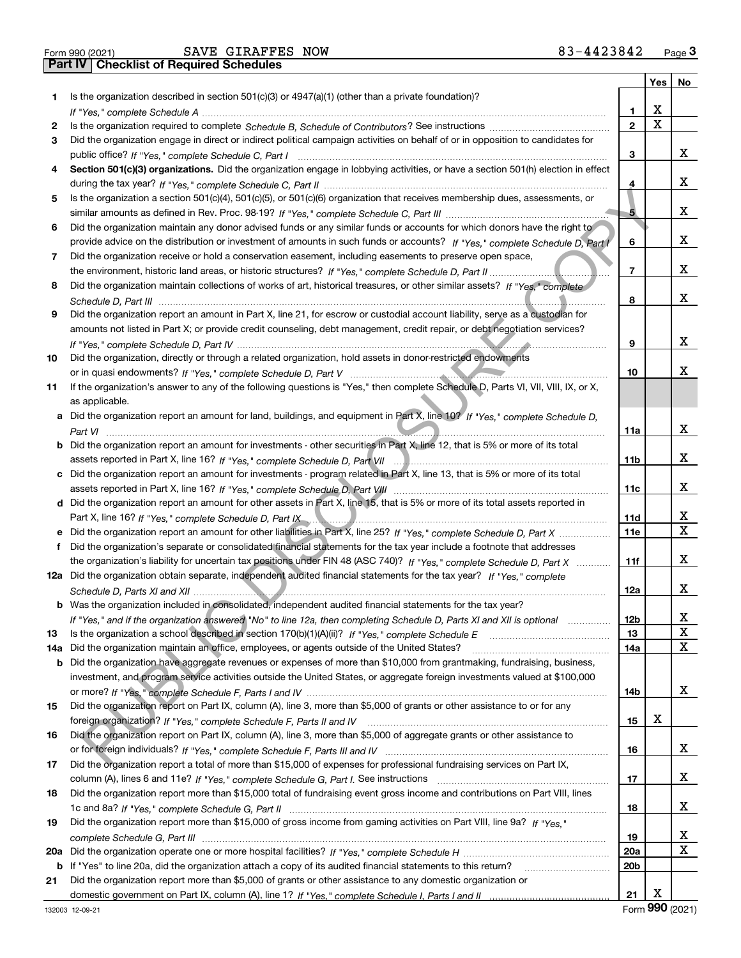|  | Form 990 (2021) |
|--|-----------------|

|     |                                                                                                                                                 |                 | Yes | No |
|-----|-------------------------------------------------------------------------------------------------------------------------------------------------|-----------------|-----|----|
| 1.  | Is the organization described in section $501(c)(3)$ or $4947(a)(1)$ (other than a private foundation)?                                         |                 |     |    |
|     |                                                                                                                                                 | 1               | х   |    |
| 2   |                                                                                                                                                 | $\mathbf{2}$    | x   |    |
| 3   | Did the organization engage in direct or indirect political campaign activities on behalf of or in opposition to candidates for                 |                 |     |    |
|     |                                                                                                                                                 | 3               |     | х  |
| 4   | Section 501(c)(3) organizations. Did the organization engage in lobbying activities, or have a section 501(h) election in effect                |                 |     |    |
|     |                                                                                                                                                 | 4               |     | x  |
| 5   | Is the organization a section 501(c)(4), 501(c)(5), or 501(c)(6) organization that receives membership dues, assessments, or                    |                 |     |    |
|     |                                                                                                                                                 | 5.              |     | x  |
| 6   | Did the organization maintain any donor advised funds or any similar funds or accounts for which donors have the right to                       |                 |     |    |
|     | provide advice on the distribution or investment of amounts in such funds or accounts? If "Yes," complete Schedule D, Part I                    | 6               |     | x  |
| 7   | Did the organization receive or hold a conservation easement, including easements to preserve open space,                                       |                 |     |    |
|     | the environment, historic land areas, or historic structures? If "Yes," complete Schedule D, Part II                                            | 7               |     | x  |
| 8   | Did the organization maintain collections of works of art, historical treasures, or other similar assets? If "Yes," complete                    |                 |     |    |
|     |                                                                                                                                                 | 8               |     | x  |
| 9   | Did the organization report an amount in Part X, line 21, for escrow or custodial account liability, serve as a custodian for                   |                 |     |    |
|     | amounts not listed in Part X; or provide credit counseling, debt management, credit repair, or debt negotiation services?                       |                 |     | x  |
|     |                                                                                                                                                 | 9               |     |    |
| 10  | Did the organization, directly or through a related organization, hold assets in donor-restricted endowments                                    |                 |     | x  |
|     |                                                                                                                                                 | 10              |     |    |
| 11  | If the organization's answer to any of the following questions is "Yes," then complete Schedule D, Parts VI, VII, VIII, IX, or X,               |                 |     |    |
|     | as applicable.<br>a Did the organization report an amount for land, buildings, and equipment in Part X, line 10? If "Yes," complete Schedule D, |                 |     |    |
|     |                                                                                                                                                 |                 |     | x  |
|     | Did the organization report an amount for investments - other securities in Part X, line 12, that is 5% or more of its total                    | 11a             |     |    |
|     |                                                                                                                                                 | 11 <sub>b</sub> |     | x  |
|     | c Did the organization report an amount for investments - program related in Part X, line 13, that is 5% or more of its total                   |                 |     |    |
|     |                                                                                                                                                 | 11c             |     | x  |
|     | d Did the organization report an amount for other assets in Part X, line 15, that is 5% or more of its total assets reported in                 |                 |     |    |
|     |                                                                                                                                                 | <b>11d</b>      |     | x  |
|     |                                                                                                                                                 | <b>11e</b>      |     | x  |
| f   | Did the organization's separate or consolidated financial statements for the tax year include a footnote that addresses                         |                 |     |    |
|     | the organization's liability for uncertain tax positions under FIN 48 (ASC 740)? If "Yes," complete Schedule D, Part X                          | 11f             |     | x  |
|     | 12a Did the organization obtain separate, independent audited financial statements for the tax year? If "Yes," complete                         |                 |     |    |
|     | Schedule D, Parts XI and XII                                                                                                                    | 12a             |     | х  |
|     | <b>b</b> Was the organization included in consolidated, independent audited financial statements for the tax year?                              |                 |     |    |
|     | If "Yes," and if the organization answered "No" to line 12a, then completing Schedule D, Parts XI and XII is optional metalling                 | 12 <sub>b</sub> |     | х  |
| 13  | Is the organization a school described in section $170(b)(1)(A)(ii)?$ If "Yes," complete Schedule E                                             | 13              |     | X  |
| 14a | Did the organization maintain an office, employees, or agents outside of the United States?                                                     | 14a             |     | x  |
|     | <b>b</b> Did the organization have aggregate revenues or expenses of more than \$10,000 from grantmaking, fundraising, business,                |                 |     |    |
|     | investment, and program service activities outside the United States, or aggregate foreign investments valued at \$100,000                      |                 |     |    |
|     |                                                                                                                                                 | 14b             |     | X. |
| 15  | Did the organization report on Part IX, column (A), line 3, more than \$5,000 of grants or other assistance to or for any                       |                 |     |    |
|     |                                                                                                                                                 | 15              | х   |    |
| 16  | Did the organization report on Part IX, column (A), line 3, more than \$5,000 of aggregate grants or other assistance to                        |                 |     |    |
|     |                                                                                                                                                 | 16              |     | X. |
| 17  | Did the organization report a total of more than \$15,000 of expenses for professional fundraising services on Part IX,                         |                 |     |    |
|     |                                                                                                                                                 | 17              |     | X. |
| 18  | Did the organization report more than \$15,000 total of fundraising event gross income and contributions on Part VIII, lines                    |                 |     |    |
|     |                                                                                                                                                 | 18              |     | X. |
| 19  | Did the organization report more than \$15,000 of gross income from gaming activities on Part VIII, line 9a? If "Yes."                          |                 |     |    |
|     |                                                                                                                                                 | 19              |     | x  |
| 20a |                                                                                                                                                 | 20a             |     | х  |
| b   | If "Yes" to line 20a, did the organization attach a copy of its audited financial statements to this return?                                    | 20 <sub>b</sub> |     |    |
| 21  | Did the organization report more than \$5,000 of grants or other assistance to any domestic organization or                                     |                 |     |    |
|     |                                                                                                                                                 | 21              | x   |    |

Form (2021) **990**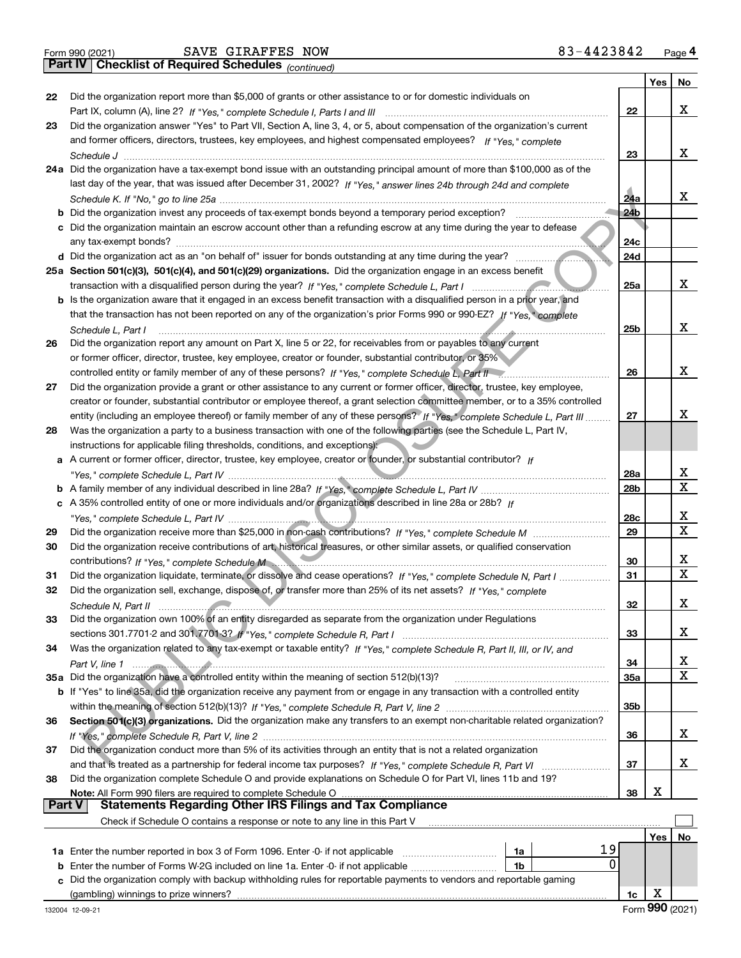|  | Form 990 (2021) |
|--|-----------------|
|  |                 |

*(continued)*

|               |                                                                                                                                   |                 | Yes | No     |
|---------------|-----------------------------------------------------------------------------------------------------------------------------------|-----------------|-----|--------|
| 22            | Did the organization report more than \$5,000 of grants or other assistance to or for domestic individuals on                     |                 |     |        |
|               |                                                                                                                                   | 22              |     | х      |
| 23            | Did the organization answer "Yes" to Part VII, Section A, line 3, 4, or 5, about compensation of the organization's current       |                 |     |        |
|               | and former officers, directors, trustees, key employees, and highest compensated employees? If "Yes," complete                    |                 |     |        |
|               |                                                                                                                                   | 23              |     | x      |
|               | 24a Did the organization have a tax-exempt bond issue with an outstanding principal amount of more than \$100,000 as of the       |                 |     |        |
|               | last day of the year, that was issued after December 31, 2002? If "Yes," answer lines 24b through 24d and complete                |                 |     |        |
|               |                                                                                                                                   | 24a             |     | x      |
|               | <b>b</b> Did the organization invest any proceeds of tax-exempt bonds beyond a temporary period exception?                        | 24 <sub>b</sub> |     |        |
|               | c Did the organization maintain an escrow account other than a refunding escrow at any time during the year to defease            |                 |     |        |
|               |                                                                                                                                   | 24c             |     |        |
|               |                                                                                                                                   | 24d             |     |        |
|               | 25a Section 501(c)(3), 501(c)(4), and 501(c)(29) organizations. Did the organization engage in an excess benefit                  |                 |     |        |
|               |                                                                                                                                   | 25a             |     | х      |
|               | b Is the organization aware that it engaged in an excess benefit transaction with a disqualified person in a prior year, and      |                 |     |        |
|               | that the transaction has not been reported on any of the organization's prior Forms 990 or 990-EZ? If "Yes "complete              |                 |     |        |
|               | Schedule L. Part I                                                                                                                | 25b             |     | х      |
| 26            | Did the organization report any amount on Part X, line 5 or 22, for receivables from or payables to any current                   |                 |     |        |
|               | or former officer, director, trustee, key employee, creator or founder, substantial contributor, or 35%                           |                 |     |        |
|               | controlled entity or family member of any of these persons? If "Yes," complete Schedule L, Part II Museum controlled              | 26              |     | х      |
| 27            | Did the organization provide a grant or other assistance to any current or former officer, director, trustee, key employee,       |                 |     |        |
|               | creator or founder, substantial contributor or employee thereof, a grant selection committee member, or to a 35% controlled       |                 |     |        |
|               | entity (including an employee thereof) or family member of any of these persons? If "Yes," complete Schedule L, Part III          | 27              |     | х      |
| 28            | Was the organization a party to a business transaction with one of the following parties (see the Schedule L, Part IV,            |                 |     |        |
|               | instructions for applicable filing thresholds, conditions, and exceptions):                                                       |                 |     |        |
|               | a A current or former officer, director, trustee, key employee, creator or founder, or substantial contributor? If                |                 |     |        |
|               |                                                                                                                                   | 28a             |     | х      |
|               |                                                                                                                                   | 28 <sub>b</sub> |     | х      |
|               | c A 35% controlled entity of one or more individuals and/or organizations described in line 28a or 28b? If                        |                 |     |        |
|               |                                                                                                                                   | 28c             |     | х<br>х |
| 29            |                                                                                                                                   | 29              |     |        |
| 30            | Did the organization receive contributions of art, historical treasures, or other similar assets, or qualified conservation       |                 |     | х      |
|               |                                                                                                                                   | 30              |     | х      |
| 31            | Did the organization liquidate, terminate, or dissolve and cease operations? If "Yes," complete Schedule N, Part I                | 31              |     |        |
| 32            | Did the organization sell, exchange, dispose of, or transfer more than 25% of its net assets? If "Yes," complete                  |                 |     | х      |
|               | Schedule N, Part II<br>Did the organization own 100% of an entity disregarded as separate from the organization under Regulations | 32              |     |        |
| 33            |                                                                                                                                   | 33              |     | x      |
|               |                                                                                                                                   |                 |     |        |
| 34            | Was the organization related to any tax-exempt or taxable entity? If "Yes," complete Schedule R, Part II, III, or IV, and         | 34              |     | x      |
|               |                                                                                                                                   | <b>35a</b>      |     | х      |
|               | b If "Yes" to line 35a, did the organization receive any payment from or engage in any transaction with a controlled entity       |                 |     |        |
|               |                                                                                                                                   | 35b             |     |        |
| 36            | Section 501(c)(3) organizations. Did the organization make any transfers to an exempt non-charitable related organization?        |                 |     |        |
|               |                                                                                                                                   | 36              |     | X      |
| 37            | Did the organization conduct more than 5% of its activities through an entity that is not a related organization                  |                 |     |        |
|               |                                                                                                                                   | 37              |     | X.     |
| 38            | Did the organization complete Schedule O and provide explanations on Schedule O for Part VI, lines 11b and 19?                    |                 |     |        |
|               | Note: All Form 990 filers are required to complete Schedule O                                                                     | 38              | х   |        |
| <b>Part V</b> | <b>Statements Regarding Other IRS Filings and Tax Compliance</b>                                                                  |                 |     |        |
|               | Check if Schedule O contains a response or note to any line in this Part V                                                        |                 |     |        |
|               |                                                                                                                                   |                 | Yes | No     |
|               | 19<br>1a                                                                                                                          |                 |     |        |
| b             | 0<br>Enter the number of Forms W-2G included on line 1a. Enter -0- if not applicable<br>1b                                        |                 |     |        |
| c             | Did the organization comply with backup withholding rules for reportable payments to vendors and reportable gaming                |                 |     |        |
|               | (gambling) winnings to prize winners?                                                                                             | 1c              | х   |        |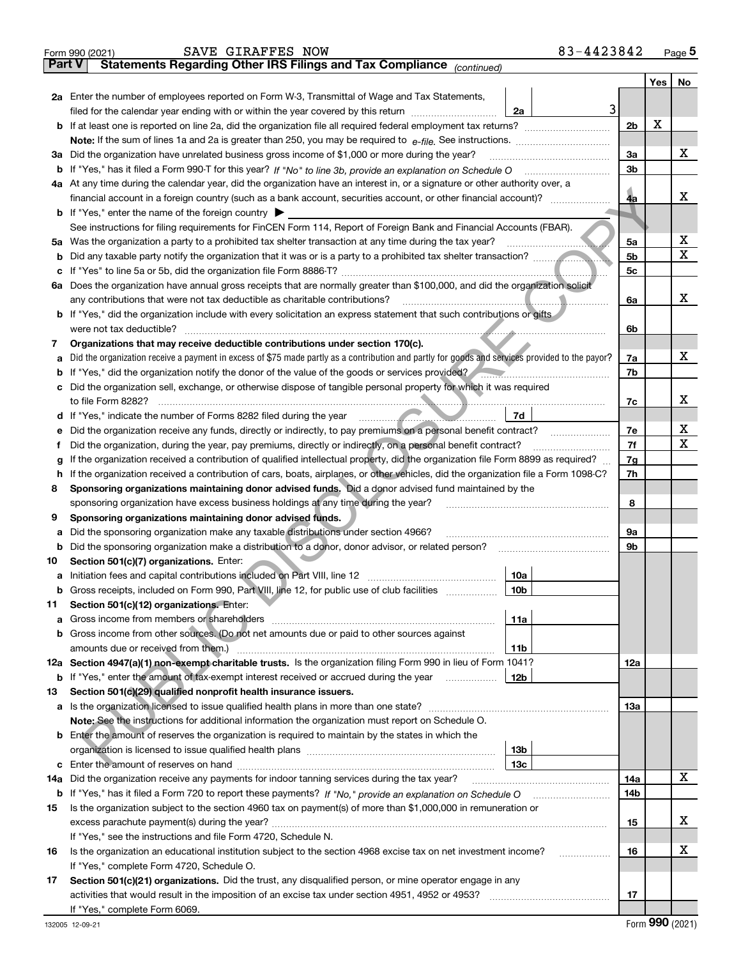|               | 83-4423842<br>SAVE GIRAFFES NOW<br>Form 990 (2021)                                                                                                                                                                                                                                                                |                |     | Page $5$ |
|---------------|-------------------------------------------------------------------------------------------------------------------------------------------------------------------------------------------------------------------------------------------------------------------------------------------------------------------|----------------|-----|----------|
| <b>Part V</b> | Statements Regarding Other IRS Filings and Tax Compliance (continued)                                                                                                                                                                                                                                             |                |     |          |
|               |                                                                                                                                                                                                                                                                                                                   |                | Yes | No       |
|               | 2a Enter the number of employees reported on Form W-3, Transmittal of Wage and Tax Statements,                                                                                                                                                                                                                    |                |     |          |
|               | filed for the calendar year ending with or within the year covered by this return www.communities<br>2a                                                                                                                                                                                                           | 3              |     |          |
|               |                                                                                                                                                                                                                                                                                                                   | 2 <sub>b</sub> | X   |          |
|               | Note: If the sum of lines 1a and 2a is greater than 250, you may be required to $e$ -file. See instructions. $\ldots$ $\ldots$ $\ldots$ $\ldots$ $\ldots$ $\ldots$ $\ldots$ $\ldots$ $\ldots$ $\ldots$ $\ldots$ $\ldots$ $\ldots$ $\ldots$ $\ldots$ $\ldots$ $\ldots$ $\ldots$ $\ldots$                           |                |     |          |
|               | 3a Did the organization have unrelated business gross income of \$1,000 or more during the year?                                                                                                                                                                                                                  | 3a             |     | x        |
|               | b If "Yes," has it filed a Form 990-T for this year? If "No" to line 3b, provide an explanation on Schedule O                                                                                                                                                                                                     | 3 <sub>b</sub> |     |          |
|               | 4a At any time during the calendar year, did the organization have an interest in, or a signature or other authority over, a                                                                                                                                                                                      |                |     |          |
|               |                                                                                                                                                                                                                                                                                                                   | 4a             |     | x        |
|               | <b>b</b> If "Yes," enter the name of the foreign country $\triangleright$                                                                                                                                                                                                                                         |                |     |          |
|               | See instructions for filing requirements for FinCEN Form 114, Report of Foreign Bank and Financial Accounts (FBAR).                                                                                                                                                                                               |                |     |          |
|               | 5a Was the organization a party to a prohibited tax shelter transaction at any time during the tax year?                                                                                                                                                                                                          | 5a             |     | X        |
| b             | Did any taxable party notify the organization that it was or is a party to a prohibited tax shelter transaction?                                                                                                                                                                                                  | 5 <sub>b</sub> |     | X        |
| c             |                                                                                                                                                                                                                                                                                                                   | 5c             |     |          |
| 6a            | Does the organization have annual gross receipts that are normally greater than \$100,000, and did the organization solicit                                                                                                                                                                                       |                |     |          |
|               | any contributions that were not tax deductible as charitable contributions?                                                                                                                                                                                                                                       | 6a             |     | x        |
|               | <b>b</b> If "Yes," did the organization include with every solicitation an express statement that such contributions or gifts                                                                                                                                                                                     |                |     |          |
|               | were not tax deductible?                                                                                                                                                                                                                                                                                          | 6b             |     |          |
| 7             | Organizations that may receive deductible contributions under section 170(c).                                                                                                                                                                                                                                     |                |     |          |
| a             | Did the organization receive a payment in excess of \$75 made partly as a contribution and partly for goods and services provided to the payor?                                                                                                                                                                   | 7a             |     | x        |
| b             | If "Yes," did the organization notify the donor of the value of the goods or services provided?                                                                                                                                                                                                                   | 7b             |     |          |
| c             | Did the organization sell, exchange, or otherwise dispose of tangible personal property for which it was required                                                                                                                                                                                                 |                |     |          |
|               | to file Form 8282?                                                                                                                                                                                                                                                                                                | 7с             |     | x        |
|               | d If "Yes," indicate the number of Forms 8282 filed during the year<br>7d<br><u> Estados de San Antonio de San Antonio de San Antonio de San Antonio de San Antonio de San Antonio de San Antonio de San Antonio de San Antonio de San Antonio de San Antonio de San Antonio de San Antonio de San Antonio de</u> |                |     |          |
| е             | Did the organization receive any funds, directly or indirectly, to pay premiums on a personal benefit contract?                                                                                                                                                                                                   | 7e             |     | х        |
| f             | Did the organization, during the year, pay premiums, directly or indirectly, on a personal benefit contract?                                                                                                                                                                                                      | 7f             |     | X        |
| g             | If the organization received a contribution of qualified intellectual property, did the organization file Form 8899 as required?                                                                                                                                                                                  | 7g             |     |          |
| h.            | If the organization received a contribution of cars, boats, airplanes, or other vehicles, did the organization file a Form 1098-C?                                                                                                                                                                                | 7h             |     |          |
| 8             | Sponsoring organizations maintaining donor advised funds. Did a donor advised fund maintained by the                                                                                                                                                                                                              |                |     |          |
|               | sponsoring organization have excess business holdings at any time during the year?                                                                                                                                                                                                                                | 8              |     |          |
| 9             | Sponsoring organizations maintaining donor advised funds.                                                                                                                                                                                                                                                         |                |     |          |
| а             | Did the sponsoring organization make any taxable distributions under section 4966?                                                                                                                                                                                                                                | 9a             |     |          |
| b             | Did the sponsoring organization make a distribution to a donor, donor advisor, or related person?                                                                                                                                                                                                                 | 9b             |     |          |
| 10            | Section 501(c)(7) organizations. Enter:                                                                                                                                                                                                                                                                           |                |     |          |
|               | a Initiation fees and capital contributions included on Part VIII, line 12<br>10a                                                                                                                                                                                                                                 |                |     |          |
| b             | Gross receipts, included on Form 990, Part VIII, line 12, for public use of club facilities<br>10b                                                                                                                                                                                                                |                |     |          |
| 11            | Section 501(c)(12) organizations. Enter:                                                                                                                                                                                                                                                                          |                |     |          |
| а             | 11a                                                                                                                                                                                                                                                                                                               |                |     |          |
| b             | Gross income from other sources. (Do not net amounts due or paid to other sources against                                                                                                                                                                                                                         |                |     |          |
|               | amounts due or received from them.)<br>11 <sub>b</sub>                                                                                                                                                                                                                                                            |                |     |          |
|               | 12a Section 4947(a)(1) non-exempt charitable trusts. Is the organization filing Form 990 in lieu of Form 1041?                                                                                                                                                                                                    | 12a            |     |          |
| b             | 12 <sub>b</sub><br>If "Yes," enter the amount of tax-exempt interest received or accrued during the year                                                                                                                                                                                                          |                |     |          |
| 13            | Section 501(c)(29) qualified nonprofit health insurance issuers.                                                                                                                                                                                                                                                  |                |     |          |
| a             |                                                                                                                                                                                                                                                                                                                   | 13a            |     |          |
|               | Note: See the instructions for additional information the organization must report on Schedule O.                                                                                                                                                                                                                 |                |     |          |
|               | <b>b</b> Enter the amount of reserves the organization is required to maintain by the states in which the                                                                                                                                                                                                         |                |     |          |
|               | 13 <sub>b</sub>                                                                                                                                                                                                                                                                                                   |                |     |          |
| c             | 13с                                                                                                                                                                                                                                                                                                               |                |     | x        |
| 14a           | Did the organization receive any payments for indoor tanning services during the tax year?                                                                                                                                                                                                                        | 14a            |     |          |
| b             |                                                                                                                                                                                                                                                                                                                   | 14b            |     |          |
| 15            | Is the organization subject to the section 4960 tax on payment(s) of more than \$1,000,000 in remuneration or                                                                                                                                                                                                     |                |     | х        |
|               |                                                                                                                                                                                                                                                                                                                   | 15             |     |          |
|               | If "Yes," see the instructions and file Form 4720, Schedule N.                                                                                                                                                                                                                                                    |                |     | х        |
| 16            | Is the organization an educational institution subject to the section 4968 excise tax on net investment income?<br>.                                                                                                                                                                                              | 16             |     |          |
|               | If "Yes," complete Form 4720, Schedule O.                                                                                                                                                                                                                                                                         |                |     |          |
| 17            | Section 501(c)(21) organizations. Did the trust, any disqualified person, or mine operator engage in any                                                                                                                                                                                                          |                |     |          |
|               |                                                                                                                                                                                                                                                                                                                   | 17             |     |          |
|               | If "Yes," complete Form 6069.                                                                                                                                                                                                                                                                                     |                |     |          |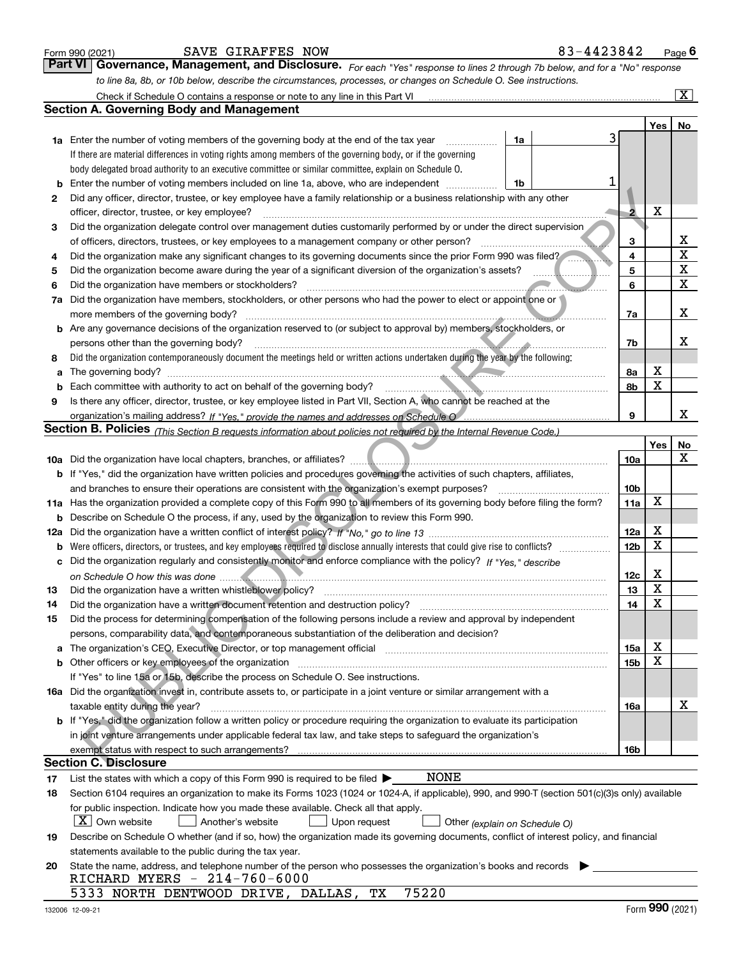|    | SAVE GIRAFFES NOW<br>Form 990 (2021)                                                                                                                                                                                           |    | 83-4423842 |                 |                         | <u>Page</u> 6           |
|----|--------------------------------------------------------------------------------------------------------------------------------------------------------------------------------------------------------------------------------|----|------------|-----------------|-------------------------|-------------------------|
|    | Part VI<br>Governance, Management, and Disclosure. For each "Yes" response to lines 2 through 7b below, and for a "No" response                                                                                                |    |            |                 |                         |                         |
|    | to line 8a, 8b, or 10b below, describe the circumstances, processes, or changes on Schedule O. See instructions.                                                                                                               |    |            |                 |                         |                         |
|    |                                                                                                                                                                                                                                |    |            |                 |                         | $\overline{\mathbf{x}}$ |
|    | <b>Section A. Governing Body and Management</b>                                                                                                                                                                                |    |            |                 |                         |                         |
|    |                                                                                                                                                                                                                                |    |            |                 | Yes                     | No                      |
|    | <b>1a</b> Enter the number of voting members of the governing body at the end of the tax year<br>.                                                                                                                             | 1a | 3          |                 |                         |                         |
|    | If there are material differences in voting rights among members of the governing body, or if the governing                                                                                                                    |    |            |                 |                         |                         |
|    | body delegated broad authority to an executive committee or similar committee, explain on Schedule O.                                                                                                                          |    |            |                 |                         |                         |
| b  | Enter the number of voting members included on line 1a, above, who are independent                                                                                                                                             | 1b | 1          |                 |                         |                         |
| 2  | Did any officer, director, trustee, or key employee have a family relationship or a business relationship with any other                                                                                                       |    |            |                 |                         |                         |
|    | officer, director, trustee, or key employee?                                                                                                                                                                                   |    |            | 2               | х                       |                         |
| 3  | Did the organization delegate control over management duties customarily performed by or under the direct supervision                                                                                                          |    |            |                 |                         |                         |
|    | of officers, directors, trustees, or key employees to a management company or other person?                                                                                                                                    |    |            | 3               |                         | х                       |
| 4  | Did the organization make any significant changes to its governing documents since the prior Form 990 was filed?                                                                                                               |    |            | 4               |                         | $\mathbf X$             |
| 5  |                                                                                                                                                                                                                                |    |            | 5               |                         | X                       |
| 6  | Did the organization have members or stockholders?                                                                                                                                                                             |    |            | 6               |                         | X                       |
| 7a | Did the organization have members, stockholders, or other persons who had the power to elect or appoint one or                                                                                                                 |    |            |                 |                         |                         |
|    | more members of the governing body?                                                                                                                                                                                            |    |            | 7a              |                         | х                       |
|    | <b>b</b> Are any governance decisions of the organization reserved to (or subject to approval by) members, stockholders, or                                                                                                    |    |            |                 |                         |                         |
|    | persons other than the governing body?                                                                                                                                                                                         |    |            | 7b              |                         | х                       |
| 8  | Did the organization contemporaneously document the meetings held or written actions undertaken during the year by the following:                                                                                              |    |            |                 |                         |                         |
| a  | The governing body?                                                                                                                                                                                                            |    |            | 8а              | х                       |                         |
| b  |                                                                                                                                                                                                                                |    |            | 8b              | X                       |                         |
| 9  | Is there any officer, director, trustee, or key employee listed in Part VII, Section A, who cannot be reached at the                                                                                                           |    |            |                 |                         |                         |
|    |                                                                                                                                                                                                                                |    |            | 9               |                         | х                       |
|    | Section B. Policies (This Section B requests information about policies not required by the Internal Revenue Code.)                                                                                                            |    |            |                 |                         |                         |
|    |                                                                                                                                                                                                                                |    |            | 10a             | Yes                     | No<br>х                 |
|    | <b>10a</b> Did the organization have local chapters, branches, or affiliates?<br>b If "Yes," did the organization have written policies and procedures governing the activities of such chapters, affiliates,                  |    | .          |                 |                         |                         |
|    | and branches to ensure their operations are consistent with the organization's exempt purposes?                                                                                                                                |    |            | 10 <sub>b</sub> |                         |                         |
|    | 11a Has the organization provided a complete copy of this Form 990 to all members of its governing body before filing the form?                                                                                                |    |            | 11a             | X                       |                         |
| b  | Describe on Schedule O the process, if any, used by the organization to review this Form 990.                                                                                                                                  |    |            |                 |                         |                         |
|    |                                                                                                                                                                                                                                |    |            | 12a             | х                       |                         |
| b  |                                                                                                                                                                                                                                |    |            | 12 <sub>b</sub> | X                       |                         |
|    | c Did the organization regularly and consistently monitor and enforce compliance with the policy? If "Yes." describe                                                                                                           |    |            |                 |                         |                         |
|    |                                                                                                                                                                                                                                |    |            | 12c             | х                       |                         |
|    |                                                                                                                                                                                                                                |    |            | 13              | $\overline{\textbf{X}}$ |                         |
| 14 | Did the organization have a written document retention and destruction policy?                                                                                                                                                 |    |            | 14              | X                       |                         |
| 15 | Did the process for determining compensation of the following persons include a review and approval by independent                                                                                                             |    |            |                 |                         |                         |
|    | persons, comparability data, and contemporaneous substantiation of the deliberation and decision?                                                                                                                              |    |            |                 |                         |                         |
|    | a The organization's CEO, Executive Director, or top management official manufactured content content of the organization's CEO, Executive Director, or top management official manufactured content of the state of the state |    |            | 15a             | х                       |                         |
|    |                                                                                                                                                                                                                                |    |            | 15 <sub>b</sub> | x                       |                         |
|    | If "Yes" to line 15a or 15b, describe the process on Schedule O. See instructions.                                                                                                                                             |    |            |                 |                         |                         |
|    | 16a Did the organization invest in, contribute assets to, or participate in a joint venture or similar arrangement with a                                                                                                      |    |            |                 |                         |                         |
|    | taxable entity during the year?                                                                                                                                                                                                |    |            | 16a             |                         | х                       |
|    | b If "Yes," did the organization follow a written policy or procedure requiring the organization to evaluate its participation                                                                                                 |    |            |                 |                         |                         |
|    | in joint venture arrangements under applicable federal tax law, and take steps to safeguard the organization's                                                                                                                 |    |            |                 |                         |                         |
|    |                                                                                                                                                                                                                                |    |            | 16b             |                         |                         |
|    | <b>Section C. Disclosure</b>                                                                                                                                                                                                   |    |            |                 |                         |                         |
| 17 | NONE<br>List the states with which a copy of this Form 990 is required to be filed $\blacktriangleright$                                                                                                                       |    |            |                 |                         |                         |
| 18 | Section 6104 requires an organization to make its Forms 1023 (1024 or 1024-A, if applicable), 990, and 990-T (section 501(c)(3)s only) available                                                                               |    |            |                 |                         |                         |
|    | for public inspection. Indicate how you made these available. Check all that apply.                                                                                                                                            |    |            |                 |                         |                         |
|    | $X$ Own website<br>Another's website<br>Upon request<br>Other (explain on Schedule O)                                                                                                                                          |    |            |                 |                         |                         |
| 19 | Describe on Schedule O whether (and if so, how) the organization made its governing documents, conflict of interest policy, and financial                                                                                      |    |            |                 |                         |                         |
|    | statements available to the public during the tax year.                                                                                                                                                                        |    |            |                 |                         |                         |
| 20 | State the name, address, and telephone number of the person who possesses the organization's books and records                                                                                                                 |    |            |                 |                         |                         |
|    | RICHARD MYERS - 214-760-6000                                                                                                                                                                                                   |    |            |                 |                         |                         |
|    | 75220<br>5333 NORTH DENTWOOD DRIVE, DALLAS,<br>TХ                                                                                                                                                                              |    |            |                 |                         |                         |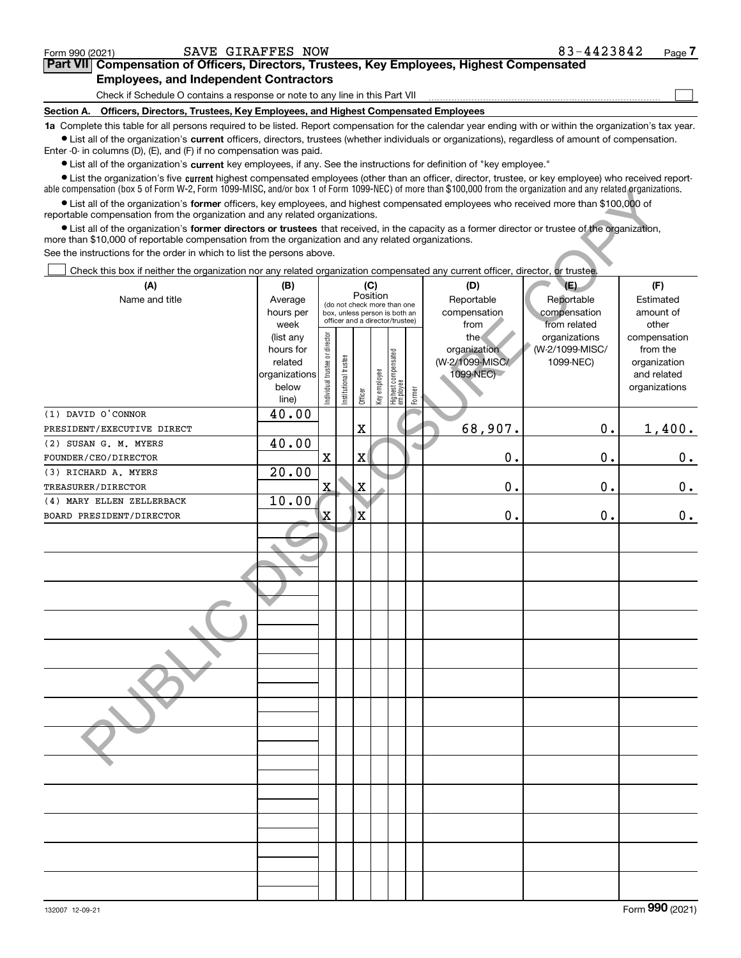| Enter -0- in columns (D), (E), and (F) if no compensation was paid.                                                                                                                                                                                                                                                       |                          |                                |                       |                         |              |                                   |        |                                 |                              |                             |
|---------------------------------------------------------------------------------------------------------------------------------------------------------------------------------------------------------------------------------------------------------------------------------------------------------------------------|--------------------------|--------------------------------|-----------------------|-------------------------|--------------|-----------------------------------|--------|---------------------------------|------------------------------|-----------------------------|
| • List all of the organization's current key employees, if any. See the instructions for definition of "key employee."                                                                                                                                                                                                    |                          |                                |                       |                         |              |                                   |        |                                 |                              |                             |
| · List the organization's five current highest compensated employees (other than an officer, director, trustee, or key employee) who received report-<br>able compensation (box 5 of Form W-2, Form 1099-MISC, and/or box 1 of Form 1099-NEC) of more than \$100,000 from the organization and any related organizations. |                          |                                |                       |                         |              |                                   |        |                                 |                              |                             |
| • List all of the organization's former officers, key employees, and highest compensated employees who received more than \$100,000 of<br>reportable compensation from the organization and any related organizations.                                                                                                    |                          |                                |                       |                         |              |                                   |        |                                 |                              |                             |
| • List all of the organization's former directors or trustees that received, in the capacity as a former director or trustee of the organization,<br>more than \$10,000 of reportable compensation from the organization and any related organizations.                                                                   |                          |                                |                       |                         |              |                                   |        |                                 |                              |                             |
| See the instructions for the order in which to list the persons above.                                                                                                                                                                                                                                                    |                          |                                |                       |                         |              |                                   |        |                                 |                              |                             |
| Check this box if neither the organization nor any related organization compensated any current officer, director, or trustee.                                                                                                                                                                                            |                          |                                |                       |                         |              |                                   |        |                                 |                              |                             |
| (A)                                                                                                                                                                                                                                                                                                                       | (B)                      |                                |                       | (C)                     |              |                                   |        | (D)                             |                              | (F)                         |
| Name and title                                                                                                                                                                                                                                                                                                            | Average                  |                                |                       | Position                |              | (do not check more than one       |        | Reportable                      | Reportable                   | Estimated                   |
|                                                                                                                                                                                                                                                                                                                           | hours per                |                                |                       |                         |              | box, unless person is both an     |        | compensation                    | compensation                 | amount of                   |
|                                                                                                                                                                                                                                                                                                                           | week                     |                                |                       |                         |              | officer and a director/trustee)   |        | from                            | from related                 | other                       |
|                                                                                                                                                                                                                                                                                                                           | (list any                |                                |                       |                         |              |                                   |        | the                             | organizations                | compensation                |
|                                                                                                                                                                                                                                                                                                                           | hours for                |                                |                       |                         |              |                                   |        | organization<br>(W-2/1099-MISC/ | (W-2/1099-MISC/<br>1099-NEC) | from the                    |
|                                                                                                                                                                                                                                                                                                                           | related<br>organizations |                                |                       |                         |              |                                   |        | 1099-NEC)                       |                              | organization<br>and related |
|                                                                                                                                                                                                                                                                                                                           | below                    |                                |                       |                         |              |                                   |        |                                 |                              | organizations               |
|                                                                                                                                                                                                                                                                                                                           | line)                    | Individual trustee or director | Institutional trustee | Officer                 | Key employee | Highest compensated<br>  employee | Former |                                 |                              |                             |
| (1) DAVID O'CONNOR                                                                                                                                                                                                                                                                                                        | 40.00                    |                                |                       |                         |              |                                   |        |                                 |                              |                             |
| PRESIDENT/EXECUTIVE DIRECT                                                                                                                                                                                                                                                                                                |                          |                                |                       | $\overline{\textbf{X}}$ |              |                                   |        | 68,907.                         | 0.                           | 1,400.                      |
| (2) SUSAN G. M. MYERS                                                                                                                                                                                                                                                                                                     | 40.00                    |                                |                       |                         |              |                                   |        |                                 |                              |                             |
| FOUNDER/CEO/DIRECTOR                                                                                                                                                                                                                                                                                                      |                          | X                              |                       | $\mathbf X$             |              |                                   |        | 0.                              | 0.                           | 0.                          |
| (3) RICHARD A. MYERS                                                                                                                                                                                                                                                                                                      | 20.00                    |                                |                       |                         |              |                                   |        |                                 |                              |                             |
| TREASURER/DIRECTOR                                                                                                                                                                                                                                                                                                        |                          | $\overline{\text{X}}$          |                       | X                       |              |                                   |        | 0.                              | 0.                           | 0.                          |
| (4) MARY ELLEN ZELLERBACK                                                                                                                                                                                                                                                                                                 | 10.00                    |                                |                       |                         |              |                                   |        |                                 |                              |                             |
| BOARD PRESIDENT/DIRECTOR                                                                                                                                                                                                                                                                                                  |                          | $\mathbf X$                    |                       | X                       |              |                                   |        | 0.                              | 0.                           | 0.                          |
|                                                                                                                                                                                                                                                                                                                           |                          |                                |                       |                         |              |                                   |        |                                 |                              |                             |
|                                                                                                                                                                                                                                                                                                                           |                          |                                |                       |                         |              |                                   |        |                                 |                              |                             |
|                                                                                                                                                                                                                                                                                                                           |                          |                                |                       |                         |              |                                   |        |                                 |                              |                             |
|                                                                                                                                                                                                                                                                                                                           |                          |                                |                       |                         |              |                                   |        |                                 |                              |                             |
|                                                                                                                                                                                                                                                                                                                           |                          |                                |                       |                         |              |                                   |        |                                 |                              |                             |
|                                                                                                                                                                                                                                                                                                                           |                          |                                |                       |                         |              |                                   |        |                                 |                              |                             |
|                                                                                                                                                                                                                                                                                                                           |                          |                                |                       |                         |              |                                   |        |                                 |                              |                             |
|                                                                                                                                                                                                                                                                                                                           |                          |                                |                       |                         |              |                                   |        |                                 |                              |                             |
|                                                                                                                                                                                                                                                                                                                           |                          |                                |                       |                         |              |                                   |        |                                 |                              |                             |
|                                                                                                                                                                                                                                                                                                                           |                          |                                |                       |                         |              |                                   |        |                                 |                              |                             |
|                                                                                                                                                                                                                                                                                                                           |                          |                                |                       |                         |              |                                   |        |                                 |                              |                             |
|                                                                                                                                                                                                                                                                                                                           |                          |                                |                       |                         |              |                                   |        |                                 |                              |                             |
|                                                                                                                                                                                                                                                                                                                           |                          |                                |                       |                         |              |                                   |        |                                 |                              |                             |
|                                                                                                                                                                                                                                                                                                                           |                          |                                |                       |                         |              |                                   |        |                                 |                              |                             |
|                                                                                                                                                                                                                                                                                                                           |                          |                                |                       |                         |              |                                   |        |                                 |                              |                             |
|                                                                                                                                                                                                                                                                                                                           |                          |                                |                       |                         |              |                                   |        |                                 |                              |                             |
|                                                                                                                                                                                                                                                                                                                           |                          |                                |                       |                         |              |                                   |        |                                 |                              |                             |
|                                                                                                                                                                                                                                                                                                                           |                          |                                |                       |                         |              |                                   |        |                                 |                              |                             |
|                                                                                                                                                                                                                                                                                                                           |                          |                                |                       |                         |              |                                   |        |                                 |                              | Form 990 (2021)             |
| 132007 12-09-21                                                                                                                                                                                                                                                                                                           |                          |                                |                       |                         |              |                                   |        |                                 |                              |                             |

# Check if Schedule O contains a response or note to any line in this Part VII

**Section A. Officers, Directors, Trustees, Key Employees, and Highest Compensated Employees**

**1a**  Complete this table for all persons required to be listed. Report compensation for the calendar year ending with or within the organization's tax year. **•** List all of the organization's current officers, directors, trustees (whether individuals or organizations), regardless of amount of compensation.

 $\mathcal{L}^{\text{max}}$ 

| SAVE<br>GIRAFF |
|----------------|
|----------------|

**Employees, and Independent Contractors**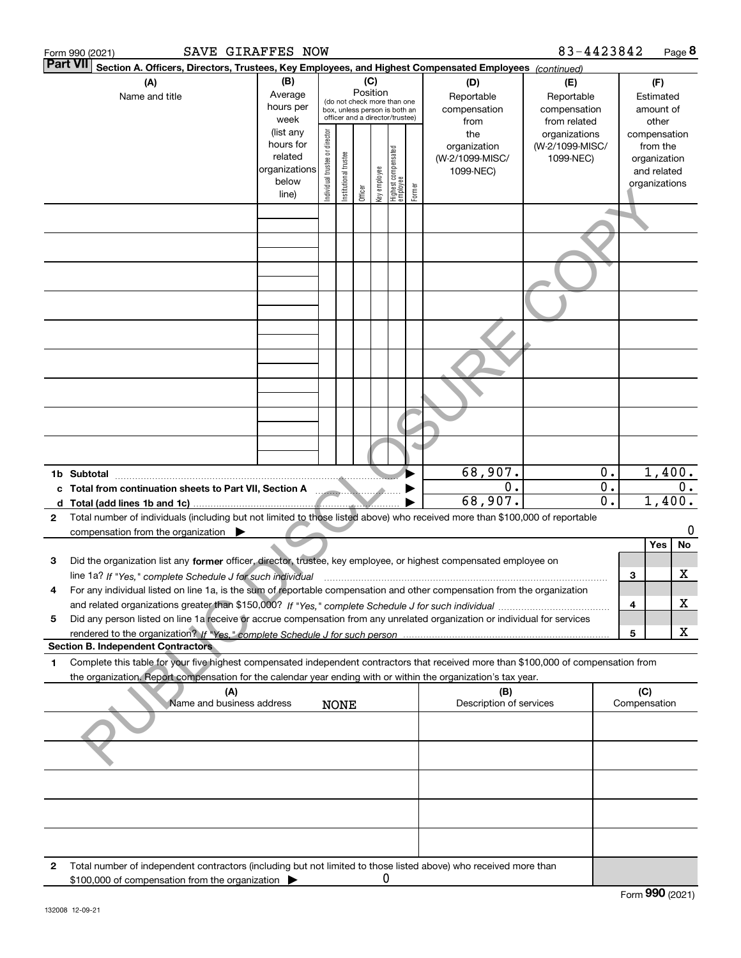| SAVE GIRAFFES NOW<br>Form 990 (2021)                                                                                                                                     |                          |                                |                       |         |                 |                                                                  |        |                                | 83-4423842                   |                             |                             |                    | Page 8 |
|--------------------------------------------------------------------------------------------------------------------------------------------------------------------------|--------------------------|--------------------------------|-----------------------|---------|-----------------|------------------------------------------------------------------|--------|--------------------------------|------------------------------|-----------------------------|-----------------------------|--------------------|--------|
| <b>Part VII</b><br>Section A. Officers, Directors, Trustees, Key Employees, and Highest Compensated Employees (continued)                                                |                          |                                |                       |         |                 |                                                                  |        |                                |                              |                             |                             |                    |        |
| (A)                                                                                                                                                                      | (B)                      |                                |                       |         | (C)<br>Position |                                                                  |        | (D)<br>(E)                     |                              |                             |                             | (F)                |        |
| Name and title                                                                                                                                                           | Average<br>hours per     |                                |                       |         |                 | (do not check more than one                                      |        | Reportable                     | Reportable                   |                             |                             | Estimated          |        |
|                                                                                                                                                                          | week                     |                                |                       |         |                 | box, unless person is both an<br>officer and a director/trustee) |        | compensation<br>from           | compensation<br>from related |                             |                             | amount of<br>other |        |
|                                                                                                                                                                          | (list any                |                                |                       |         |                 |                                                                  |        | the                            | organizations                |                             | compensation                |                    |        |
|                                                                                                                                                                          | hours for                |                                |                       |         |                 |                                                                  |        | organization                   | (W-2/1099-MISC/              |                             |                             | from the           |        |
|                                                                                                                                                                          | related<br>organizations |                                |                       |         |                 |                                                                  |        | (W-2/1099-MISC/                | 1099-NEC)                    |                             | organization                |                    |        |
|                                                                                                                                                                          | below                    |                                |                       |         |                 |                                                                  |        | 1099-NEC)                      |                              |                             | organizations               | and related        |        |
|                                                                                                                                                                          | line)                    | Individual trustee or director | Institutional trustee | Officer | key employee    | Highest compensated<br>  employee                                | Former |                                |                              |                             |                             |                    |        |
|                                                                                                                                                                          |                          |                                |                       |         |                 |                                                                  |        |                                |                              |                             |                             |                    |        |
|                                                                                                                                                                          |                          |                                |                       |         |                 |                                                                  |        |                                |                              |                             |                             |                    |        |
|                                                                                                                                                                          |                          |                                |                       |         |                 |                                                                  |        |                                |                              |                             |                             |                    |        |
|                                                                                                                                                                          |                          |                                |                       |         |                 |                                                                  |        |                                |                              |                             |                             |                    |        |
|                                                                                                                                                                          |                          |                                |                       |         |                 |                                                                  |        |                                |                              |                             |                             |                    |        |
|                                                                                                                                                                          |                          |                                |                       |         |                 |                                                                  |        |                                |                              |                             |                             |                    |        |
|                                                                                                                                                                          |                          |                                |                       |         |                 |                                                                  |        |                                |                              |                             |                             |                    |        |
|                                                                                                                                                                          |                          |                                |                       |         |                 |                                                                  |        |                                |                              |                             |                             |                    |        |
|                                                                                                                                                                          |                          |                                |                       |         |                 |                                                                  |        |                                |                              |                             |                             |                    |        |
|                                                                                                                                                                          |                          |                                |                       |         |                 |                                                                  |        |                                |                              |                             |                             |                    |        |
|                                                                                                                                                                          |                          |                                |                       |         |                 |                                                                  |        |                                |                              |                             |                             |                    |        |
| 1b Subtotal                                                                                                                                                              |                          |                                |                       |         |                 |                                                                  |        | 68,907.<br>0.                  |                              | 0.<br>$\overline{0}$ .      |                             |                    | 1,400. |
| c Total from continuation sheets to Part VII, Section A                                                                                                                  |                          |                                |                       |         |                 |                                                                  |        | 68,907.                        |                              | $\overline{\mathfrak{0}}$ . |                             | 1,400.             | 0.     |
| Total number of individuals (including but not limited to those listed above) who received more than \$100,000 of reportable<br>2                                        |                          |                                |                       |         |                 |                                                                  |        |                                |                              |                             |                             |                    |        |
| compensation from the organization $\blacktriangleright$                                                                                                                 |                          |                                |                       |         |                 |                                                                  |        |                                |                              |                             |                             |                    | 0      |
|                                                                                                                                                                          |                          |                                |                       |         |                 |                                                                  |        |                                |                              |                             |                             | Yes                | No     |
| Did the organization list any former officer, director, trustee, key employee, or highest compensated employee on<br>з                                                   |                          |                                |                       |         |                 |                                                                  |        |                                |                              |                             |                             |                    |        |
| line 1a? If "Yes," complete Schedule J for such individual                                                                                                               |                          |                                |                       |         |                 |                                                                  |        |                                |                              |                             | 3                           |                    | х      |
| For any individual listed on line 1a, is the sum of reportable compensation and other compensation from the organization<br>4                                            |                          |                                |                       |         |                 |                                                                  |        |                                |                              |                             |                             |                    |        |
|                                                                                                                                                                          |                          |                                |                       |         |                 |                                                                  |        |                                |                              |                             | 4                           |                    | х      |
| Did any person listed on line 1a receive or accrue compensation from any unrelated organization or individual for services<br>5                                          |                          |                                |                       |         |                 |                                                                  |        |                                |                              |                             | 5                           |                    | X      |
| <b>Section B. Independent Contractors</b>                                                                                                                                |                          |                                |                       |         |                 |                                                                  |        |                                |                              |                             |                             |                    |        |
| Complete this table for your five highest compensated independent contractors that received more than \$100,000 of compensation from<br>1                                |                          |                                |                       |         |                 |                                                                  |        |                                |                              |                             |                             |                    |        |
| the organization. Report compensation for the calendar year ending with or within the organization's tax year.                                                           |                          |                                |                       |         |                 |                                                                  |        |                                |                              |                             |                             |                    |        |
| (A)<br>Name and business address                                                                                                                                         |                          |                                | <b>NONE</b>           |         |                 |                                                                  |        | (B)<br>Description of services |                              |                             | (C)<br>Compensation         |                    |        |
|                                                                                                                                                                          |                          |                                |                       |         |                 |                                                                  |        |                                |                              |                             |                             |                    |        |
|                                                                                                                                                                          |                          |                                |                       |         |                 |                                                                  |        |                                |                              |                             |                             |                    |        |
|                                                                                                                                                                          |                          |                                |                       |         |                 |                                                                  |        |                                |                              |                             |                             |                    |        |
|                                                                                                                                                                          |                          |                                |                       |         |                 |                                                                  |        |                                |                              |                             |                             |                    |        |
|                                                                                                                                                                          |                          |                                |                       |         |                 |                                                                  |        |                                |                              |                             |                             |                    |        |
|                                                                                                                                                                          |                          |                                |                       |         |                 |                                                                  |        |                                |                              |                             |                             |                    |        |
| Total number of independent contractors (including but not limited to those listed above) who received more than<br>2<br>\$100,000 of compensation from the organization |                          |                                |                       |         | U               |                                                                  |        |                                |                              |                             |                             |                    |        |
|                                                                                                                                                                          |                          |                                |                       |         |                 |                                                                  |        |                                |                              |                             | $F_{\text{arm}}$ 990 (2021) |                    |        |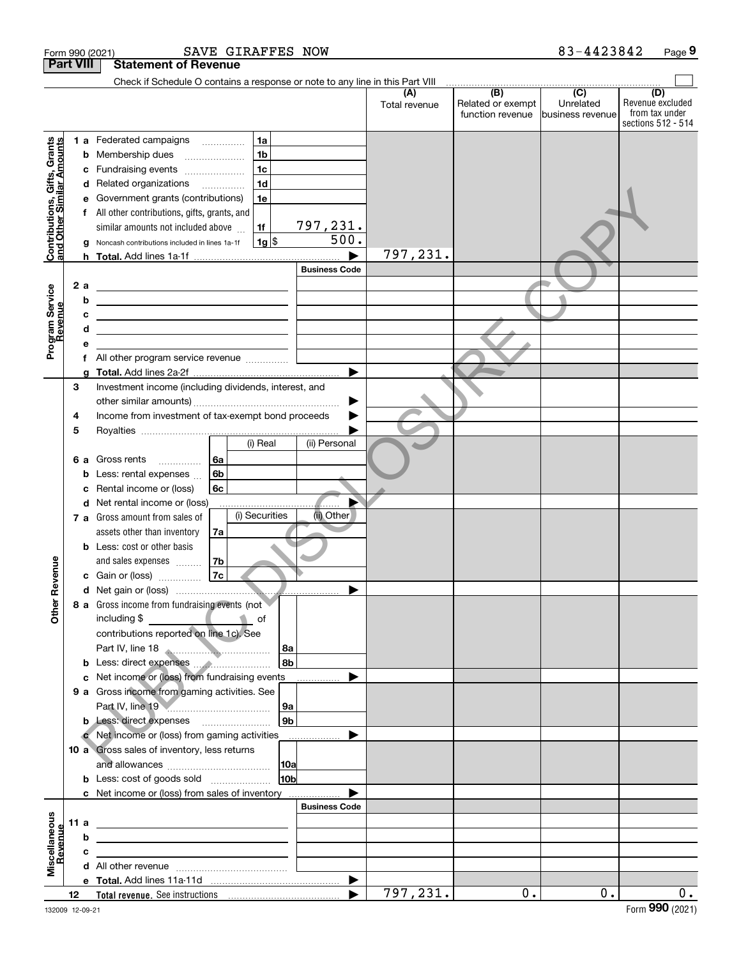|                                                           |                 |        | Form 990 (2021)                                                                 |          | SAVE GIRAFFES NOW |                 |                      |                      |                                                                                                                                                                                                                | 83-4423842                            | Page 9                                                          |
|-----------------------------------------------------------|-----------------|--------|---------------------------------------------------------------------------------|----------|-------------------|-----------------|----------------------|----------------------|----------------------------------------------------------------------------------------------------------------------------------------------------------------------------------------------------------------|---------------------------------------|-----------------------------------------------------------------|
| <b>Part VIII</b>                                          |                 |        | <b>Statement of Revenue</b>                                                     |          |                   |                 |                      |                      |                                                                                                                                                                                                                |                                       |                                                                 |
|                                                           |                 |        | Check if Schedule O contains a response or note to any line in this Part VIII   |          |                   |                 |                      |                      | $\begin{array}{c c c c c c} \hline \textbf{1} & \textbf{1} & \textbf{1} & \textbf{1} & \textbf{1} \\ \hline \textbf{1} & \textbf{1} & \textbf{1} & \textbf{1} & \textbf{1} & \textbf{1} \\ \hline \end{array}$ |                                       |                                                                 |
|                                                           |                 |        |                                                                                 |          |                   |                 |                      | (A)<br>Total revenue | Related or exempt<br>function revenue                                                                                                                                                                          | Unrelated<br><b>Ibusiness revenue</b> | (D)<br>Revenue excluded<br>from tax under<br>sections 512 - 514 |
|                                                           |                 |        | 1 a Federated campaigns                                                         |          | 1a                |                 |                      |                      |                                                                                                                                                                                                                |                                       |                                                                 |
|                                                           |                 | b      | Membership dues<br>$\ldots \ldots \ldots \ldots \ldots$                         |          | 1 <sub>b</sub>    |                 |                      |                      |                                                                                                                                                                                                                |                                       |                                                                 |
|                                                           |                 | с      | Fundraising events                                                              |          | 1 <sub>c</sub>    |                 |                      |                      |                                                                                                                                                                                                                |                                       |                                                                 |
| Contributions, Gifts, Grants<br>and Other Similar Amounts |                 | d      | Related organizations                                                           |          | 1 <sub>d</sub>    |                 |                      |                      |                                                                                                                                                                                                                |                                       |                                                                 |
|                                                           |                 | е      | Government grants (contributions)                                               |          | 1e                |                 |                      |                      |                                                                                                                                                                                                                |                                       |                                                                 |
|                                                           |                 | f      | All other contributions, gifts, grants, and                                     |          |                   |                 |                      |                      |                                                                                                                                                                                                                |                                       |                                                                 |
|                                                           |                 |        | similar amounts not included above                                              |          | 1f                |                 | 797,231.             |                      |                                                                                                                                                                                                                |                                       |                                                                 |
|                                                           |                 | g      | Noncash contributions included in lines 1a-1f                                   |          | 1g                |                 | $\overline{500}$ .   |                      |                                                                                                                                                                                                                |                                       |                                                                 |
|                                                           |                 |        |                                                                                 |          |                   |                 |                      | 797,231.             |                                                                                                                                                                                                                |                                       |                                                                 |
|                                                           |                 |        |                                                                                 |          |                   |                 | <b>Business Code</b> |                      |                                                                                                                                                                                                                |                                       |                                                                 |
| Program Service<br>Revenue                                |                 | 2 a    | <u> 1989 - Johann Barn, fransk politik amerikansk politik (</u>                 |          |                   |                 |                      |                      |                                                                                                                                                                                                                |                                       |                                                                 |
|                                                           |                 | b      | <u> 1989 - Johann Barn, fransk politik amerikansk politik (</u>                 |          |                   |                 |                      |                      |                                                                                                                                                                                                                |                                       |                                                                 |
|                                                           |                 | c<br>d | <u> 1989 - Johann Barn, amerikansk politiker (d. 1989)</u>                      |          |                   |                 |                      |                      |                                                                                                                                                                                                                |                                       |                                                                 |
|                                                           |                 | е      | <u> 1989 - Johann Stein, mars an de Frankryk († 1958)</u>                       |          |                   |                 |                      |                      |                                                                                                                                                                                                                |                                       |                                                                 |
|                                                           |                 | f      | All other program service revenue                                               |          |                   |                 |                      |                      |                                                                                                                                                                                                                |                                       |                                                                 |
|                                                           |                 | a      |                                                                                 |          |                   |                 |                      |                      |                                                                                                                                                                                                                |                                       |                                                                 |
|                                                           | 3               |        | Investment income (including dividends, interest, and                           |          |                   |                 |                      |                      |                                                                                                                                                                                                                |                                       |                                                                 |
|                                                           |                 |        |                                                                                 |          |                   |                 |                      |                      |                                                                                                                                                                                                                |                                       |                                                                 |
|                                                           | 4               |        | Income from investment of tax-exempt bond proceeds                              |          |                   |                 |                      |                      |                                                                                                                                                                                                                |                                       |                                                                 |
|                                                           | 5               |        |                                                                                 |          |                   |                 |                      |                      |                                                                                                                                                                                                                |                                       |                                                                 |
|                                                           |                 |        |                                                                                 |          | (i) Real          |                 | (ii) Personal        |                      |                                                                                                                                                                                                                |                                       |                                                                 |
|                                                           |                 | 6а     | Gross rents<br>$\frac{1}{2}$                                                    | 6а       |                   |                 |                      |                      |                                                                                                                                                                                                                |                                       |                                                                 |
|                                                           |                 | b      | Less: rental expenses                                                           | 6b       |                   |                 |                      |                      |                                                                                                                                                                                                                |                                       |                                                                 |
|                                                           |                 | c      | Rental income or (loss)                                                         | 6c       |                   |                 |                      |                      |                                                                                                                                                                                                                |                                       |                                                                 |
|                                                           |                 |        | d Net rental income or (loss)                                                   |          |                   |                 |                      |                      |                                                                                                                                                                                                                |                                       |                                                                 |
|                                                           |                 |        | 7 a Gross amount from sales of                                                  |          | (i) Securities    |                 | (ii) Other           |                      |                                                                                                                                                                                                                |                                       |                                                                 |
|                                                           |                 |        | assets other than inventory                                                     | 7a       |                   |                 |                      |                      |                                                                                                                                                                                                                |                                       |                                                                 |
|                                                           |                 |        | <b>b</b> Less: cost or other basis                                              |          |                   |                 |                      |                      |                                                                                                                                                                                                                |                                       |                                                                 |
| evenue                                                    |                 |        | and sales expenses<br>c Gain or (loss)                                          | 7b<br>7c |                   |                 |                      |                      |                                                                                                                                                                                                                |                                       |                                                                 |
|                                                           |                 |        |                                                                                 |          |                   |                 |                      |                      |                                                                                                                                                                                                                |                                       |                                                                 |
| Œ                                                         |                 |        | 8 a Gross income from fundraising events (not                                   |          |                   |                 |                      |                      |                                                                                                                                                                                                                |                                       |                                                                 |
| Other                                                     |                 |        |                                                                                 |          |                   |                 |                      |                      |                                                                                                                                                                                                                |                                       |                                                                 |
|                                                           |                 |        | contributions reported on line 1c). See                                         |          |                   |                 |                      |                      |                                                                                                                                                                                                                |                                       |                                                                 |
|                                                           |                 |        | Part IV, line 18                                                                |          |                   | 8a              |                      |                      |                                                                                                                                                                                                                |                                       |                                                                 |
|                                                           |                 |        |                                                                                 |          |                   | 8b              |                      |                      |                                                                                                                                                                                                                |                                       |                                                                 |
|                                                           |                 |        | c Net income or (loss) from fundraising events                                  |          |                   |                 |                      |                      |                                                                                                                                                                                                                |                                       |                                                                 |
|                                                           |                 |        | 9 a Gross income from gaming activities. See                                    |          |                   |                 |                      |                      |                                                                                                                                                                                                                |                                       |                                                                 |
|                                                           |                 |        | Part IV, line 19                                                                |          |                   | 9a              |                      |                      |                                                                                                                                                                                                                |                                       |                                                                 |
|                                                           |                 |        |                                                                                 |          |                   | 9b              |                      |                      |                                                                                                                                                                                                                |                                       |                                                                 |
|                                                           |                 |        |                                                                                 |          |                   |                 |                      |                      |                                                                                                                                                                                                                |                                       |                                                                 |
|                                                           |                 |        | 10 a Gross sales of inventory, less returns                                     |          |                   |                 |                      |                      |                                                                                                                                                                                                                |                                       |                                                                 |
|                                                           |                 |        |                                                                                 |          |                   | 10a             |                      |                      |                                                                                                                                                                                                                |                                       |                                                                 |
|                                                           |                 |        | <b>b</b> Less: cost of goods sold                                               |          |                   | 10 <sub>b</sub> |                      |                      |                                                                                                                                                                                                                |                                       |                                                                 |
|                                                           |                 |        | c Net income or (loss) from sales of inventory                                  |          |                   |                 |                      |                      |                                                                                                                                                                                                                |                                       |                                                                 |
|                                                           |                 |        |                                                                                 |          |                   |                 | <b>Business Code</b> |                      |                                                                                                                                                                                                                |                                       |                                                                 |
|                                                           | 11a             |        | the contract of the contract of the contract of the contract of the contract of |          |                   |                 |                      |                      |                                                                                                                                                                                                                |                                       |                                                                 |
| Revenue                                                   |                 | b      | <u> 1989 - Johann Barn, mars et al. (b. 1989)</u>                               |          |                   |                 |                      |                      |                                                                                                                                                                                                                |                                       |                                                                 |
| Miscellaneous                                             |                 | с      | <u> 1989 - Johann Stein, fransk politik (d. 1989)</u>                           |          |                   |                 |                      |                      |                                                                                                                                                                                                                |                                       |                                                                 |
|                                                           |                 |        |                                                                                 |          |                   |                 |                      |                      |                                                                                                                                                                                                                |                                       |                                                                 |
|                                                           | 12 <sub>2</sub> |        |                                                                                 |          |                   |                 |                      | 797,231.             | 0.                                                                                                                                                                                                             | 0.                                    | $0$ .                                                           |
|                                                           |                 |        |                                                                                 |          |                   |                 |                      |                      |                                                                                                                                                                                                                |                                       |                                                                 |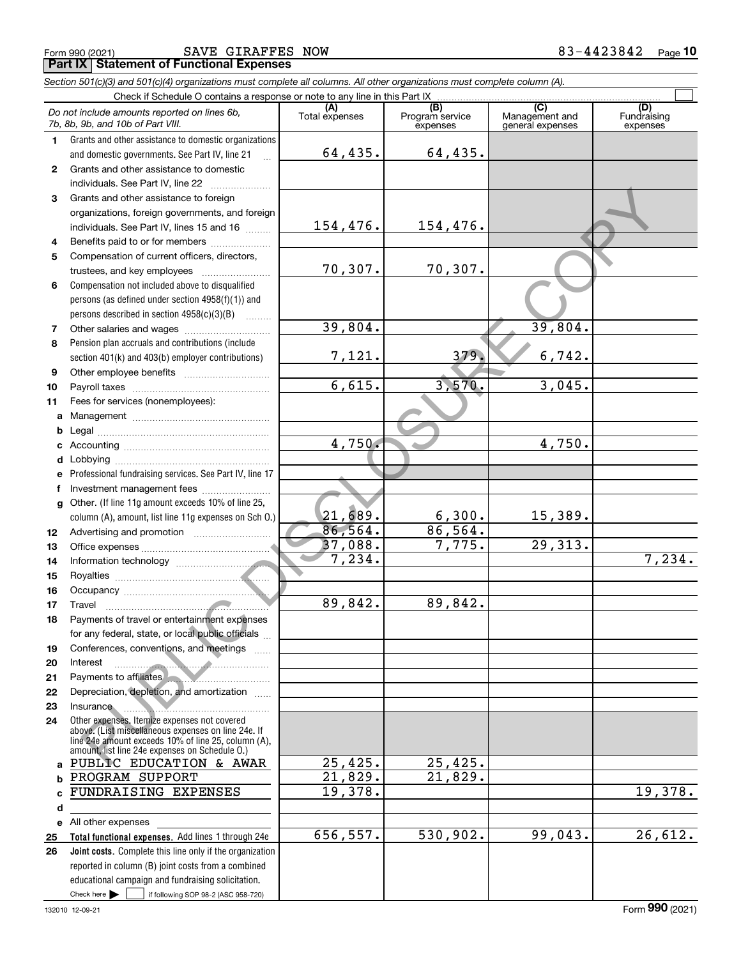*Section 501(c)(3) and 501(c)(4) organizations must complete all columns. All other organizations must complete column (A).*

|              | Check if Schedule O contains a response or note to any line in this Part IX.                                                                                                                                                                   |                |                                    |                                           |                                |
|--------------|------------------------------------------------------------------------------------------------------------------------------------------------------------------------------------------------------------------------------------------------|----------------|------------------------------------|-------------------------------------------|--------------------------------|
|              | Do not include amounts reported on lines 6b,<br>7b, 8b, 9b, and 10b of Part VIII.                                                                                                                                                              | Total expenses | (B)<br>Program service<br>expenses | (C)<br>Management and<br>general expenses | (D)<br>Fundraising<br>expenses |
| 1.           | Grants and other assistance to domestic organizations                                                                                                                                                                                          |                |                                    |                                           |                                |
|              | and domestic governments. See Part IV, line 21                                                                                                                                                                                                 | 64,435.        | 64,435.                            |                                           |                                |
| $\mathbf{2}$ | Grants and other assistance to domestic                                                                                                                                                                                                        |                |                                    |                                           |                                |
|              | individuals. See Part IV, line 22                                                                                                                                                                                                              |                |                                    |                                           |                                |
| 3            | Grants and other assistance to foreign                                                                                                                                                                                                         |                |                                    |                                           |                                |
|              | organizations, foreign governments, and foreign                                                                                                                                                                                                |                |                                    |                                           |                                |
|              | individuals. See Part IV, lines 15 and 16                                                                                                                                                                                                      | 154,476.       | 154,476.                           |                                           |                                |
| 4            | Benefits paid to or for members                                                                                                                                                                                                                |                |                                    |                                           |                                |
| 5            | Compensation of current officers, directors,                                                                                                                                                                                                   |                |                                    |                                           |                                |
|              | trustees, and key employees                                                                                                                                                                                                                    | 70,307.        | 70,307.                            |                                           |                                |
| 6            | Compensation not included above to disqualified                                                                                                                                                                                                |                |                                    |                                           |                                |
|              | persons (as defined under section 4958(f)(1)) and                                                                                                                                                                                              |                |                                    |                                           |                                |
|              | persons described in section 4958(c)(3)(B)                                                                                                                                                                                                     |                |                                    |                                           |                                |
| 7            |                                                                                                                                                                                                                                                | 39,804.        |                                    | 39,804.                                   |                                |
| 8            | Pension plan accruals and contributions (include                                                                                                                                                                                               |                |                                    |                                           |                                |
|              | section 401(k) and 403(b) employer contributions)                                                                                                                                                                                              | 7,121.         | 379.                               | 6,742.                                    |                                |
| 9            |                                                                                                                                                                                                                                                |                | 3,570.                             | 3,045.                                    |                                |
| 10           |                                                                                                                                                                                                                                                | 6,615.         |                                    |                                           |                                |
| 11           | Fees for services (nonemployees):                                                                                                                                                                                                              |                |                                    |                                           |                                |
| а            |                                                                                                                                                                                                                                                |                |                                    |                                           |                                |
| b            |                                                                                                                                                                                                                                                | 4,750.         |                                    | 4,750.                                    |                                |
| с            |                                                                                                                                                                                                                                                |                |                                    |                                           |                                |
| d            | Professional fundraising services. See Part IV, line 17                                                                                                                                                                                        |                |                                    |                                           |                                |
| е<br>f       | Investment management fees                                                                                                                                                                                                                     |                |                                    |                                           |                                |
| g            | Other. (If line 11g amount exceeds 10% of line 25,                                                                                                                                                                                             |                |                                    |                                           |                                |
|              | column (A), amount, list line 11g expenses on Sch O.)                                                                                                                                                                                          | 21,689.        |                                    | 15,389.                                   |                                |
| 12           |                                                                                                                                                                                                                                                | 86,564.        | $\frac{6,300}{86,564}$             |                                           |                                |
| 13           |                                                                                                                                                                                                                                                | 37,088.        | 7,775.                             | 29,313.                                   |                                |
| 14           |                                                                                                                                                                                                                                                | 7,234.         |                                    |                                           | 7,234.                         |
| 15           |                                                                                                                                                                                                                                                |                |                                    |                                           |                                |
| 16           |                                                                                                                                                                                                                                                |                |                                    |                                           |                                |
| 17           | <u> Estados de la componentación de la componentación de la componentación de la componentación de la componentación de la componentación de la componentación de la componentación de la componentación de la componentación de</u><br>Travel | 89,842.        | 89,842.                            |                                           |                                |
| 18           | Payments of travel or entertainment expenses                                                                                                                                                                                                   |                |                                    |                                           |                                |
|              | for any federal, state, or local public officials                                                                                                                                                                                              |                |                                    |                                           |                                |
| 19           | Conferences, conventions, and meetings                                                                                                                                                                                                         |                |                                    |                                           |                                |
| 20           | Interest                                                                                                                                                                                                                                       |                |                                    |                                           |                                |
| 21           | Payments to affiliates                                                                                                                                                                                                                         |                |                                    |                                           |                                |
| 22           | Depreciation, depletion, and amortization                                                                                                                                                                                                      |                |                                    |                                           |                                |
| 23           | Insurance                                                                                                                                                                                                                                      |                |                                    |                                           |                                |
| 24           | Other expenses. Itemize expenses not covered<br>above. (List miscellaneous expenses on line 24e. If                                                                                                                                            |                |                                    |                                           |                                |
|              | line 24e amount exceeds 10% of line 25, column (A),                                                                                                                                                                                            |                |                                    |                                           |                                |
|              | amount, list line 24e expenses on Schedule O.)                                                                                                                                                                                                 |                |                                    |                                           |                                |
| a            | PUBLIC EDUCATION & AWAR                                                                                                                                                                                                                        | 25,425.        | 25,425.                            |                                           |                                |
| b            | PROGRAM SUPPORT                                                                                                                                                                                                                                | 21,829.        | 21,829.                            |                                           |                                |
| C            | FUNDRAISING EXPENSES                                                                                                                                                                                                                           | 19,378.        |                                    |                                           | 19,378.                        |
| d            |                                                                                                                                                                                                                                                |                |                                    |                                           |                                |
| е            | All other expenses                                                                                                                                                                                                                             | 656,557.       | 530,902.                           | 99,043.                                   | 26,612.                        |
| 25<br>26     | Total functional expenses. Add lines 1 through 24e<br>Joint costs. Complete this line only if the organization                                                                                                                                 |                |                                    |                                           |                                |
|              | reported in column (B) joint costs from a combined                                                                                                                                                                                             |                |                                    |                                           |                                |
|              | educational campaign and fundraising solicitation.                                                                                                                                                                                             |                |                                    |                                           |                                |
|              | Check here $\blacktriangleright$  <br>if following SOP 98-2 (ASC 958-720)                                                                                                                                                                      |                |                                    |                                           |                                |

### 132010 12-09-21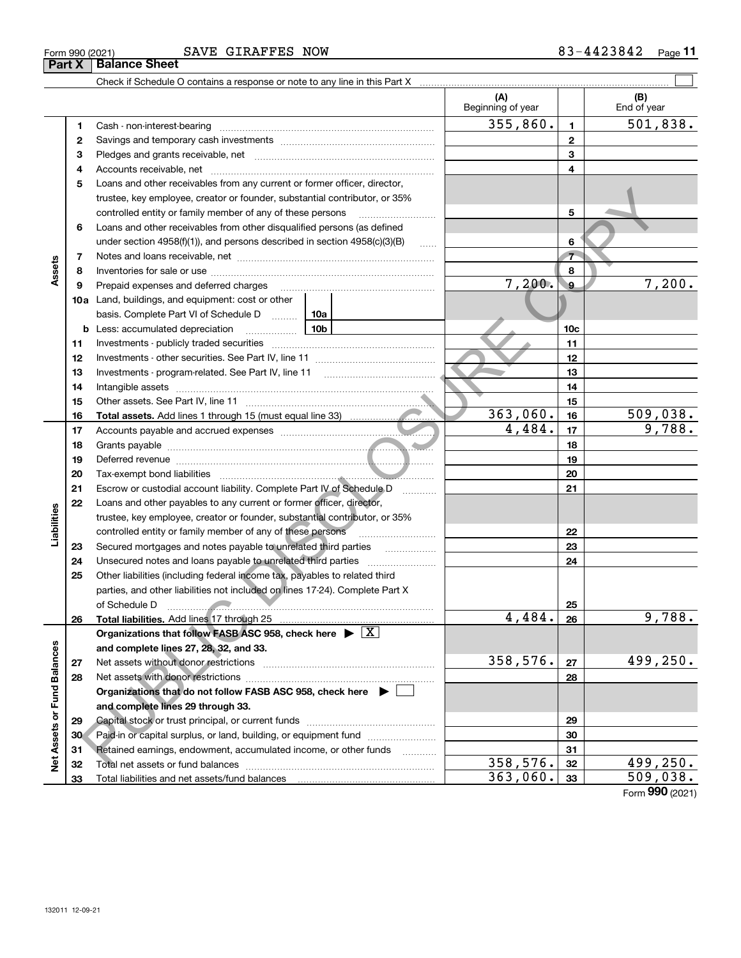| Form 990 (2021) | SAVE | GIRAFFES | <b>NOW</b> | 4423842 | $P$ age |
|-----------------|------|----------|------------|---------|---------|
|-----------------|------|----------|------------|---------|---------|

|                             | Part X          | <b>Balance Sheet</b>                                                                                                             |          |                |                             |
|-----------------------------|-----------------|----------------------------------------------------------------------------------------------------------------------------------|----------|----------------|-----------------------------|
|                             |                 |                                                                                                                                  |          |                |                             |
|                             |                 | (A)<br>Beginning of year                                                                                                         |          |                | (B)<br>End of year          |
|                             | 1               |                                                                                                                                  | 355,860. | $\mathbf{1}$   | 501,838.                    |
|                             | 2               |                                                                                                                                  |          | $\mathbf{2}$   |                             |
|                             | з               |                                                                                                                                  |          | 3              |                             |
|                             | 4               |                                                                                                                                  |          | 4              |                             |
|                             | 5               | Loans and other receivables from any current or former officer, director,                                                        |          |                |                             |
|                             |                 | trustee, key employee, creator or founder, substantial contributor, or 35%                                                       |          |                |                             |
|                             |                 | controlled entity or family member of any of these persons                                                                       |          | 5              |                             |
|                             | 6               | Loans and other receivables from other disqualified persons (as defined                                                          |          |                |                             |
|                             |                 | under section 4958(f)(1)), and persons described in section 4958(c)(3)(B)<br>$\ldots$                                            |          | 6              |                             |
|                             | 7               |                                                                                                                                  |          | $\overline{7}$ |                             |
| Assets                      | 8               |                                                                                                                                  |          | 8              |                             |
|                             | 9               | Prepaid expenses and deferred charges                                                                                            | 7,200.   | $\overline{9}$ | 7,200.                      |
|                             |                 | <b>10a</b> Land, buildings, and equipment: cost or other                                                                         |          |                |                             |
|                             |                 | basis. Complete Part VI of Schedule D  10a                                                                                       |          |                |                             |
|                             |                 | 10b<br><b>b</b> Less: accumulated depreciation                                                                                   |          | 10c            |                             |
|                             | 11              |                                                                                                                                  |          | 11             |                             |
|                             | 12              |                                                                                                                                  |          | 12             |                             |
|                             | 13              |                                                                                                                                  |          | 13             |                             |
|                             | 14              |                                                                                                                                  |          | 14             |                             |
|                             | 15              |                                                                                                                                  |          | 15             |                             |
|                             | 16              |                                                                                                                                  | 363,060. | 16             | 509,038.                    |
|                             | 17              |                                                                                                                                  | 4,484.   | 17             | 9,788.                      |
|                             | 18              |                                                                                                                                  |          | 18             |                             |
|                             | 19              |                                                                                                                                  |          | 19             |                             |
|                             | 20              |                                                                                                                                  |          | 20             |                             |
|                             | 21              | Escrow or custodial account liability. Complete Part IV of Schedule D<br>.                                                       |          | 21             |                             |
|                             | 22              | Loans and other payables to any current or former officer, director,                                                             |          |                |                             |
|                             |                 | trustee, key employee, creator or founder, substantial contributor, or 35%                                                       |          |                |                             |
| Liabilities                 |                 | controlled entity or family member of any of these persons                                                                       |          | 22             |                             |
|                             | 23              | Secured mortgages and notes payable to unrelated third parties                                                                   |          | 23             |                             |
|                             | 24              | Unsecured notes and loans payable to unrelated third parties                                                                     |          | 24             |                             |
|                             | 25              | Other liabilities (including federal income tax, payables to related third                                                       |          |                |                             |
|                             |                 | parties, and other liabilities not included on lines 17-24). Complete Part X                                                     |          |                |                             |
|                             |                 | of Schedule D                                                                                                                    | 4,484.   | 25             | 9,788.                      |
|                             | 26              | Total liabilities. Add lines 17 through 25<br>Organizations that follow FASB ASC 958, check here $\blacktriangleright \boxed{X}$ |          | 26             |                             |
|                             |                 |                                                                                                                                  |          |                |                             |
|                             |                 | and complete lines 27, 28, 32, and 33.                                                                                           | 358,576. | 27             | 499,250.                    |
|                             | 27<br>28        |                                                                                                                                  |          | 28             |                             |
|                             |                 | Organizations that do not follow FASB ASC 958, check here $\blacktriangleright$                                                  |          |                |                             |
|                             |                 | and complete lines 29 through 33.                                                                                                |          |                |                             |
|                             | 29              |                                                                                                                                  |          | 29             |                             |
|                             | 30 <sub>1</sub> | Paid-in or capital surplus, or land, building, or equipment fund                                                                 |          | 30             |                             |
|                             | 31              | Retained earnings, endowment, accumulated income, or other funds                                                                 |          | 31             |                             |
| Net Assets or Fund Balances | 32              |                                                                                                                                  | 358,576. | 32             | 499,250.                    |
|                             | 33              |                                                                                                                                  | 363,060. | 33             | 509,038.                    |
|                             |                 |                                                                                                                                  |          |                | $F_{\text{arm}}$ 990 (2021) |

Form (2021) **990**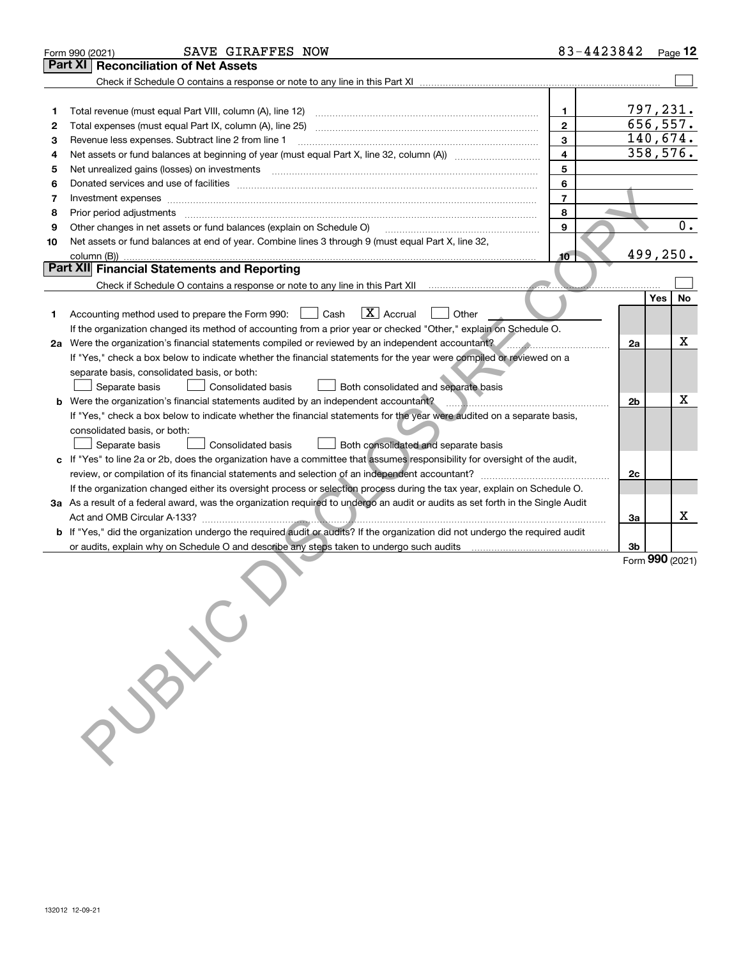|    | SAVE GIRAFFES NOW<br>Form 990 (2021)                                                                                                                                                                                                                                                                                                        | 83-4423842               |    |          | Page 12         |
|----|---------------------------------------------------------------------------------------------------------------------------------------------------------------------------------------------------------------------------------------------------------------------------------------------------------------------------------------------|--------------------------|----|----------|-----------------|
|    | Part XI<br><b>Reconciliation of Net Assets</b>                                                                                                                                                                                                                                                                                              |                          |    |          |                 |
|    |                                                                                                                                                                                                                                                                                                                                             |                          |    |          |                 |
|    |                                                                                                                                                                                                                                                                                                                                             |                          |    |          |                 |
| 1  |                                                                                                                                                                                                                                                                                                                                             | $\mathbf{1}$             |    | 797,231. |                 |
| 2  | Total expenses (must equal Part IX, column (A), line 25)                                                                                                                                                                                                                                                                                    | $\mathbf{2}$             |    |          | 656, 557.       |
| 3  | Revenue less expenses. Subtract line 2 from line 1                                                                                                                                                                                                                                                                                          | 3                        |    |          | 140,674.        |
| 4  |                                                                                                                                                                                                                                                                                                                                             | $\overline{\mathbf{4}}$  |    |          | 358,576.        |
| 5  |                                                                                                                                                                                                                                                                                                                                             | 5                        |    |          |                 |
| 6  | Donated services and use of facilities [111] matter contracts and the service of facilities [11] matter contracts and use of facilities [11] matter contracts and the service of facilities [11] matter contracts and the serv                                                                                                              | 6                        |    |          |                 |
| 7  | Investment expenses www.communication.com/www.communication.com/www.communication.com/www.com                                                                                                                                                                                                                                               | $\overline{\phantom{a}}$ |    |          |                 |
| 8  |                                                                                                                                                                                                                                                                                                                                             | 8                        |    |          |                 |
| 9  | Other changes in net assets or fund balances (explain on Schedule O)                                                                                                                                                                                                                                                                        | 9                        |    |          | 0.              |
| 10 | Net assets or fund balances at end of year. Combine lines 3 through 9 (must equal Part X, line 32,                                                                                                                                                                                                                                          |                          |    |          |                 |
|    |                                                                                                                                                                                                                                                                                                                                             | $10-10$                  |    |          | 499,250.        |
|    | Part XII Financial Statements and Reporting                                                                                                                                                                                                                                                                                                 |                          |    |          |                 |
|    |                                                                                                                                                                                                                                                                                                                                             |                          |    |          |                 |
|    |                                                                                                                                                                                                                                                                                                                                             |                          |    | Yes      | No              |
| 1  | $\boxed{\textbf{X}}$ Accrual<br>Accounting method used to prepare the Form 990: <u>I</u> Cash<br>Other                                                                                                                                                                                                                                      |                          |    |          |                 |
|    | If the organization changed its method of accounting from a prior year or checked "Other," explain on Schedule O.                                                                                                                                                                                                                           |                          |    |          |                 |
|    | 2a Were the organization's financial statements compiled or reviewed by an independent accountant?                                                                                                                                                                                                                                          |                          | 2a |          | x               |
|    | If "Yes," check a box below to indicate whether the financial statements for the year were compiled or reviewed on a                                                                                                                                                                                                                        |                          |    |          |                 |
|    | separate basis, consolidated basis, or both:                                                                                                                                                                                                                                                                                                |                          |    |          |                 |
|    | Both consolidated and separate basis<br>Separate basis<br>Consolidated basis                                                                                                                                                                                                                                                                |                          |    |          |                 |
|    | <b>b</b> Were the organization's financial statements audited by an independent accountant?                                                                                                                                                                                                                                                 |                          | 2b |          | x               |
|    | If "Yes," check a box below to indicate whether the financial statements for the year were audited on a separate basis,                                                                                                                                                                                                                     |                          |    |          |                 |
|    | consolidated basis, or both:                                                                                                                                                                                                                                                                                                                |                          |    |          |                 |
|    | Both consolidated and separate basis<br>Separate basis<br>Consolidated basis                                                                                                                                                                                                                                                                |                          |    |          |                 |
|    | c If "Yes" to line 2a or 2b, does the organization have a committee that assumes responsibility for oversight of the audit,                                                                                                                                                                                                                 |                          |    |          |                 |
|    |                                                                                                                                                                                                                                                                                                                                             |                          | 2c |          |                 |
|    | If the organization changed either its oversight process or selection process during the tax year, explain on Schedule O.                                                                                                                                                                                                                   |                          |    |          |                 |
|    | 3a As a result of a federal award, was the organization required to undergo an audit or audits as set forth in the Single Audit                                                                                                                                                                                                             |                          |    |          |                 |
|    |                                                                                                                                                                                                                                                                                                                                             |                          | За |          | x               |
|    | b If "Yes," did the organization undergo the required audit or audits? If the organization did not undergo the required audit                                                                                                                                                                                                               |                          |    |          |                 |
|    |                                                                                                                                                                                                                                                                                                                                             |                          | 3b |          |                 |
|    |                                                                                                                                                                                                                                                                                                                                             |                          |    |          | Form 990 (2021) |
|    |                                                                                                                                                                                                                                                                                                                                             |                          |    |          |                 |
|    |                                                                                                                                                                                                                                                                                                                                             |                          |    |          |                 |
|    |                                                                                                                                                                                                                                                                                                                                             |                          |    |          |                 |
|    |                                                                                                                                                                                                                                                                                                                                             |                          |    |          |                 |
|    |                                                                                                                                                                                                                                                                                                                                             |                          |    |          |                 |
|    |                                                                                                                                                                                                                                                                                                                                             |                          |    |          |                 |
|    |                                                                                                                                                                                                                                                                                                                                             |                          |    |          |                 |
|    |                                                                                                                                                                                                                                                                                                                                             |                          |    |          |                 |
|    |                                                                                                                                                                                                                                                                                                                                             |                          |    |          |                 |
|    |                                                                                                                                                                                                                                                                                                                                             |                          |    |          |                 |
|    |                                                                                                                                                                                                                                                                                                                                             |                          |    |          |                 |
|    | $\begin{picture}(120,140) \put(0,0){\line(1,0){150}} \put(15,0){\line(1,0){150}} \put(15,0){\line(1,0){150}} \put(15,0){\line(1,0){150}} \put(15,0){\line(1,0){150}} \put(15,0){\line(1,0){150}} \put(15,0){\line(1,0){150}} \put(15,0){\line(1,0){150}} \put(15,0){\line(1,0){150}} \put(15,0){\line(1,0){150}} \put(15,0){\line(1,0){150$ |                          |    |          |                 |
|    |                                                                                                                                                                                                                                                                                                                                             |                          |    |          |                 |
|    |                                                                                                                                                                                                                                                                                                                                             |                          |    |          |                 |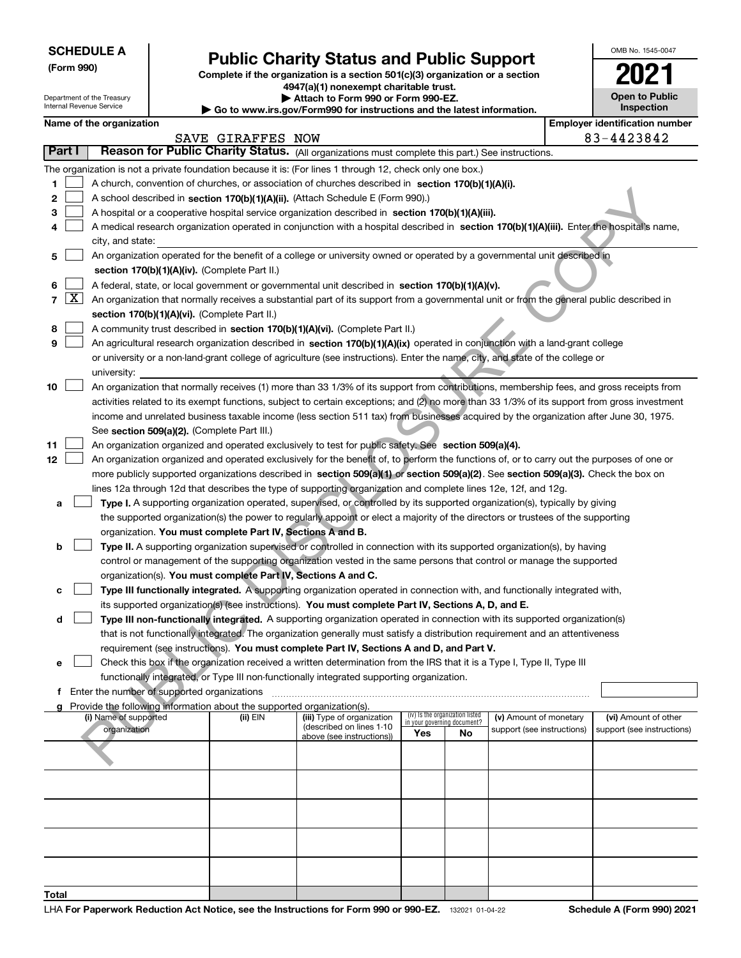Department of the Treasury Internal Revenue Service

**(Form 990)**

# **Public Charity Status and Public Support**

**Complete if the organization is a section 501(c)(3) organization or a section 4947(a)(1) nonexempt charitable trust.**

**| Attach to Form 990 or Form 990-EZ.** 

**| Go to www.irs.gov/Form990 for instructions and the latest information.**

| OMB No. 1545-0047 |  |
|-------------------|--|
|                   |  |

| <b>Open to Public</b> |  |  |
|-----------------------|--|--|
| <b>Inspection</b>     |  |  |

|                |                   | Name of the organization                                                                                                                                                              |                   |                            |                                 |    |                            |  | <b>Employer identification number</b> |  |  |
|----------------|-------------------|---------------------------------------------------------------------------------------------------------------------------------------------------------------------------------------|-------------------|----------------------------|---------------------------------|----|----------------------------|--|---------------------------------------|--|--|
|                |                   |                                                                                                                                                                                       | SAVE GIRAFFES NOW |                            |                                 |    |                            |  | 83-4423842                            |  |  |
| Part I         |                   | Reason for Public Charity Status. (All organizations must complete this part.) See instructions.                                                                                      |                   |                            |                                 |    |                            |  |                                       |  |  |
|                |                   | The organization is not a private foundation because it is: (For lines 1 through 12, check only one box.)                                                                             |                   |                            |                                 |    |                            |  |                                       |  |  |
| 1.             |                   | A church, convention of churches, or association of churches described in section 170(b)(1)(A)(i).                                                                                    |                   |                            |                                 |    |                            |  |                                       |  |  |
| 2              |                   | A school described in section 170(b)(1)(A)(ii). (Attach Schedule E (Form 990).)                                                                                                       |                   |                            |                                 |    |                            |  |                                       |  |  |
| з              |                   | A hospital or a cooperative hospital service organization described in section $170(b)(1)(A)(iii)$ .                                                                                  |                   |                            |                                 |    |                            |  |                                       |  |  |
| 4              |                   | A medical research organization operated in conjunction with a hospital described in section 170(b)(1)(A)(iii). Enter the hospital's name,                                            |                   |                            |                                 |    |                            |  |                                       |  |  |
|                |                   | city, and state:                                                                                                                                                                      |                   |                            |                                 |    |                            |  |                                       |  |  |
| 5              |                   | An organization operated for the benefit of a college or university owned or operated by a governmental unit described in                                                             |                   |                            |                                 |    |                            |  |                                       |  |  |
|                |                   | section 170(b)(1)(A)(iv). (Complete Part II.)<br>A federal, state, or local government or governmental unit described in section 170(b)(1)(A)(v).                                     |                   |                            |                                 |    |                            |  |                                       |  |  |
|                | $\sqrt{\text{X}}$ |                                                                                                                                                                                       |                   |                            |                                 |    |                            |  |                                       |  |  |
| $\overline{7}$ |                   | An organization that normally receives a substantial part of its support from a governmental unit or from the general public described in                                             |                   |                            |                                 |    |                            |  |                                       |  |  |
| 8              |                   | section 170(b)(1)(A)(vi). (Complete Part II.)<br>A community trust described in section 170(b)(1)(A)(vi). (Complete Part II.)                                                         |                   |                            |                                 |    |                            |  |                                       |  |  |
| 9              |                   | An agricultural research organization described in section 170(b)(1)(A)(ix) operated in conjunction with a land-grant college                                                         |                   |                            |                                 |    |                            |  |                                       |  |  |
|                |                   | or university or a non-land-grant college of agriculture (see instructions). Enter the name, city, and state of the college or                                                        |                   |                            |                                 |    |                            |  |                                       |  |  |
|                |                   | university:                                                                                                                                                                           |                   |                            |                                 |    |                            |  |                                       |  |  |
| 10             |                   | An organization that normally receives (1) more than 33 1/3% of its support from contributions, membership fees, and gross receipts from                                              |                   |                            |                                 |    |                            |  |                                       |  |  |
|                |                   | activities related to its exempt functions, subject to certain exceptions; and (2) no more than 33 1/3% of its support from gross investment                                          |                   |                            |                                 |    |                            |  |                                       |  |  |
|                |                   | income and unrelated business taxable income (less section 511 tax) from businesses acquired by the organization after June 30, 1975.                                                 |                   |                            |                                 |    |                            |  |                                       |  |  |
|                |                   | See section 509(a)(2). (Complete Part III.)                                                                                                                                           |                   |                            |                                 |    |                            |  |                                       |  |  |
| 11             |                   | An organization organized and operated exclusively to test for public safety. See section 509(a)(4).                                                                                  |                   |                            |                                 |    |                            |  |                                       |  |  |
| 12             |                   | An organization organized and operated exclusively for the benefit of, to perform the functions of, or to carry out the purposes of one or                                            |                   |                            |                                 |    |                            |  |                                       |  |  |
|                |                   | more publicly supported organizations described in section 509(a)(1) or section 509(a)(2). See section 509(a)(3). Check the box on                                                    |                   |                            |                                 |    |                            |  |                                       |  |  |
|                |                   | lines 12a through 12d that describes the type of supporting organization and complete lines 12e, 12f, and 12g.                                                                        |                   |                            |                                 |    |                            |  |                                       |  |  |
| а              |                   | Type I. A supporting organization operated, supervised, or controlled by its supported organization(s), typically by giving                                                           |                   |                            |                                 |    |                            |  |                                       |  |  |
|                |                   | the supported organization(s) the power to regularly appoint or elect a majority of the directors or trustees of the supporting                                                       |                   |                            |                                 |    |                            |  |                                       |  |  |
|                |                   | organization. You must complete Part IV, Sections A and B.                                                                                                                            |                   |                            |                                 |    |                            |  |                                       |  |  |
| b              |                   | Type II. A supporting organization supervised or controlled in connection with its supported organization(s), by having                                                               |                   |                            |                                 |    |                            |  |                                       |  |  |
|                |                   | control or management of the supporting organization vested in the same persons that control or manage the supported<br>organization(s). You must complete Part IV, Sections A and C. |                   |                            |                                 |    |                            |  |                                       |  |  |
| с              |                   | Type III functionally integrated. A supporting organization operated in connection with, and functionally integrated with,                                                            |                   |                            |                                 |    |                            |  |                                       |  |  |
|                |                   | its supported organization(s) (see instructions). You must complete Part IV, Sections A, D, and E.                                                                                    |                   |                            |                                 |    |                            |  |                                       |  |  |
| d              |                   | Type III non-functionally integrated. A supporting organization operated in connection with its supported organization(s)                                                             |                   |                            |                                 |    |                            |  |                                       |  |  |
|                |                   | that is not functionally integrated. The organization generally must satisfy a distribution requirement and an attentiveness                                                          |                   |                            |                                 |    |                            |  |                                       |  |  |
|                |                   | requirement (see instructions). You must complete Part IV, Sections A and D, and Part V.                                                                                              |                   |                            |                                 |    |                            |  |                                       |  |  |
| е              |                   | Check this box if the organization received a written determination from the IRS that it is a Type I, Type II, Type III                                                               |                   |                            |                                 |    |                            |  |                                       |  |  |
|                |                   | functionally integrated, or Type III non-functionally integrated supporting organization.                                                                                             |                   |                            |                                 |    |                            |  |                                       |  |  |
| f.             |                   | Enter the number of supported organizations                                                                                                                                           |                   |                            |                                 |    |                            |  |                                       |  |  |
| a              |                   | Provide the following information about the supported organization(s).<br>(i) Name of supported                                                                                       | (ii) EIN          | (iii) Type of organization | (iv) Is the organization listed |    | (v) Amount of monetary     |  | (vi) Amount of other                  |  |  |
|                |                   | organization                                                                                                                                                                          |                   | (described on lines 1-10   | in your governing document?     |    | support (see instructions) |  | support (see instructions)            |  |  |
|                |                   |                                                                                                                                                                                       |                   | above (see instructions))  | Yes                             | No |                            |  |                                       |  |  |
|                |                   |                                                                                                                                                                                       |                   |                            |                                 |    |                            |  |                                       |  |  |
|                |                   |                                                                                                                                                                                       |                   |                            |                                 |    |                            |  |                                       |  |  |
|                |                   |                                                                                                                                                                                       |                   |                            |                                 |    |                            |  |                                       |  |  |
|                |                   |                                                                                                                                                                                       |                   |                            |                                 |    |                            |  |                                       |  |  |
|                |                   |                                                                                                                                                                                       |                   |                            |                                 |    |                            |  |                                       |  |  |
|                |                   |                                                                                                                                                                                       |                   |                            |                                 |    |                            |  |                                       |  |  |
|                |                   |                                                                                                                                                                                       |                   |                            |                                 |    |                            |  |                                       |  |  |
|                |                   |                                                                                                                                                                                       |                   |                            |                                 |    |                            |  |                                       |  |  |
| Total          |                   |                                                                                                                                                                                       |                   |                            |                                 |    |                            |  |                                       |  |  |
|                |                   |                                                                                                                                                                                       |                   |                            |                                 |    |                            |  |                                       |  |  |

LHA For Paperwork Reduction Act Notice, see the Instructions for Form 990 or 990-EZ. <sub>132021</sub> o1-04-22 Schedule A (Form 990) 2021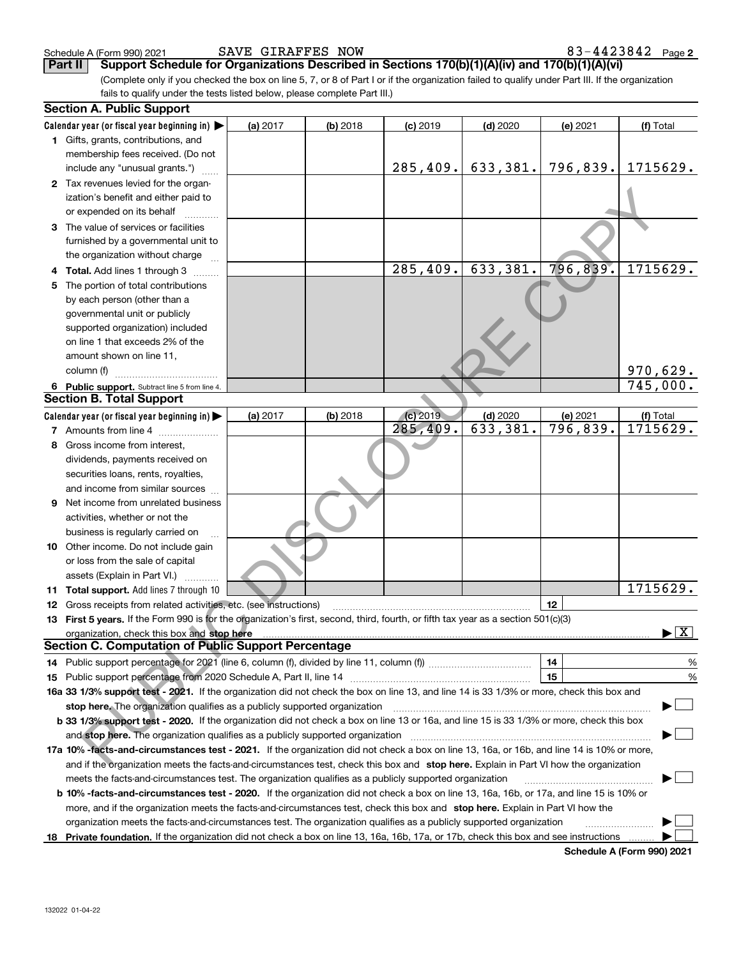| membership fees received. (Do not                                                                                                                                                  |          |          |            |            |                                           |                                 |
|------------------------------------------------------------------------------------------------------------------------------------------------------------------------------------|----------|----------|------------|------------|-------------------------------------------|---------------------------------|
| include any "unusual grants.")                                                                                                                                                     |          |          |            |            | 285,409.   633,381.   796,839.   1715629. |                                 |
| 2 Tax revenues levied for the organ-                                                                                                                                               |          |          |            |            |                                           |                                 |
| ization's benefit and either paid to                                                                                                                                               |          |          |            |            |                                           |                                 |
| or expended on its behalf                                                                                                                                                          |          |          |            |            |                                           |                                 |
| 3 The value of services or facilities                                                                                                                                              |          |          |            |            |                                           |                                 |
| furnished by a governmental unit to                                                                                                                                                |          |          |            |            |                                           |                                 |
| the organization without charge                                                                                                                                                    |          |          |            |            |                                           |                                 |
| 4 Total. Add lines 1 through 3                                                                                                                                                     |          |          | 285, 409.  | 633,381.   | 796,839.                                  | 1715629.                        |
| 5 The portion of total contributions                                                                                                                                               |          |          |            |            |                                           |                                 |
| by each person (other than a                                                                                                                                                       |          |          |            |            |                                           |                                 |
| governmental unit or publicly                                                                                                                                                      |          |          |            |            |                                           |                                 |
| supported organization) included                                                                                                                                                   |          |          |            |            |                                           |                                 |
| on line 1 that exceeds 2% of the                                                                                                                                                   |          |          |            |            |                                           |                                 |
| amount shown on line 11,                                                                                                                                                           |          |          |            |            |                                           |                                 |
| column (f)                                                                                                                                                                         |          |          |            |            |                                           | 970,629.                        |
| 6 Public support. Subtract line 5 from line 4.                                                                                                                                     |          |          |            |            |                                           | 745,000.                        |
| <b>Section B. Total Support</b>                                                                                                                                                    |          |          |            |            |                                           |                                 |
| Calendar year (or fiscal year beginning in) $\blacktriangleright$                                                                                                                  | (a) 2017 | (b) 2018 | $(c)$ 2019 | $(d)$ 2020 | (e) 2021                                  | (f) Total                       |
| 7 Amounts from line 4                                                                                                                                                              |          |          | 285,409.   | 633,381.   | $\overline{796,839}$ .                    | 1715629.                        |
| 8 Gross income from interest,                                                                                                                                                      |          |          |            |            |                                           |                                 |
| dividends, payments received on                                                                                                                                                    |          |          |            |            |                                           |                                 |
| securities loans, rents, royalties,                                                                                                                                                |          |          |            |            |                                           |                                 |
| and income from similar sources                                                                                                                                                    |          |          |            |            |                                           |                                 |
| <b>9</b> Net income from unrelated business                                                                                                                                        |          |          |            |            |                                           |                                 |
| activities, whether or not the                                                                                                                                                     |          |          |            |            |                                           |                                 |
| business is regularly carried on                                                                                                                                                   |          |          |            |            |                                           |                                 |
| 10 Other income. Do not include gain                                                                                                                                               |          |          |            |            |                                           |                                 |
| or loss from the sale of capital                                                                                                                                                   |          |          |            |            |                                           |                                 |
| assets (Explain in Part VI.)                                                                                                                                                       |          |          |            |            |                                           |                                 |
| <b>11 Total support.</b> Add lines 7 through 10                                                                                                                                    |          |          |            |            |                                           | 1715629.                        |
| 12 Gross receipts from related activities, etc. (see instructions)                                                                                                                 |          |          |            |            | 12                                        |                                 |
| 13 First 5 years. If the Form 990 is for the organization's first, second, third, fourth, or fifth tax year as a section 501(c)(3)                                                 |          |          |            |            |                                           |                                 |
| organization, check this box and stop here                                                                                                                                         |          |          |            |            |                                           | $\blacktriangleright$ $\vert$ X |
| Section C. Computation of Public Support Percentage                                                                                                                                |          |          |            |            |                                           |                                 |
|                                                                                                                                                                                    |          |          |            |            | 14                                        | %                               |
|                                                                                                                                                                                    |          |          |            |            | 15                                        | %                               |
| 16a 33 1/3% support test - 2021. If the organization did not check the box on line 13, and line 14 is 33 1/3% or more, check this box and                                          |          |          |            |            |                                           |                                 |
| stop here. The organization qualifies as a publicly supported organization                                                                                                         |          |          |            |            |                                           |                                 |
| b 33 1/3% support test - 2020. If the organization did not check a box on line 13 or 16a, and line 15 is 33 1/3% or more, check this box                                           |          |          |            |            |                                           |                                 |
| and stop here. The organization qualifies as a publicly supported organization manufactured content and stop here. The organization qualifies as a publicly supported organization |          |          |            |            |                                           |                                 |
| 17a 10% - Tacts-and-circumstances test - 2021. If the organization did not check a box on line 13, 16a, or 16b, and line 14 is 10% or more,                                        |          |          |            |            |                                           |                                 |
| and if the organization meets the facts-and-circumstances test, check this box and stop here. Explain in Part VI how the organization                                              |          |          |            |            |                                           |                                 |
| meets the facts-and-circumstances test. The organization qualifies as a publicly supported organization                                                                            |          |          |            |            |                                           |                                 |
| <b>b 10% -facts-and-circumstances test - 2020.</b> If the organization did not check a box on line 13, 16a, 16b, or 17a, and line 15 is 10% or                                     |          |          |            |            |                                           |                                 |
| more, and if the organization meets the facts-and-circumstances test, check this box and stop here. Explain in Part VI how the                                                     |          |          |            |            |                                           |                                 |
| organization meets the facts-and-circumstances test. The organization qualifies as a publicly supported organization                                                               |          |          |            |            |                                           |                                 |
| 18 Private foundation. If the organization did not check a box on line 13, 16a, 16b, 17a, or 17b, check this box and see instructions                                              |          |          |            |            |                                           |                                 |
|                                                                                                                                                                                    |          |          |            |            |                                           | Schedule A (Form 990) 2021      |

Schedule A (Form 990) 2021 SAVE GIRAFFES NOW 83-4423842 Page **Part II Support Schedule for Organizations Described in Sections 170(b)(1)(A)(iv) and 170(b)(1)(A)(vi)**

(Complete only if you checked the box on line 5, 7, or 8 of Part I or if the organization failed to qualify under Part III. If the organization fails to qualify under the tests listed below, please complete Part III.)

**(a)** 2017 **(b)** 2018 **(c)** 2019 (**d)** 2020 **(e)** 2021 **(f)** Total

(a) 2017

**Calendar year (or fiscal year beginning in)**  |

**1**Gifts, grants, contributions, and

**Section A. Public Support**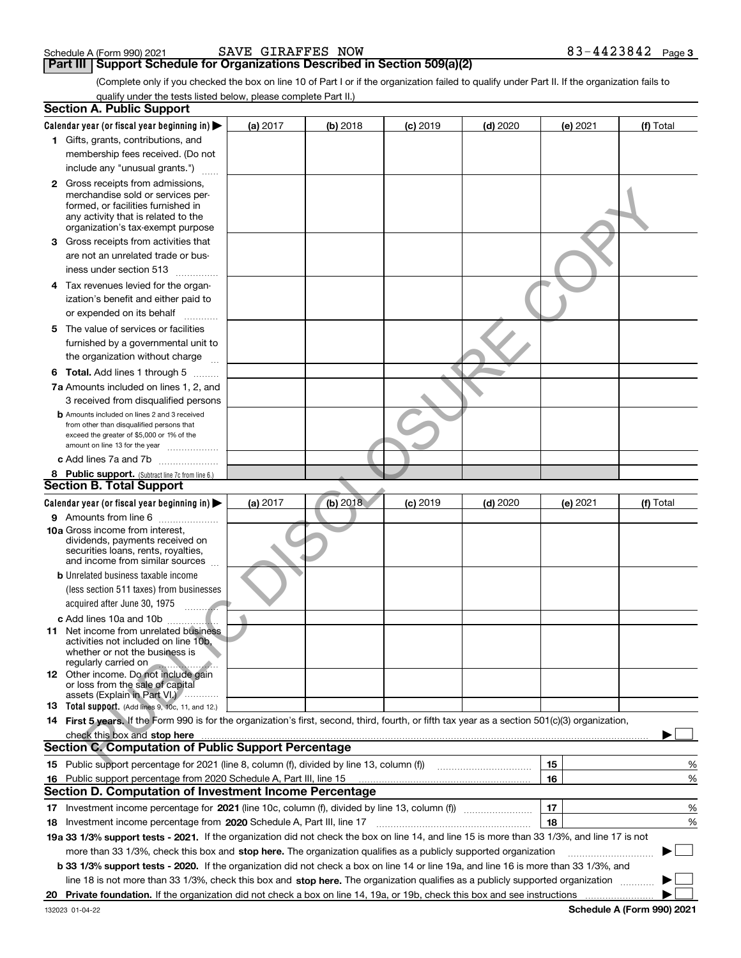| Schedule A (Form 990) 2021 |  | SAVE GIRAFFES | <b>NOW</b> | 3-4423842 | Page 3 |
|----------------------------|--|---------------|------------|-----------|--------|
|                            |  |               |            |           |        |

(Complete only if you checked the box on line 10 of Part I or if the organization failed to qualify under Part II. If the organization fails to **Part III | Support Schedule for Organizations Described in Section 509(a)(2)** 

qualify under the tests listed below, please complete Part II.)

|    | <b>Section A. Public Support</b>                                                                                                                                                                                                                                                                                                                                                   |          |            |            |            |          |                            |
|----|------------------------------------------------------------------------------------------------------------------------------------------------------------------------------------------------------------------------------------------------------------------------------------------------------------------------------------------------------------------------------------|----------|------------|------------|------------|----------|----------------------------|
|    | Calendar year (or fiscal year beginning in) $\blacktriangleright$                                                                                                                                                                                                                                                                                                                  | (a) 2017 | $(b)$ 2018 | $(c)$ 2019 | $(d)$ 2020 | (e) 2021 | (f) Total                  |
|    | <b>1</b> Gifts, grants, contributions, and                                                                                                                                                                                                                                                                                                                                         |          |            |            |            |          |                            |
|    | membership fees received. (Do not                                                                                                                                                                                                                                                                                                                                                  |          |            |            |            |          |                            |
|    | include any "unusual grants.")                                                                                                                                                                                                                                                                                                                                                     |          |            |            |            |          |                            |
|    | <b>2</b> Gross receipts from admissions,<br>merchandise sold or services per-<br>formed, or facilities furnished in<br>any activity that is related to the                                                                                                                                                                                                                         |          |            |            |            |          |                            |
|    | organization's tax-exempt purpose                                                                                                                                                                                                                                                                                                                                                  |          |            |            |            |          |                            |
| 3. | Gross receipts from activities that                                                                                                                                                                                                                                                                                                                                                |          |            |            |            |          |                            |
|    | are not an unrelated trade or bus-<br>iness under section 513                                                                                                                                                                                                                                                                                                                      |          |            |            |            |          |                            |
|    | 4 Tax revenues levied for the organ-                                                                                                                                                                                                                                                                                                                                               |          |            |            |            |          |                            |
|    | ization's benefit and either paid to                                                                                                                                                                                                                                                                                                                                               |          |            |            |            |          |                            |
|    | or expended on its behalf<br>.                                                                                                                                                                                                                                                                                                                                                     |          |            |            |            |          |                            |
| 5. | The value of services or facilities                                                                                                                                                                                                                                                                                                                                                |          |            |            |            |          |                            |
|    | furnished by a governmental unit to                                                                                                                                                                                                                                                                                                                                                |          |            |            |            |          |                            |
|    | the organization without charge                                                                                                                                                                                                                                                                                                                                                    |          |            |            |            |          |                            |
|    | <b>6 Total.</b> Add lines 1 through 5                                                                                                                                                                                                                                                                                                                                              |          |            |            |            |          |                            |
|    | 7a Amounts included on lines 1, 2, and                                                                                                                                                                                                                                                                                                                                             |          |            |            |            |          |                            |
|    | 3 received from disqualified persons                                                                                                                                                                                                                                                                                                                                               |          |            |            |            |          |                            |
|    | <b>b</b> Amounts included on lines 2 and 3 received<br>from other than disqualified persons that                                                                                                                                                                                                                                                                                   |          |            |            |            |          |                            |
|    | exceed the greater of \$5,000 or 1% of the<br>amount on line 13 for the year                                                                                                                                                                                                                                                                                                       |          |            |            |            |          |                            |
|    | c Add lines 7a and 7b                                                                                                                                                                                                                                                                                                                                                              |          |            |            |            |          |                            |
|    | 8 Public support. (Subtract line 7c from line 6.)                                                                                                                                                                                                                                                                                                                                  |          |            |            |            |          |                            |
|    | <b>Section B. Total Support</b>                                                                                                                                                                                                                                                                                                                                                    |          |            |            |            |          |                            |
|    | Calendar year (or fiscal year beginning in)                                                                                                                                                                                                                                                                                                                                        | (a) 2017 | (b) 2018   | $(c)$ 2019 | $(d)$ 2020 | (e) 2021 | (f) Total                  |
|    | 9 Amounts from line 6                                                                                                                                                                                                                                                                                                                                                              |          |            |            |            |          |                            |
|    | 10a Gross income from interest,<br>dividends, payments received on<br>securities loans, rents, royalties,<br>and income from similar sources                                                                                                                                                                                                                                       |          |            |            |            |          |                            |
|    | <b>b</b> Unrelated business taxable income                                                                                                                                                                                                                                                                                                                                         |          |            |            |            |          |                            |
|    | (less section 511 taxes) from businesses                                                                                                                                                                                                                                                                                                                                           |          |            |            |            |          |                            |
|    | acquired after June 30, 1975<br>$\ldots$                                                                                                                                                                                                                                                                                                                                           |          |            |            |            |          |                            |
|    | c Add lines 10a and 10b<br>11 Net income from unrelated business<br>activities not included on line 10b.<br>whether or not the business is                                                                                                                                                                                                                                         |          |            |            |            |          |                            |
|    | regularly carried on                                                                                                                                                                                                                                                                                                                                                               |          |            |            |            |          |                            |
|    | 12 Other income. Do not include gain<br>or loss from the sale of capital<br>assets (Explain in Part VI.)                                                                                                                                                                                                                                                                           |          |            |            |            |          |                            |
|    | 13 Total support. (Add lines 9, 10c, 11, and 12.)                                                                                                                                                                                                                                                                                                                                  |          |            |            |            |          |                            |
|    | 14 First 5 years. If the Form 990 is for the organization's first, second, third, fourth, or fifth tax year as a section 501(c)(3) organization,<br>check this box and stop here measurement content to the state of the state of the state of the state of the state of the state of the state of the state of the state of the state of the state of the state of the state of t |          |            |            |            |          |                            |
|    | <b>Section C. Computation of Public Support Percentage</b>                                                                                                                                                                                                                                                                                                                         |          |            |            |            |          |                            |
|    |                                                                                                                                                                                                                                                                                                                                                                                    |          |            |            |            | 15       | %                          |
| 16 |                                                                                                                                                                                                                                                                                                                                                                                    |          |            |            |            | 16       | %                          |
|    | Public support percentage from 2020 Schedule A, Part III, line 15<br><b>Section D. Computation of Investment Income Percentage</b>                                                                                                                                                                                                                                                 |          |            |            |            |          |                            |
|    |                                                                                                                                                                                                                                                                                                                                                                                    |          |            |            |            |          |                            |
| 17 | Investment income percentage for 2021 (line 10c, column (f), divided by line 13, column (f))                                                                                                                                                                                                                                                                                       |          |            |            |            | 17       | %                          |
| 18 | Investment income percentage from 2020 Schedule A, Part III, line 17                                                                                                                                                                                                                                                                                                               |          |            |            |            | 18       | %                          |
|    | 19a 33 1/3% support tests - 2021. If the organization did not check the box on line 14, and line 15 is more than 33 1/3%, and line 17 is not                                                                                                                                                                                                                                       |          |            |            |            |          |                            |
|    | more than 33 1/3%, check this box and stop here. The organization qualifies as a publicly supported organization                                                                                                                                                                                                                                                                   |          |            |            |            |          | ▶                          |
|    | b 33 1/3% support tests - 2020. If the organization did not check a box on line 14 or line 19a, and line 16 is more than 33 1/3%, and                                                                                                                                                                                                                                              |          |            |            |            |          |                            |
|    | line 18 is not more than 33 1/3%, check this box and stop here. The organization qualifies as a publicly supported organization                                                                                                                                                                                                                                                    |          |            |            |            |          |                            |
|    | 20 Private foundation. If the organization did not check a box on line 14, 19a, or 19b, check this box and see instructions                                                                                                                                                                                                                                                        |          |            |            |            |          |                            |
|    |                                                                                                                                                                                                                                                                                                                                                                                    |          |            |            |            |          | Cohodulo A (Form 000) 2024 |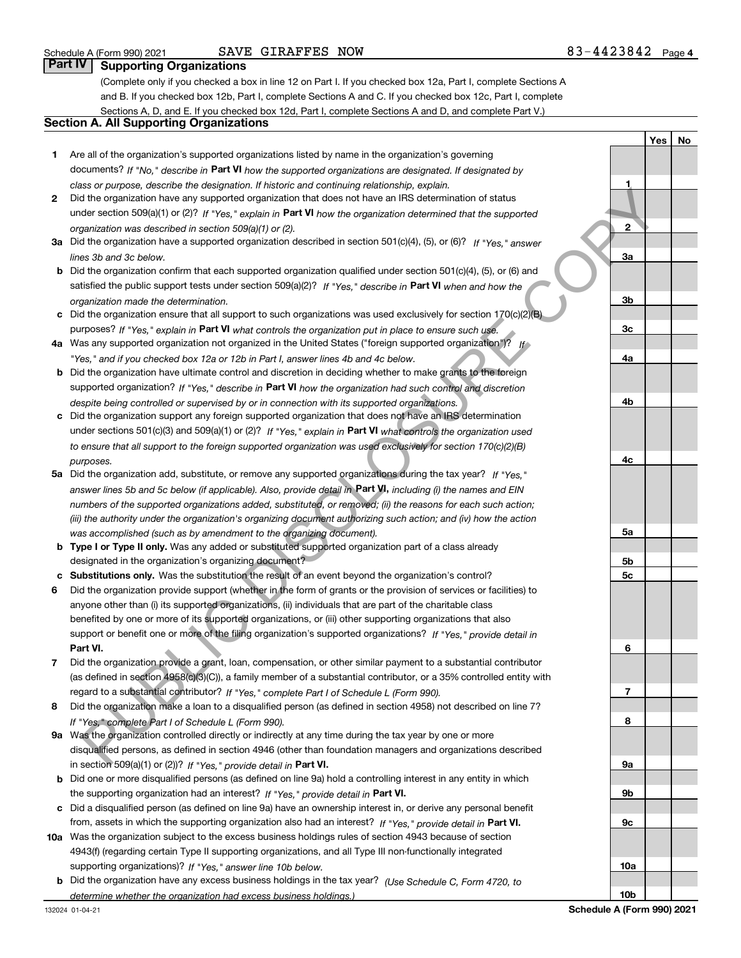**1**

**2**

**3a**

**3b**

**3c**

**4a**

**4b**

**4c**

**5a**

**5b5c**

**6**

**7**

**8**

**9a**

**9b**

**9c**

**10a**

**Yes No**

## **Part IV Supporting Organizations**

(Complete only if you checked a box in line 12 on Part I. If you checked box 12a, Part I, complete Sections A and B. If you checked box 12b, Part I, complete Sections A and C. If you checked box 12c, Part I, complete Sections A, D, and E. If you checked box 12d, Part I, complete Sections A and D, and complete Part V.)

## **Section A. All Supporting Organizations**

- **1** Are all of the organization's supported organizations listed by name in the organization's governing documents? If "No," describe in **Part VI** how the supported organizations are designated. If designated by *class or purpose, describe the designation. If historic and continuing relationship, explain.*
- **2** Did the organization have any supported organization that does not have an IRS determination of status under section 509(a)(1) or (2)? If "Yes," explain in Part VI how the organization determined that the supported *organization was described in section 509(a)(1) or (2).*
- **3a** Did the organization have a supported organization described in section 501(c)(4), (5), or (6)? If "Yes," answer *lines 3b and 3c below.*
- **b** Did the organization confirm that each supported organization qualified under section 501(c)(4), (5), or (6) and satisfied the public support tests under section 509(a)(2)? If "Yes," describe in **Part VI** when and how the *organization made the determination.*
- **c** Did the organization ensure that all support to such organizations was used exclusively for section 170(c)(2)(B) purposes? If "Yes," explain in **Part VI** what controls the organization put in place to ensure such use.
- **4a** *If* Was any supported organization not organized in the United States ("foreign supported organization")? *"Yes," and if you checked box 12a or 12b in Part I, answer lines 4b and 4c below.*
- **b** Did the organization have ultimate control and discretion in deciding whether to make grants to the foreign supported organization? If "Yes," describe in **Part VI** how the organization had such control and discretion *despite being controlled or supervised by or in connection with its supported organizations.*
- **c** Did the organization support any foreign supported organization that does not have an IRS determination under sections 501(c)(3) and 509(a)(1) or (2)? If "Yes," explain in **Part VI** what controls the organization used *to ensure that all support to the foreign supported organization was used exclusively for section 170(c)(2)(B) purposes.*
- **5a***If "Yes,"* Did the organization add, substitute, or remove any supported organizations during the tax year? answer lines 5b and 5c below (if applicable). Also, provide detail in **Part VI,** including (i) the names and EIN *numbers of the supported organizations added, substituted, or removed; (ii) the reasons for each such action; (iii) the authority under the organization's organizing document authorizing such action; and (iv) how the action was accomplished (such as by amendment to the organizing document).*
- **b** Type I or Type II only. Was any added or substituted supported organization part of a class already designated in the organization's organizing document?
- **cSubstitutions only.**  Was the substitution the result of an event beyond the organization's control?
- **6** Did the organization provide support (whether in the form of grants or the provision of services or facilities) to **Part VI.** *If "Yes," provide detail in* support or benefit one or more of the filing organization's supported organizations? anyone other than (i) its supported organizations, (ii) individuals that are part of the charitable class benefited by one or more of its supported organizations, or (iii) other supporting organizations that also The organization have any supercolled completed to the organization (i.e. organization of the organization of the organization of the organization have a state of the organization have a state of the organization have a s
- **7**Did the organization provide a grant, loan, compensation, or other similar payment to a substantial contributor *If "Yes," complete Part I of Schedule L (Form 990).* regard to a substantial contributor? (as defined in section 4958(c)(3)(C)), a family member of a substantial contributor, or a 35% controlled entity with
- **8** Did the organization make a loan to a disqualified person (as defined in section 4958) not described on line 7? *If "Yes," complete Part I of Schedule L (Form 990).*
- **9a** Was the organization controlled directly or indirectly at any time during the tax year by one or more in section 509(a)(1) or (2))? If "Yes," *provide detail in* <code>Part VI.</code> disqualified persons, as defined in section 4946 (other than foundation managers and organizations described
- **b**the supporting organization had an interest? If "Yes," provide detail in P**art VI**. Did one or more disqualified persons (as defined on line 9a) hold a controlling interest in any entity in which
- **c**Did a disqualified person (as defined on line 9a) have an ownership interest in, or derive any personal benefit from, assets in which the supporting organization also had an interest? If "Yes," provide detail in P**art VI.**
- **10a** Was the organization subject to the excess business holdings rules of section 4943 because of section supporting organizations)? If "Yes," answer line 10b below. 4943(f) (regarding certain Type II supporting organizations, and all Type III non-functionally integrated
- **b** Did the organization have any excess business holdings in the tax year? (Use Schedule C, Form 4720, to *determine whether the organization had excess business holdings.)*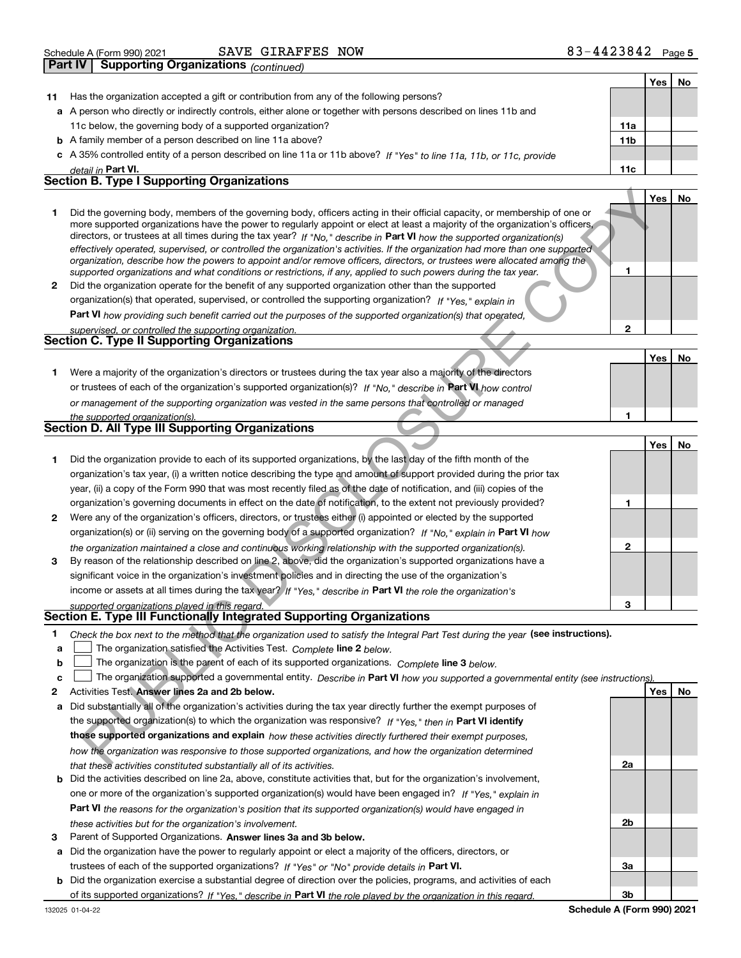| Schedule A (Form 990) 2021 | SAVE | GIRAFFES | <b>NOW</b> | - 54 ت | Page 5 |
|----------------------------|------|----------|------------|--------|--------|
|                            |      |          |            |        |        |



**3** Parent of Supported Organizations. Answer lines 3a and 3b below.

**a** Did the organization have the power to regularly appoint or elect a majority of the officers, directors, or trustees of each of the supported organizations? If "Yes" or "No" provide details in **Part VI.** 

**b** Did the organization exercise a substantial degree of direction over the policies, programs, and activities of each of its supported organizations? If "Yes," describe in **Part VI** the role played by the organization in this regard.<br>.

**3a**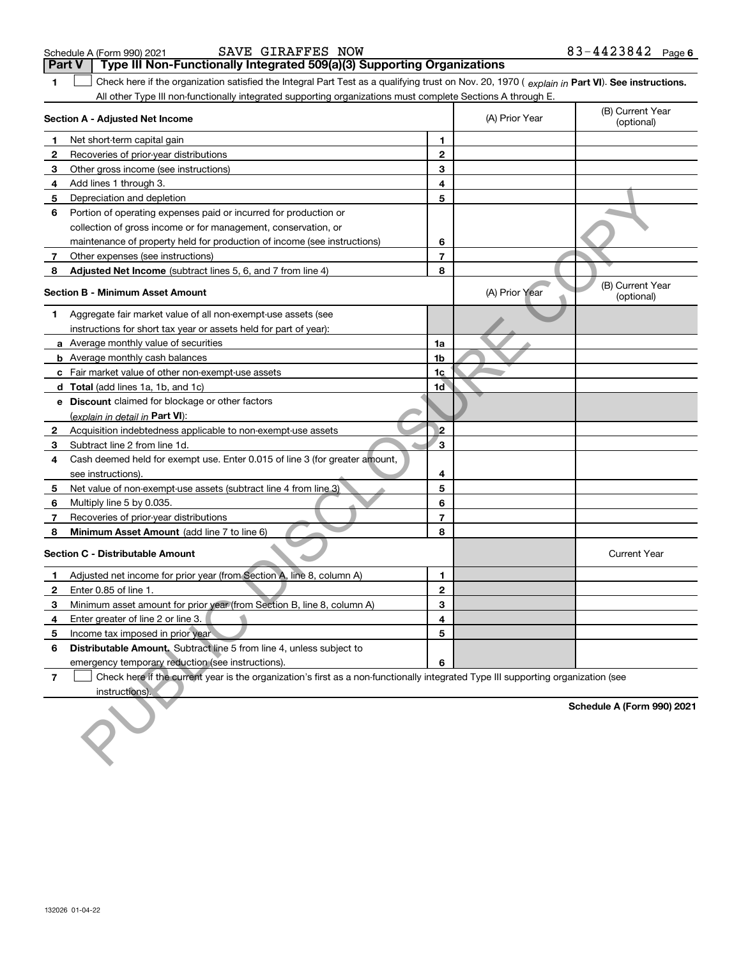| 6 | Multiply line 5 by 0.035.                                                                                                         | 6            |               |
|---|-----------------------------------------------------------------------------------------------------------------------------------|--------------|---------------|
| 7 | Recoveries of prior-year distributions                                                                                            | 7            |               |
| 8 | Minimum Asset Amount (add line 7 to line 6)                                                                                       | 8            |               |
|   | <b>Section C - Distributable Amount</b>                                                                                           |              | Curr          |
| 1 | Adjusted net income for prior year (from Section A, line 8, column A)                                                             | 1            |               |
| 2 | Enter 0.85 of line 1.                                                                                                             | $\mathbf{2}$ |               |
| 3 | Minimum asset amount for prior year (from Section B, line 8, column A)                                                            | 3            |               |
| 4 | Enter greater of line 2 or line 3.                                                                                                | 4            |               |
| 5 | Income tax imposed in prior year                                                                                                  | 5            |               |
| 6 | Distributable Amount. Subtract line 5 from line 4, unless subject to                                                              |              |               |
|   | emergency temporary reduction (see instructions).                                                                                 | 6            |               |
| 7 | Check here if the current year is the organization's first as a non-functionally integrated Type III supporting organization (see |              |               |
|   | instructions).                                                                                                                    |              |               |
|   |                                                                                                                                   |              | Schedule A (I |
|   |                                                                                                                                   |              |               |

| 5            | Depreciation and depletion                                                                                                                          | 5                       |                |                                |
|--------------|-----------------------------------------------------------------------------------------------------------------------------------------------------|-------------------------|----------------|--------------------------------|
| 6            | Portion of operating expenses paid or incurred for production or                                                                                    |                         |                |                                |
|              | collection of gross income or for management, conservation, or                                                                                      |                         |                |                                |
|              | maintenance of property held for production of income (see instructions)                                                                            | 6                       |                |                                |
| $7^{\circ}$  | Other expenses (see instructions)                                                                                                                   | $\overline{7}$          |                |                                |
| 8            | Adjusted Net Income (subtract lines 5, 6, and 7 from line 4)                                                                                        | 8                       |                |                                |
|              | <b>Section B - Minimum Asset Amount</b>                                                                                                             |                         | (A) Prior Year | (B) Current Year<br>(optional) |
| 1            | Aggregate fair market value of all non-exempt-use assets (see                                                                                       |                         |                |                                |
|              | instructions for short tax year or assets held for part of year):                                                                                   |                         |                |                                |
|              | <b>a</b> Average monthly value of securities                                                                                                        | 1a                      |                |                                |
|              | <b>b</b> Average monthly cash balances                                                                                                              | 1 <sub>b</sub>          |                |                                |
|              | c Fair market value of other non-exempt-use assets                                                                                                  | 1c                      |                |                                |
|              | d Total (add lines 1a, 1b, and 1c)                                                                                                                  | 1d                      |                |                                |
| е            | <b>Discount</b> claimed for blockage or other factors                                                                                               |                         |                |                                |
|              | (explain in detail in Part VI):                                                                                                                     |                         |                |                                |
| $\mathbf{2}$ | Acquisition indebtedness applicable to non-exempt-use assets                                                                                        | $\overline{\mathbf{2}}$ |                |                                |
| 3            | Subtract line 2 from line 1d.                                                                                                                       | $\overline{\mathbf{3}}$ |                |                                |
| 4            | Cash deemed held for exempt use. Enter 0.015 of line 3 (for greater amount,                                                                         |                         |                |                                |
|              | see instructions).                                                                                                                                  | 4                       |                |                                |
| 5            | Net value of non-exempt-use assets (subtract line 4 from line 3)                                                                                    | 5                       |                |                                |
| 6            | Multiply line 5 by 0.035.                                                                                                                           | 6                       |                |                                |
| $\mathbf{7}$ | Recoveries of prior-year distributions                                                                                                              | $\overline{7}$          |                |                                |
| 8            | Minimum Asset Amount (add line 7 to line 6)                                                                                                         | 8                       |                |                                |
|              | <b>Section C - Distributable Amount</b>                                                                                                             |                         |                | <b>Current Year</b>            |
| 1            | Adjusted net income for prior year (from Section A, line 8, column A)                                                                               | $\mathbf{1}$            |                |                                |
| $\mathbf{2}$ | Enter 0.85 of line 1.                                                                                                                               | $\mathbf{2}$            |                |                                |
| З            | Minimum asset amount for prior year (from Section B, line 8, column A)                                                                              | 3                       |                |                                |
| 4            | Enter greater of line 2 or line 3.                                                                                                                  | 4                       |                |                                |
| 5            | Income tax imposed in prior year                                                                                                                    | 5                       |                |                                |
| 6            | Distributable Amount. Subtract line 5 from line 4, unless subject to                                                                                |                         |                |                                |
|              | emergency temporary reduction (see instructions).                                                                                                   | 6                       |                |                                |
| 7            | Check here if the current year is the organization's first as a non-functionally integrated Type III supporting organization (see<br>instructions). |                         |                |                                |
|              |                                                                                                                                                     |                         |                | Schedule A (Form 990) 2021     |

**34** Add lines 1 through 3. Other gross income (see instructions) Depreciation and depletion

Recoveries of prior-year distributions

**Section A - Adjusted Net Income 11**(A) Prior Year Net short-term capital gain

**Part VI** Check here if the organization satisfied the Integral Part Test as a qualifying trust on Nov. 20, 1970 ( *explain in* Part **VI**). See instructions. **Part V Type III Non-Functionally Integrated 509(a)(3) Supporting Organizations**   $\mathcal{L}^{\text{max}}$ 

All other Type III non-functionally integrated supporting organizations must complete Sections A through E.

(B) Current Year (optional)

**1**

**2**

132026 01-04-22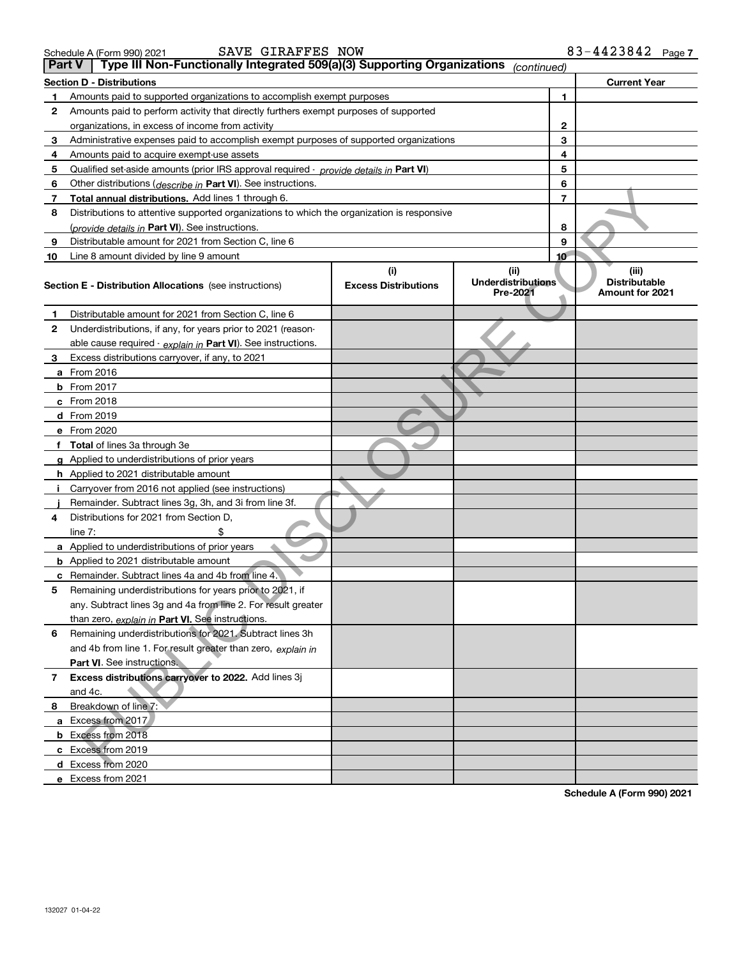| Schedule A (Form 990) 2021 |                           |
|----------------------------|---------------------------|
|                            | Part V   Type III Non-Fun |

|    | SAVE GIRAFFES NOW<br>Schedule A (Form 990) 2021                                                         |                                    |                                               |                 | 83-4423842 Page 7                                       |  |  |  |
|----|---------------------------------------------------------------------------------------------------------|------------------------------------|-----------------------------------------------|-----------------|---------------------------------------------------------|--|--|--|
|    | Type III Non-Functionally Integrated 509(a)(3) Supporting Organizations<br><b>Part V</b><br>(continued) |                                    |                                               |                 |                                                         |  |  |  |
|    | <b>Section D - Distributions</b>                                                                        |                                    |                                               |                 | <b>Current Year</b>                                     |  |  |  |
| 1  | Amounts paid to supported organizations to accomplish exempt purposes                                   |                                    |                                               | 1.              |                                                         |  |  |  |
| 2  | Amounts paid to perform activity that directly furthers exempt purposes of supported                    |                                    |                                               |                 |                                                         |  |  |  |
|    | organizations, in excess of income from activity                                                        |                                    |                                               | $\mathbf{2}$    |                                                         |  |  |  |
| 3  | Administrative expenses paid to accomplish exempt purposes of supported organizations                   |                                    |                                               | 3               |                                                         |  |  |  |
| 4  | Amounts paid to acquire exempt-use assets                                                               |                                    |                                               | 4               |                                                         |  |  |  |
| 5  | Qualified set-aside amounts (prior IRS approval required - provide details in Part VI)                  |                                    |                                               | 5               |                                                         |  |  |  |
| 6  | Other distributions ( <i>describe in</i> Part VI). See instructions.                                    |                                    |                                               | 6               |                                                         |  |  |  |
| 7  | Total annual distributions. Add lines 1 through 6.                                                      |                                    |                                               | $\overline{7}$  |                                                         |  |  |  |
| 8  | Distributions to attentive supported organizations to which the organization is responsive              |                                    |                                               |                 |                                                         |  |  |  |
|    | (provide details in Part VI). See instructions.                                                         |                                    |                                               | 8               |                                                         |  |  |  |
| 9  | Distributable amount for 2021 from Section C, line 6                                                    |                                    |                                               | 9               |                                                         |  |  |  |
| 10 | Line 8 amount divided by line 9 amount                                                                  |                                    |                                               | 10 <sup>°</sup> |                                                         |  |  |  |
|    | <b>Section E - Distribution Allocations</b> (see instructions)                                          | (i)<br><b>Excess Distributions</b> | (ii)<br><b>Underdistributions</b><br>Pre-2021 |                 | (iii)<br><b>Distributable</b><br><b>Amount for 2021</b> |  |  |  |
|    |                                                                                                         |                                    |                                               |                 |                                                         |  |  |  |
| 1  | Distributable amount for 2021 from Section C, line 6                                                    |                                    |                                               |                 |                                                         |  |  |  |
| 2  | Underdistributions, if any, for years prior to 2021 (reason-                                            |                                    |                                               |                 |                                                         |  |  |  |
|    | able cause required - explain in Part VI). See instructions.                                            |                                    |                                               |                 |                                                         |  |  |  |
| 3  | Excess distributions carryover, if any, to 2021                                                         |                                    |                                               |                 |                                                         |  |  |  |
|    | a From 2016                                                                                             |                                    |                                               |                 |                                                         |  |  |  |
|    | $b$ From 2017                                                                                           |                                    |                                               |                 |                                                         |  |  |  |
|    | c From 2018                                                                                             |                                    |                                               |                 |                                                         |  |  |  |
|    | d From 2019                                                                                             |                                    |                                               |                 |                                                         |  |  |  |
|    | e From 2020                                                                                             |                                    |                                               |                 |                                                         |  |  |  |
|    | f Total of lines 3a through 3e                                                                          |                                    |                                               |                 |                                                         |  |  |  |
|    | g Applied to underdistributions of prior years                                                          |                                    |                                               |                 |                                                         |  |  |  |
|    | <b>h</b> Applied to 2021 distributable amount                                                           |                                    |                                               |                 |                                                         |  |  |  |
|    | Carryover from 2016 not applied (see instructions)                                                      |                                    |                                               |                 |                                                         |  |  |  |
|    | Remainder. Subtract lines 3g, 3h, and 3i from line 3f.                                                  |                                    |                                               |                 |                                                         |  |  |  |
| 4  | Distributions for 2021 from Section D.                                                                  |                                    |                                               |                 |                                                         |  |  |  |
|    | line $7:$<br>\$                                                                                         |                                    |                                               |                 |                                                         |  |  |  |
|    | <b>a</b> Applied to underdistributions of prior years                                                   |                                    |                                               |                 |                                                         |  |  |  |
|    | <b>b</b> Applied to 2021 distributable amount                                                           |                                    |                                               |                 |                                                         |  |  |  |
|    | c Remainder. Subtract lines 4a and 4b from line 4.                                                      |                                    |                                               |                 |                                                         |  |  |  |
|    | Remaining underdistributions for years prior to 2021, if                                                |                                    |                                               |                 |                                                         |  |  |  |
|    | any. Subtract lines 3g and 4a from line 2. For result greater                                           |                                    |                                               |                 |                                                         |  |  |  |
|    | than zero, explain in Part VI. See instructions.                                                        |                                    |                                               |                 |                                                         |  |  |  |
| 6  | Remaining underdistributions for 2021. Subtract lines 3h                                                |                                    |                                               |                 |                                                         |  |  |  |
|    | and 4b from line 1. For result greater than zero, explain in                                            |                                    |                                               |                 |                                                         |  |  |  |
|    | <b>Part VI.</b> See instructions.                                                                       |                                    |                                               |                 |                                                         |  |  |  |
| 7  | Excess distributions carryover to 2022. Add lines 3j<br>and 4c.                                         |                                    |                                               |                 |                                                         |  |  |  |
| 8  | Breakdown of line 7:                                                                                    |                                    |                                               |                 |                                                         |  |  |  |
|    | a Excess from 2017                                                                                      |                                    |                                               |                 |                                                         |  |  |  |
|    | <b>b</b> Excess from 2018                                                                               |                                    |                                               |                 |                                                         |  |  |  |
|    | c Excess from 2019                                                                                      |                                    |                                               |                 |                                                         |  |  |  |
|    | d Excess from 2020                                                                                      |                                    |                                               |                 |                                                         |  |  |  |
|    | e Excess from 2021                                                                                      |                                    |                                               |                 |                                                         |  |  |  |
|    |                                                                                                         |                                    |                                               |                 |                                                         |  |  |  |

**Schedule A (Form 990) 2021**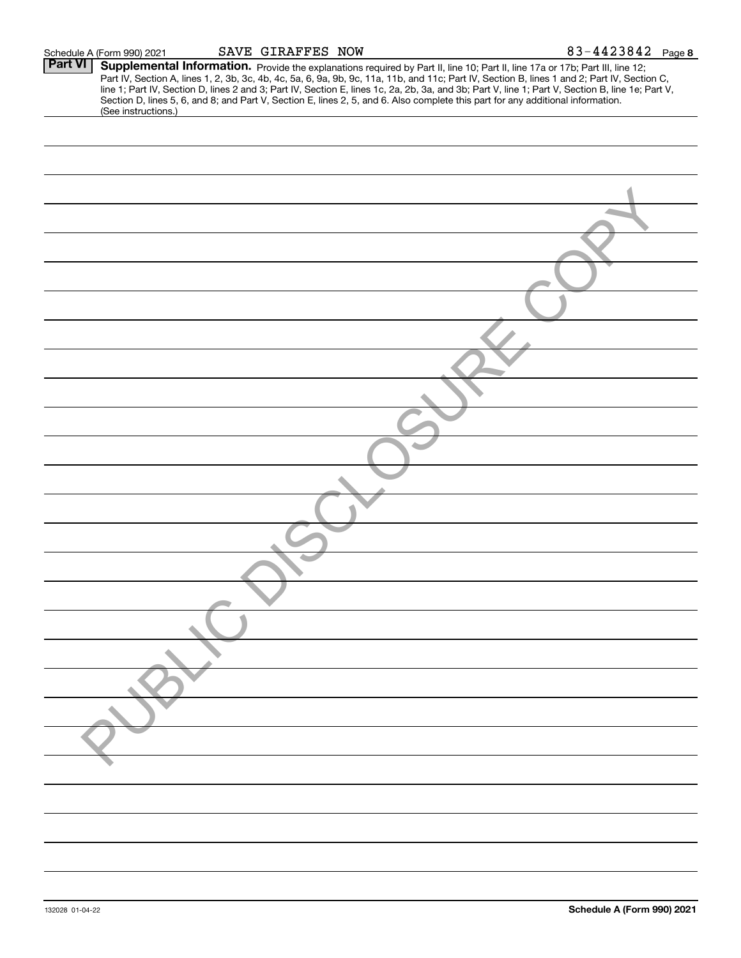Schedule A (Form 990) 2021 SAVE GIRAFFES NOW 83-4423842 Page

| Part VI | Supplemental Information. Provide the explanations required by Part II, line 10; Part II, line 17a or 17b; Part III, line 12;                                                                                                                                                       |
|---------|-------------------------------------------------------------------------------------------------------------------------------------------------------------------------------------------------------------------------------------------------------------------------------------|
|         | Part IV, Section A, lines 1, 2, 3b, 3c, 4b, 4c, 5a, 6, 9a, 9b, 9c, 11a, 11b, and 11c; Part IV, Section B, lines 1 and 2; Part IV, Section C,                                                                                                                                        |
|         | line 1; Part IV, Section D, lines 2 and 3; Part IV, Section E, lines 1c, 2a, 2b, 3a, and 3b; Part V, line 1; Part V, Section B, line 1e; Part V,<br>Section D, lines 5, 6, and 8; and Part V, Section E, lines 2, 5, and 6. Also complete this part for any additional information. |
|         | (See instructions.)                                                                                                                                                                                                                                                                 |
|         |                                                                                                                                                                                                                                                                                     |
|         |                                                                                                                                                                                                                                                                                     |
|         |                                                                                                                                                                                                                                                                                     |
|         |                                                                                                                                                                                                                                                                                     |
|         |                                                                                                                                                                                                                                                                                     |
|         |                                                                                                                                                                                                                                                                                     |
|         |                                                                                                                                                                                                                                                                                     |
|         |                                                                                                                                                                                                                                                                                     |
|         |                                                                                                                                                                                                                                                                                     |
|         |                                                                                                                                                                                                                                                                                     |
|         |                                                                                                                                                                                                                                                                                     |
|         |                                                                                                                                                                                                                                                                                     |
|         |                                                                                                                                                                                                                                                                                     |
|         |                                                                                                                                                                                                                                                                                     |
|         |                                                                                                                                                                                                                                                                                     |
|         |                                                                                                                                                                                                                                                                                     |
|         |                                                                                                                                                                                                                                                                                     |
|         |                                                                                                                                                                                                                                                                                     |
|         |                                                                                                                                                                                                                                                                                     |
|         |                                                                                                                                                                                                                                                                                     |
|         |                                                                                                                                                                                                                                                                                     |
|         |                                                                                                                                                                                                                                                                                     |
|         |                                                                                                                                                                                                                                                                                     |
|         |                                                                                                                                                                                                                                                                                     |
|         |                                                                                                                                                                                                                                                                                     |
|         |                                                                                                                                                                                                                                                                                     |
|         |                                                                                                                                                                                                                                                                                     |
|         |                                                                                                                                                                                                                                                                                     |
|         |                                                                                                                                                                                                                                                                                     |
|         |                                                                                                                                                                                                                                                                                     |
|         |                                                                                                                                                                                                                                                                                     |
|         |                                                                                                                                                                                                                                                                                     |
|         |                                                                                                                                                                                                                                                                                     |
|         |                                                                                                                                                                                                                                                                                     |
|         |                                                                                                                                                                                                                                                                                     |
|         |                                                                                                                                                                                                                                                                                     |
|         |                                                                                                                                                                                                                                                                                     |
|         |                                                                                                                                                                                                                                                                                     |
|         |                                                                                                                                                                                                                                                                                     |
|         |                                                                                                                                                                                                                                                                                     |
|         |                                                                                                                                                                                                                                                                                     |
|         |                                                                                                                                                                                                                                                                                     |
|         |                                                                                                                                                                                                                                                                                     |
|         |                                                                                                                                                                                                                                                                                     |
|         |                                                                                                                                                                                                                                                                                     |
|         |                                                                                                                                                                                                                                                                                     |
|         |                                                                                                                                                                                                                                                                                     |
|         |                                                                                                                                                                                                                                                                                     |
|         |                                                                                                                                                                                                                                                                                     |
|         |                                                                                                                                                                                                                                                                                     |
|         |                                                                                                                                                                                                                                                                                     |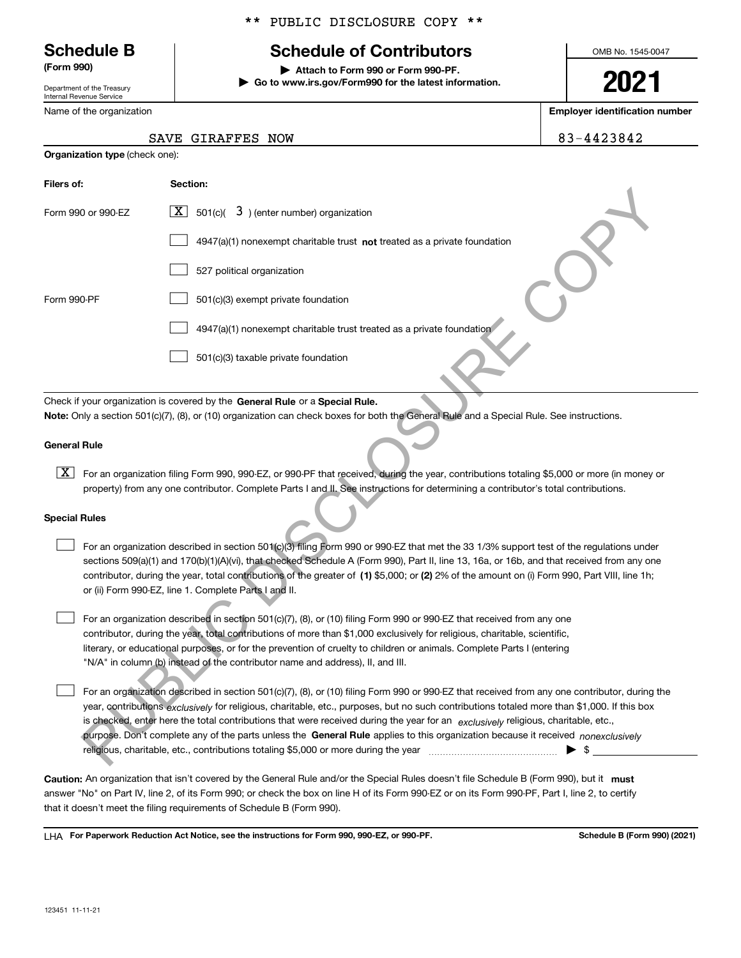Department of the Treasury Internal Revenue Service

Name of the organization

## \*\* PUBLIC DISCLOSURE COPY \*\*

# **Schedule B Schedule of Contributors**

**(Form 990) | Attach to Form 990 or Form 990-PF. | Go to www.irs.gov/Form990 for the latest information.** OMB No. 1545-0047

**2021**

**Employer identification number**

 $\mathbb{W}$  83-4423842

| SAVE GIRAFFES NO |  |
|------------------|--|

| <b>Organization type</b> (check one): |                                                                                                                                                                                                                                                                                                                                                                                                                                                                                                 |  |  |  |  |  |  |
|---------------------------------------|-------------------------------------------------------------------------------------------------------------------------------------------------------------------------------------------------------------------------------------------------------------------------------------------------------------------------------------------------------------------------------------------------------------------------------------------------------------------------------------------------|--|--|--|--|--|--|
| Filers of:                            | Section:                                                                                                                                                                                                                                                                                                                                                                                                                                                                                        |  |  |  |  |  |  |
| Form 990 or 990-EZ                    | 501(c)( $3$ ) (enter number) organization<br>X                                                                                                                                                                                                                                                                                                                                                                                                                                                  |  |  |  |  |  |  |
|                                       | $4947(a)(1)$ nonexempt charitable trust <b>not</b> treated as a private foundation                                                                                                                                                                                                                                                                                                                                                                                                              |  |  |  |  |  |  |
| 527 political organization            |                                                                                                                                                                                                                                                                                                                                                                                                                                                                                                 |  |  |  |  |  |  |
| Form 990-PF                           | 501(c)(3) exempt private foundation                                                                                                                                                                                                                                                                                                                                                                                                                                                             |  |  |  |  |  |  |
|                                       | 4947(a)(1) nonexempt charitable trust treated as a private foundation                                                                                                                                                                                                                                                                                                                                                                                                                           |  |  |  |  |  |  |
|                                       | 501(c)(3) taxable private foundation                                                                                                                                                                                                                                                                                                                                                                                                                                                            |  |  |  |  |  |  |
|                                       | Check if your organization is covered by the General Rule or a Special Rule.                                                                                                                                                                                                                                                                                                                                                                                                                    |  |  |  |  |  |  |
|                                       | Note: Only a section 501(c)(7), (8), or (10) organization can check boxes for both the General Rule and a Special Rule. See instructions.                                                                                                                                                                                                                                                                                                                                                       |  |  |  |  |  |  |
| <b>General Rule</b><br>  X            | For an organization filing Form 990, 990-EZ, or 990-PF that received, during the year, contributions totaling \$5,000 or more (in money or                                                                                                                                                                                                                                                                                                                                                      |  |  |  |  |  |  |
|                                       | property) from any one contributor. Complete Parts I and II. See instructions for determining a contributor's total contributions.                                                                                                                                                                                                                                                                                                                                                              |  |  |  |  |  |  |
| <b>Special Rules</b>                  |                                                                                                                                                                                                                                                                                                                                                                                                                                                                                                 |  |  |  |  |  |  |
|                                       | For an organization described in section 501(c)(3) filing Form 990 or 990-EZ that met the 33 1/3% support test of the regulations under<br>sections 509(a)(1) and 170(b)(1)(A)(vi), that checked Schedule A (Form 990), Part II, line 13, 16a, or 16b, and that received from any one<br>contributor, during the year, total contributions of the greater of (1) \$5,000; or (2) 2% of the amount on (i) Form 990, Part VIII, line 1h;<br>or (ii) Form 990-EZ, line 1. Complete Parts I and II. |  |  |  |  |  |  |
|                                       |                                                                                                                                                                                                                                                                                                                                                                                                                                                                                                 |  |  |  |  |  |  |
|                                       | For an organization described in section 501(c)(7), (8), or (10) filing Form 990 or 990-EZ that received from any one                                                                                                                                                                                                                                                                                                                                                                           |  |  |  |  |  |  |
|                                       | contributor, during the year, total contributions of more than \$1,000 exclusively for religious, charitable, scientific,                                                                                                                                                                                                                                                                                                                                                                       |  |  |  |  |  |  |
|                                       | literary, or educational purposes, or for the prevention of cruelty to children or animals. Complete Parts I (entering                                                                                                                                                                                                                                                                                                                                                                          |  |  |  |  |  |  |
|                                       | "N/A" in column (b) instead of the contributor name and address), II, and III.                                                                                                                                                                                                                                                                                                                                                                                                                  |  |  |  |  |  |  |
|                                       | For an organization described in section 501(c)(7), (8), or (10) filing Form 990 or 990-EZ that received from any one contributor, during the                                                                                                                                                                                                                                                                                                                                                   |  |  |  |  |  |  |
|                                       | year, contributions exclusively for religious, charitable, etc., purposes, but no such contributions totaled more than \$1,000. If this box                                                                                                                                                                                                                                                                                                                                                     |  |  |  |  |  |  |
|                                       | is checked, enter here the total contributions that were received during the year for an exclusively religious, charitable, etc.,                                                                                                                                                                                                                                                                                                                                                               |  |  |  |  |  |  |
|                                       | purpose. Don't complete any of the parts unless the General Rule applies to this organization because it received nonexclusively<br>religious, charitable, etc., contributions totaling \$5,000 or more during the year <i>manumumumumumum</i><br>\$                                                                                                                                                                                                                                            |  |  |  |  |  |  |
|                                       |                                                                                                                                                                                                                                                                                                                                                                                                                                                                                                 |  |  |  |  |  |  |

### **General Rule**

### **Special Rules**

Caution: An organization that isn't covered by the General Rule and/or the Special Rules doesn't file Schedule B (Form 990), but it **must** answer "No" on Part IV, line 2, of its Form 990; or check the box on line H of its Form 990-EZ or on its Form 990-PF, Part I, line 2, to certify that it doesn't meet the filing requirements of Schedule B (Form 990).

LHA For Paperwork Reduction Act Notice, see the instructions for Form 990, 990-EZ, or 990-PF. **In the act and Schedule B** (Form 990) (2021)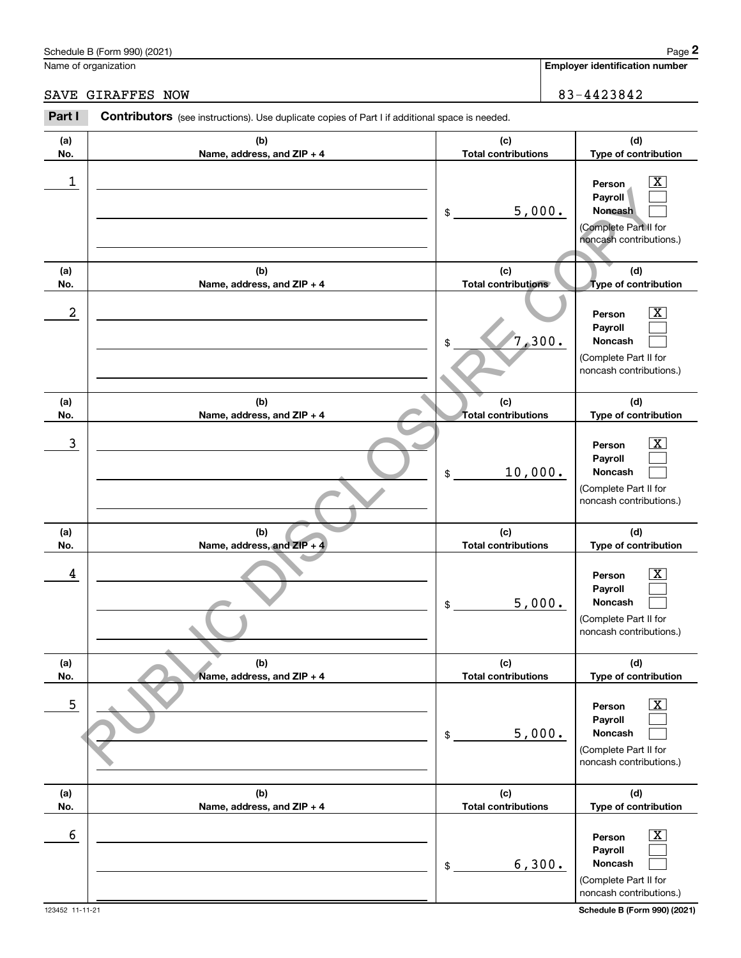|            | Schedule B (Form 990) (2021)                                                                   |                                   |        | Page 2                                                                                                           |
|------------|------------------------------------------------------------------------------------------------|-----------------------------------|--------|------------------------------------------------------------------------------------------------------------------|
|            | Name of organization                                                                           |                                   |        | <b>Employer identification number</b>                                                                            |
| SAVE       | <b>GIRAFFES NOW</b>                                                                            |                                   |        | 83-4423842                                                                                                       |
| Part I     | Contributors (see instructions). Use duplicate copies of Part I if additional space is needed. |                                   |        |                                                                                                                  |
| (a)<br>No. | (b)<br>Name, address, and ZIP + 4                                                              | (c)<br><b>Total contributions</b> |        | (d)<br>Type of contribution                                                                                      |
| 1          |                                                                                                | \$                                | 5,000. | $\overline{\text{X}}$<br>Person<br>Payroll<br><b>Noncash</b><br>(Complete Part II for<br>noncash contributions.) |
| (a)<br>No. | (b)<br>Name, address, and ZIP + 4                                                              | (c)<br><b>Total contributions</b> |        | (d)<br>Type of contribution                                                                                      |
| 2          |                                                                                                | \$                                | 7,300. | $\overline{\text{X}}$<br>Person<br>Payroll<br>Noncash<br>(Complete Part II for<br>noncash contributions.)        |
| (a)<br>No. | (b)<br>Name, address, and ZIP + 4                                                              | (c)<br><b>Total contributions</b> |        | (d)<br>Type of contribution                                                                                      |
| 3          |                                                                                                | 10,000.<br>\$                     |        | $\overline{\text{X}}$<br>Person<br>Payroll<br>Noncash<br>(Complete Part II for<br>noncash contributions.)        |
| (a)<br>No. | (b)<br>Name, address, and ZIP + 4                                                              | (c)<br><b>Total contributions</b> |        | (d)<br>Type of contribution                                                                                      |
| 4          |                                                                                                | \$                                | 5,000. | $\overline{\text{X}}$<br>Person<br>Payroll<br>Noncash<br>(Complete Part II for<br>noncash contributions.)        |
| (a)<br>No. | (b)<br>Name, address, and ZIP + 4                                                              | (c)<br><b>Total contributions</b> |        | (d)<br>Type of contribution                                                                                      |
| 5          |                                                                                                | \$                                | 5,000. | $\boxed{\text{X}}$<br>Person<br>Payroll<br>Noncash<br>(Complete Part II for<br>noncash contributions.)           |
| (a)<br>No. | (b)<br>Name, address, and ZIP + 4                                                              | (c)<br><b>Total contributions</b> |        | (d)<br>Type of contribution                                                                                      |
| 6          |                                                                                                | 6,300.<br>\$                      |        | $\boxed{\text{X}}$<br>Person<br>Payroll<br>Noncash<br>(Complete Part II for<br>noncash contributions.)           |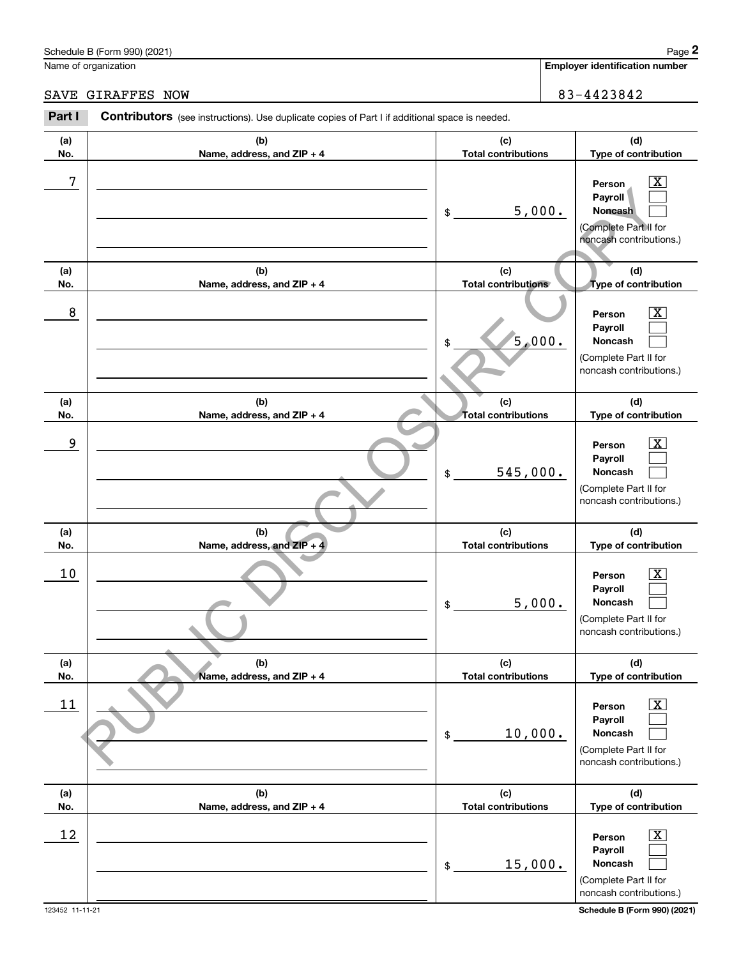|            | Schedule B (Form 990) (2021)                                                                   |                                   | Page 2                                                                                                           |
|------------|------------------------------------------------------------------------------------------------|-----------------------------------|------------------------------------------------------------------------------------------------------------------|
|            | Name of organization                                                                           |                                   | <b>Employer identification number</b>                                                                            |
| SAVE       | <b>GIRAFFES NOW</b>                                                                            |                                   | 83-4423842                                                                                                       |
| Part I     | Contributors (see instructions). Use duplicate copies of Part I if additional space is needed. |                                   |                                                                                                                  |
| (a)<br>No. | (b)<br>Name, address, and ZIP + 4                                                              | (c)<br><b>Total contributions</b> | (d)<br>Type of contribution                                                                                      |
| 7          |                                                                                                | 5,000.<br>\$                      | $\overline{\text{X}}$<br>Person<br>Payroll<br><b>Noncash</b><br>(Complete Part II for<br>noncash contributions.) |
| (a)<br>No. | (b)<br>Name, address, and ZIP + 4                                                              | (c)<br><b>Total contributions</b> | (d)<br>Type of contribution                                                                                      |
| 8          |                                                                                                | 5.000.<br>\$                      | $\overline{\text{X}}$<br>Person<br>Payroll<br>Noncash<br>(Complete Part II for<br>noncash contributions.)        |
| (a)<br>No. | (b)<br>Name, address, and ZIP + 4                                                              | (c)<br><b>Total contributions</b> | (d)<br>Type of contribution                                                                                      |
| 9          |                                                                                                | 545,000.<br>\$                    | $\overline{\text{X}}$<br>Person<br>Payroll<br>Noncash<br>(Complete Part II for<br>noncash contributions.)        |
| (a)<br>No. | (b)<br>Name, address, and ZIP + 4                                                              | (c)<br><b>Total contributions</b> | (d)<br>Type of contribution                                                                                      |
| 10         |                                                                                                | 5,000.<br>\$                      | $\overline{\text{X}}$<br>Person<br>Payroll<br>Noncash<br>(Complete Part II for<br>noncash contributions.)        |
| (a)<br>No. | (b)<br>Name, address, and ZIP + 4                                                              | (c)<br><b>Total contributions</b> | (d)<br>Type of contribution                                                                                      |
| 11         |                                                                                                |                                   | $\boxed{\text{X}}$                                                                                               |
|            |                                                                                                | 10,000.<br>\$                     | Person<br>Payroll<br>Noncash<br>(Complete Part II for<br>noncash contributions.)                                 |
| (a)<br>No. | (b)<br>Name, address, and ZIP + 4                                                              | (c)<br><b>Total contributions</b> | (d)<br>Type of contribution                                                                                      |
| 12         |                                                                                                | 15,000.<br>\$                     | $\overline{\mathbf{X}}$<br>Person<br>Payroll<br>Noncash<br>(Complete Part II for<br>noncash contributions.)      |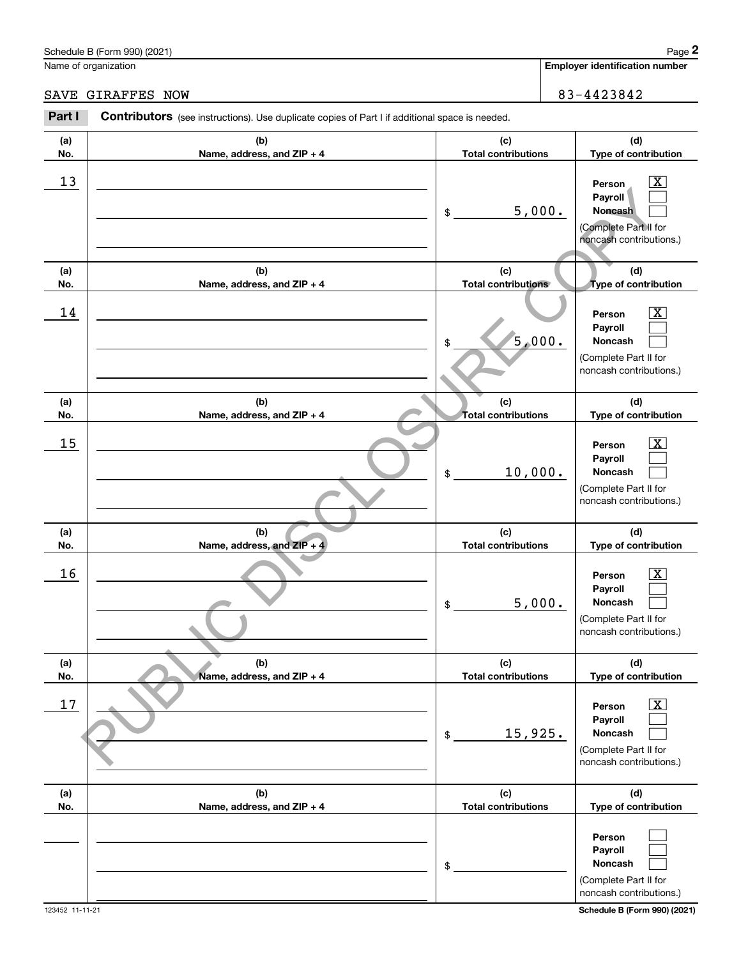# Schedule B (Form 990) (2021) Page 2

## SAVE GIRAFFES NOW 83-4423842

|            | Schedule B (Form 990) (2021)                                                                   |                                   | Page 2                                                                                                           |
|------------|------------------------------------------------------------------------------------------------|-----------------------------------|------------------------------------------------------------------------------------------------------------------|
|            | Name of organization                                                                           |                                   | <b>Employer identification number</b>                                                                            |
| SAVE       | <b>GIRAFFES NOW</b>                                                                            |                                   | 83-4423842                                                                                                       |
| Part I     | Contributors (see instructions). Use duplicate copies of Part I if additional space is needed. |                                   |                                                                                                                  |
| (a)<br>No. | (b)<br>Name, address, and ZIP + 4                                                              | (c)<br><b>Total contributions</b> | (d)<br>Type of contribution                                                                                      |
| 13         |                                                                                                | 5,000.<br>\$                      | $\overline{\text{X}}$<br>Person<br>Payroll<br><b>Noncash</b><br>(Complete Part II for<br>noncash contributions.) |
| (a)<br>No. | (b)<br>Name, address, and ZIP + 4                                                              | (c)<br><b>Total contributions</b> | (d)<br>Type of contribution                                                                                      |
| 14         |                                                                                                | 5,000.<br>\$                      | $\overline{\mathbf{X}}$<br>Person<br>Payroll<br>Noncash<br>(Complete Part II for<br>noncash contributions.)      |
| (a)<br>No. | (b)<br>Name, address, and ZIP + 4                                                              | (c)<br><b>Total contributions</b> | (d)<br>Type of contribution                                                                                      |
| 15         |                                                                                                | 10,000.<br>\$                     | $\overline{\text{X}}$<br>Person<br>Payroll<br>Noncash<br>(Complete Part II for<br>noncash contributions.)        |
| (a)<br>No. | (b)<br>Name, address, and ZIP + 4                                                              | (c)<br><b>Total contributions</b> | (d)<br>Type of contribution                                                                                      |
| 16         |                                                                                                | 5,000.<br>\$                      | $\overline{\text{X}}$<br>Person<br>Payroll<br><b>Noncash</b><br>(Complete Part II for<br>noncash contributions.) |
| (a)<br>No. | (b)<br>Name, address, and ZIP + 4                                                              | (c)<br><b>Total contributions</b> | (d)<br>Type of contribution                                                                                      |
| $17$       |                                                                                                | 15,925.<br>\$                     | $\overline{\mathbf{X}}$<br>Person<br>Payroll<br>Noncash<br>(Complete Part II for<br>noncash contributions.)      |
| (a)<br>No. | (b)<br>Name, address, and ZIP + 4                                                              | (c)<br><b>Total contributions</b> | (d)<br>Type of contribution                                                                                      |
|            |                                                                                                | \$                                | Person<br>Payroll<br>Noncash<br>(Complete Part II for<br>noncash contributions.)                                 |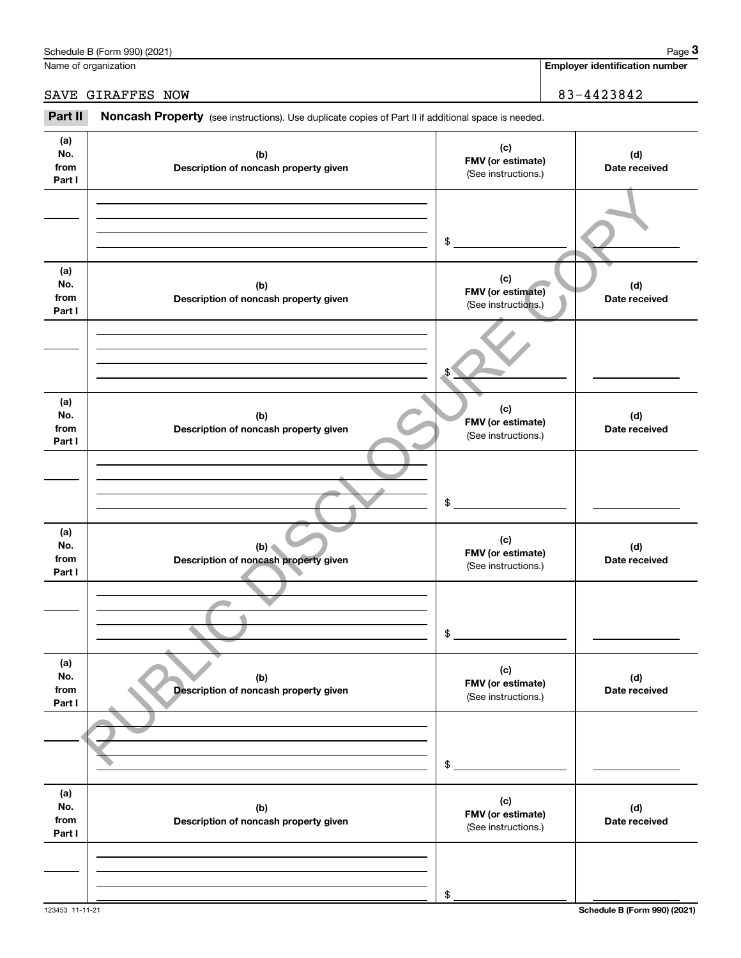|                              | Schedule B (Form 990) (2021)                                                                        |                                                        | Page 3                                |
|------------------------------|-----------------------------------------------------------------------------------------------------|--------------------------------------------------------|---------------------------------------|
|                              | Name of organization                                                                                |                                                        | <b>Employer identification number</b> |
|                              | SAVE GIRAFFES NOW                                                                                   |                                                        | 83-4423842                            |
| Part II                      | Noncash Property (see instructions). Use duplicate copies of Part II if additional space is needed. |                                                        |                                       |
| (a)<br>No.<br>from<br>Part I | (b)<br>Description of noncash property given                                                        | (c)<br>FMV (or estimate)<br>(See instructions.)        | (d)<br>Date received                  |
|                              |                                                                                                     | \$                                                     |                                       |
| (a)<br>No.<br>from<br>Part I | (b)<br>Description of noncash property given                                                        | (c)<br><b>FMV</b> (or estimate)<br>(See instructions.) | (d)<br>Date received                  |
|                              |                                                                                                     | \$                                                     |                                       |
| (a)<br>No.<br>from<br>Part I | (b)<br>Description of noncash property given                                                        | (c)<br>FMV (or estimate)<br>(See instructions.)        | (d)<br>Date received                  |
|                              |                                                                                                     | \$                                                     |                                       |
| (a)<br>No.<br>from<br>Part I | (b)<br>Description of noncash property given                                                        | (c)<br>FMV (or estimate)<br>(See instructions.)        | (d)<br>Date received                  |
|                              |                                                                                                     | \$                                                     |                                       |
| (a)<br>No.<br>from<br>Part I | (b)<br>Description of noncash property given                                                        | (c)<br>FMV (or estimate)<br>(See instructions.)        | (d)<br>Date received                  |
|                              |                                                                                                     | \$                                                     |                                       |
| (a)<br>No.<br>from<br>Part I | (b)<br>Description of noncash property given                                                        | (c)<br>FMV (or estimate)<br>(See instructions.)        | (d)<br>Date received                  |
|                              |                                                                                                     | \$                                                     |                                       |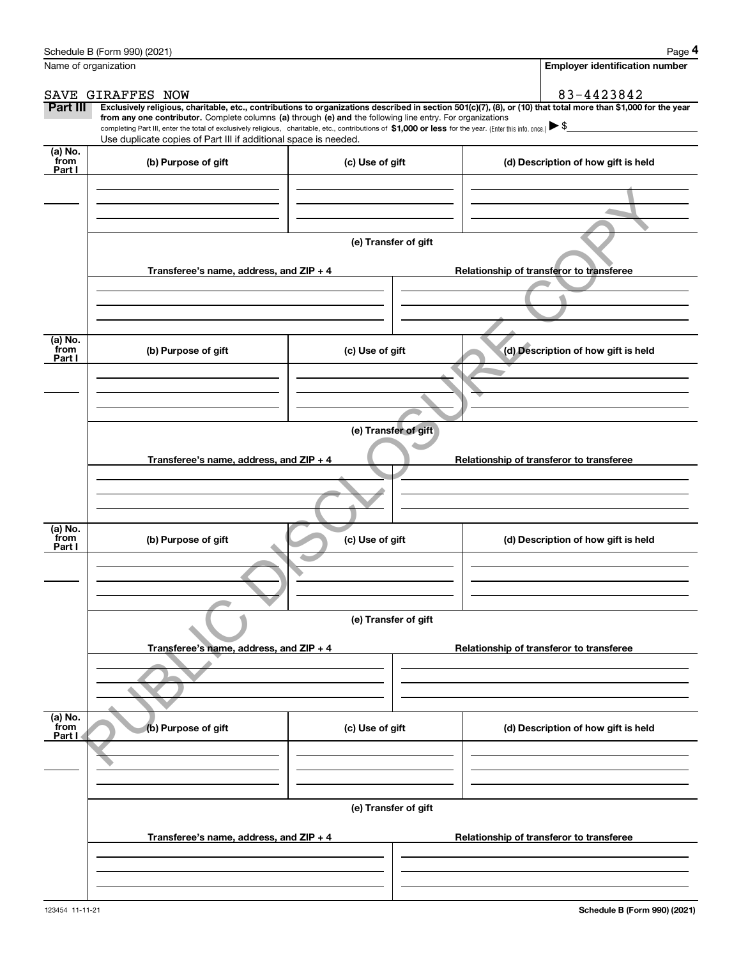|                            | Schedule B (Form 990) (2021)                                                                                                                                                                                                                                                                                                                                                                                                                                                                                    |                      |                                          | Page 4                                   |  |
|----------------------------|-----------------------------------------------------------------------------------------------------------------------------------------------------------------------------------------------------------------------------------------------------------------------------------------------------------------------------------------------------------------------------------------------------------------------------------------------------------------------------------------------------------------|----------------------|------------------------------------------|------------------------------------------|--|
|                            | Name of organization                                                                                                                                                                                                                                                                                                                                                                                                                                                                                            |                      |                                          | <b>Employer identification number</b>    |  |
|                            | SAVE GIRAFFES NOW                                                                                                                                                                                                                                                                                                                                                                                                                                                                                               |                      |                                          | 83-4423842                               |  |
| Part III                   | Exclusively religious, charitable, etc., contributions to organizations described in section 501(c)(7), (8), or (10) that total more than \$1,000 for the year<br>from any one contributor. Complete columns (a) through (e) and the following line entry. For organizations<br>completing Part III, enter the total of exclusively religious, charitable, etc., contributions of \$1,000 or less for the year. (Enter this info. once.) \\$<br>Use duplicate copies of Part III if additional space is needed. |                      |                                          |                                          |  |
| (a) No.<br>from            | (b) Purpose of gift                                                                                                                                                                                                                                                                                                                                                                                                                                                                                             | (c) Use of gift      |                                          | (d) Description of how gift is held      |  |
| Part I                     |                                                                                                                                                                                                                                                                                                                                                                                                                                                                                                                 |                      |                                          |                                          |  |
|                            |                                                                                                                                                                                                                                                                                                                                                                                                                                                                                                                 |                      |                                          |                                          |  |
|                            |                                                                                                                                                                                                                                                                                                                                                                                                                                                                                                                 |                      |                                          |                                          |  |
|                            |                                                                                                                                                                                                                                                                                                                                                                                                                                                                                                                 | (e) Transfer of gift |                                          |                                          |  |
|                            |                                                                                                                                                                                                                                                                                                                                                                                                                                                                                                                 |                      |                                          |                                          |  |
|                            | Transferee's name, address, and $ZIP + 4$                                                                                                                                                                                                                                                                                                                                                                                                                                                                       |                      |                                          | Relationship of transferor to transferee |  |
|                            |                                                                                                                                                                                                                                                                                                                                                                                                                                                                                                                 |                      |                                          |                                          |  |
|                            |                                                                                                                                                                                                                                                                                                                                                                                                                                                                                                                 |                      |                                          |                                          |  |
| (a) No.                    |                                                                                                                                                                                                                                                                                                                                                                                                                                                                                                                 |                      |                                          |                                          |  |
| from<br>Part I             | (b) Purpose of gift                                                                                                                                                                                                                                                                                                                                                                                                                                                                                             | (c) Use of gift      |                                          | (d) Description of how gift is held      |  |
|                            |                                                                                                                                                                                                                                                                                                                                                                                                                                                                                                                 |                      |                                          |                                          |  |
|                            |                                                                                                                                                                                                                                                                                                                                                                                                                                                                                                                 |                      |                                          |                                          |  |
|                            |                                                                                                                                                                                                                                                                                                                                                                                                                                                                                                                 |                      |                                          |                                          |  |
|                            |                                                                                                                                                                                                                                                                                                                                                                                                                                                                                                                 | (e) Transfer of gift |                                          |                                          |  |
|                            | Transferee's name, address, and ZIP + 4                                                                                                                                                                                                                                                                                                                                                                                                                                                                         |                      |                                          | Relationship of transferor to transferee |  |
|                            |                                                                                                                                                                                                                                                                                                                                                                                                                                                                                                                 |                      |                                          |                                          |  |
|                            |                                                                                                                                                                                                                                                                                                                                                                                                                                                                                                                 |                      |                                          |                                          |  |
|                            |                                                                                                                                                                                                                                                                                                                                                                                                                                                                                                                 |                      |                                          |                                          |  |
| (a) No.<br>`from<br>Part I | (b) Purpose of gift                                                                                                                                                                                                                                                                                                                                                                                                                                                                                             | (c) Use of gift      |                                          | (d) Description of how gift is held      |  |
|                            |                                                                                                                                                                                                                                                                                                                                                                                                                                                                                                                 |                      |                                          |                                          |  |
|                            |                                                                                                                                                                                                                                                                                                                                                                                                                                                                                                                 |                      |                                          |                                          |  |
|                            |                                                                                                                                                                                                                                                                                                                                                                                                                                                                                                                 |                      |                                          |                                          |  |
|                            |                                                                                                                                                                                                                                                                                                                                                                                                                                                                                                                 | (e) Transfer of gift |                                          |                                          |  |
|                            | Transferee's name, address, and ZIP + 4                                                                                                                                                                                                                                                                                                                                                                                                                                                                         |                      |                                          | Relationship of transferor to transferee |  |
|                            |                                                                                                                                                                                                                                                                                                                                                                                                                                                                                                                 |                      |                                          |                                          |  |
|                            |                                                                                                                                                                                                                                                                                                                                                                                                                                                                                                                 |                      |                                          |                                          |  |
|                            |                                                                                                                                                                                                                                                                                                                                                                                                                                                                                                                 |                      |                                          |                                          |  |
| (a) No.<br>from<br>Part I  | (b) Purpose of gift                                                                                                                                                                                                                                                                                                                                                                                                                                                                                             | (c) Use of gift      |                                          | (d) Description of how gift is held      |  |
|                            |                                                                                                                                                                                                                                                                                                                                                                                                                                                                                                                 |                      |                                          |                                          |  |
|                            |                                                                                                                                                                                                                                                                                                                                                                                                                                                                                                                 |                      |                                          |                                          |  |
|                            |                                                                                                                                                                                                                                                                                                                                                                                                                                                                                                                 |                      |                                          |                                          |  |
|                            |                                                                                                                                                                                                                                                                                                                                                                                                                                                                                                                 | (e) Transfer of gift |                                          |                                          |  |
|                            | Transferee's name, address, and $ZIP + 4$                                                                                                                                                                                                                                                                                                                                                                                                                                                                       |                      | Relationship of transferor to transferee |                                          |  |
|                            |                                                                                                                                                                                                                                                                                                                                                                                                                                                                                                                 |                      |                                          |                                          |  |
|                            |                                                                                                                                                                                                                                                                                                                                                                                                                                                                                                                 |                      |                                          |                                          |  |
|                            |                                                                                                                                                                                                                                                                                                                                                                                                                                                                                                                 |                      |                                          |                                          |  |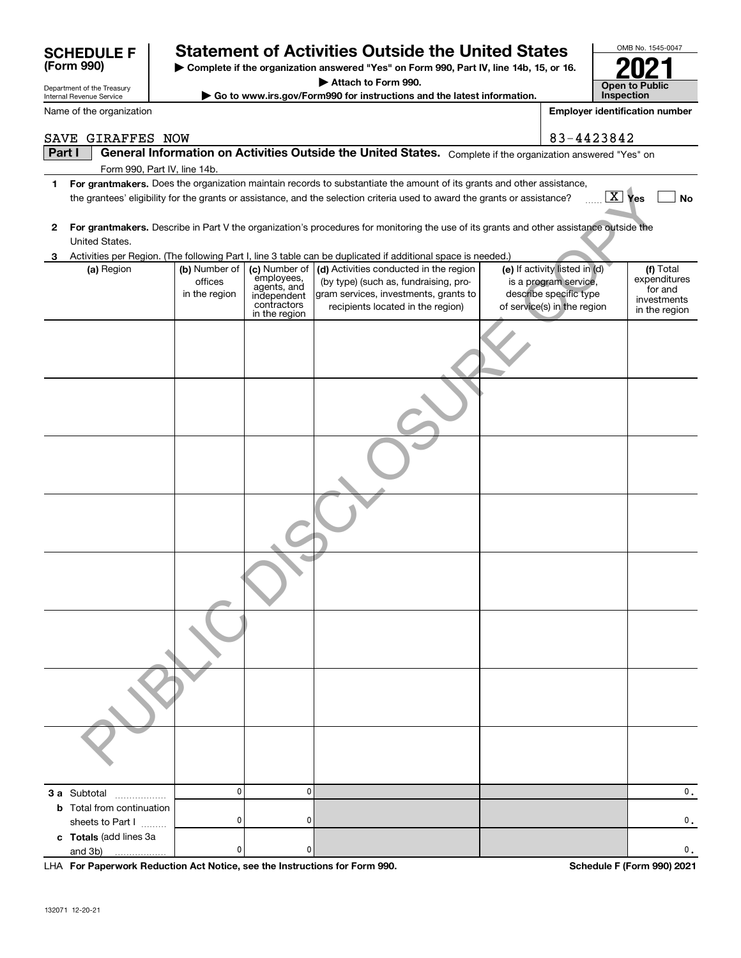| (Form 990)                                                                 |                              |                                           | Complete if the organization answered "Yes" on Form 990, Part IV, line 14b, 15, or 16.                                                                 |                               |                                       |  |
|----------------------------------------------------------------------------|------------------------------|-------------------------------------------|--------------------------------------------------------------------------------------------------------------------------------------------------------|-------------------------------|---------------------------------------|--|
| Department of the Treasury                                                 |                              |                                           | Attach to Form 990.                                                                                                                                    |                               | <b>Open to Public</b>                 |  |
| Internal Revenue Service                                                   |                              |                                           | Go to www.irs.gov/Form990 for instructions and the latest information.                                                                                 |                               | Inspection                            |  |
| Name of the organization                                                   |                              |                                           |                                                                                                                                                        |                               | <b>Employer identification number</b> |  |
| <b>GIRAFFES NOW</b><br>SAVE                                                |                              |                                           |                                                                                                                                                        | 83-4423842                    |                                       |  |
| Part I                                                                     |                              |                                           | General Information on Activities Outside the United States. Complete if the organization answered "Yes" on                                            |                               |                                       |  |
|                                                                            | Form 990, Part IV, line 14b. |                                           |                                                                                                                                                        |                               |                                       |  |
| 1.                                                                         |                              |                                           | For grantmakers. Does the organization maintain records to substantiate the amount of its grants and other assistance,                                 |                               |                                       |  |
|                                                                            |                              |                                           | the grantees' eligibility for the grants or assistance, and the selection criteria used to award the grants or assistance?                             |                               | X.<br>No<br>Yes                       |  |
|                                                                            |                              |                                           |                                                                                                                                                        |                               |                                       |  |
| 2                                                                          |                              |                                           | For grantmakers. Describe in Part V the organization's procedures for monitoring the use of its grants and other assistance outside the                |                               |                                       |  |
| United States.                                                             |                              |                                           |                                                                                                                                                        |                               |                                       |  |
| 3<br>(a) Region                                                            | (b) Number of                | (c) Number of                             | Activities per Region. (The following Part I, line 3 table can be duplicated if additional space is needed.)<br>(d) Activities conducted in the region | (e) If activity listed in (d) | (f) Total                             |  |
|                                                                            | offices                      | employees,                                | (by type) (such as, fundraising, pro-                                                                                                                  | is a program service,         | expenditures                          |  |
|                                                                            | in the region                | agents, and<br>independent<br>contractors | gram services, investments, grants to                                                                                                                  | describe specific type        | for and<br>investments                |  |
|                                                                            |                              | in the region                             | recipients located in the region)                                                                                                                      | of service(s) in the region   | in the region                         |  |
|                                                                            |                              |                                           |                                                                                                                                                        |                               |                                       |  |
|                                                                            |                              |                                           |                                                                                                                                                        |                               |                                       |  |
|                                                                            |                              |                                           |                                                                                                                                                        |                               |                                       |  |
|                                                                            |                              |                                           |                                                                                                                                                        |                               |                                       |  |
|                                                                            |                              |                                           |                                                                                                                                                        |                               |                                       |  |
|                                                                            |                              |                                           |                                                                                                                                                        |                               |                                       |  |
|                                                                            |                              |                                           |                                                                                                                                                        |                               |                                       |  |
|                                                                            |                              |                                           |                                                                                                                                                        |                               |                                       |  |
|                                                                            |                              |                                           |                                                                                                                                                        |                               |                                       |  |
|                                                                            |                              |                                           |                                                                                                                                                        |                               |                                       |  |
|                                                                            |                              |                                           |                                                                                                                                                        |                               |                                       |  |
|                                                                            |                              |                                           |                                                                                                                                                        |                               |                                       |  |
|                                                                            |                              |                                           |                                                                                                                                                        |                               |                                       |  |
|                                                                            |                              |                                           |                                                                                                                                                        |                               |                                       |  |
|                                                                            |                              |                                           |                                                                                                                                                        |                               |                                       |  |
|                                                                            |                              |                                           |                                                                                                                                                        |                               |                                       |  |
|                                                                            |                              |                                           |                                                                                                                                                        |                               |                                       |  |
|                                                                            |                              |                                           |                                                                                                                                                        |                               |                                       |  |
|                                                                            |                              |                                           |                                                                                                                                                        |                               |                                       |  |
|                                                                            |                              |                                           |                                                                                                                                                        |                               |                                       |  |
|                                                                            |                              |                                           |                                                                                                                                                        |                               |                                       |  |
|                                                                            |                              |                                           |                                                                                                                                                        |                               |                                       |  |
|                                                                            |                              |                                           |                                                                                                                                                        |                               |                                       |  |
|                                                                            |                              |                                           |                                                                                                                                                        |                               |                                       |  |
|                                                                            |                              |                                           |                                                                                                                                                        |                               |                                       |  |
|                                                                            |                              |                                           |                                                                                                                                                        |                               |                                       |  |
|                                                                            |                              |                                           |                                                                                                                                                        |                               |                                       |  |
|                                                                            |                              |                                           |                                                                                                                                                        |                               |                                       |  |
|                                                                            |                              |                                           |                                                                                                                                                        |                               |                                       |  |
|                                                                            |                              |                                           |                                                                                                                                                        |                               |                                       |  |
|                                                                            |                              |                                           |                                                                                                                                                        |                               |                                       |  |
| 3 a Subtotal<br>.                                                          | 0                            | 0                                         |                                                                                                                                                        |                               | 0.                                    |  |
| <b>b</b> Total from continuation                                           |                              |                                           |                                                                                                                                                        |                               |                                       |  |
| sheets to Part I                                                           | 0                            | 0                                         |                                                                                                                                                        |                               | 0.                                    |  |
| c Totals (add lines 3a                                                     |                              |                                           |                                                                                                                                                        |                               |                                       |  |
| and 3b)                                                                    | 0                            | 0                                         |                                                                                                                                                        |                               | 0.                                    |  |
| LHA For Paperwork Reduction Act Notice, see the Instructions for Form 990. |                              |                                           |                                                                                                                                                        |                               | Schedule F (Form 990) 2021            |  |

**Statement of Activities Outside the United States** 

OMB No. 1545-0047

**(Form 990)**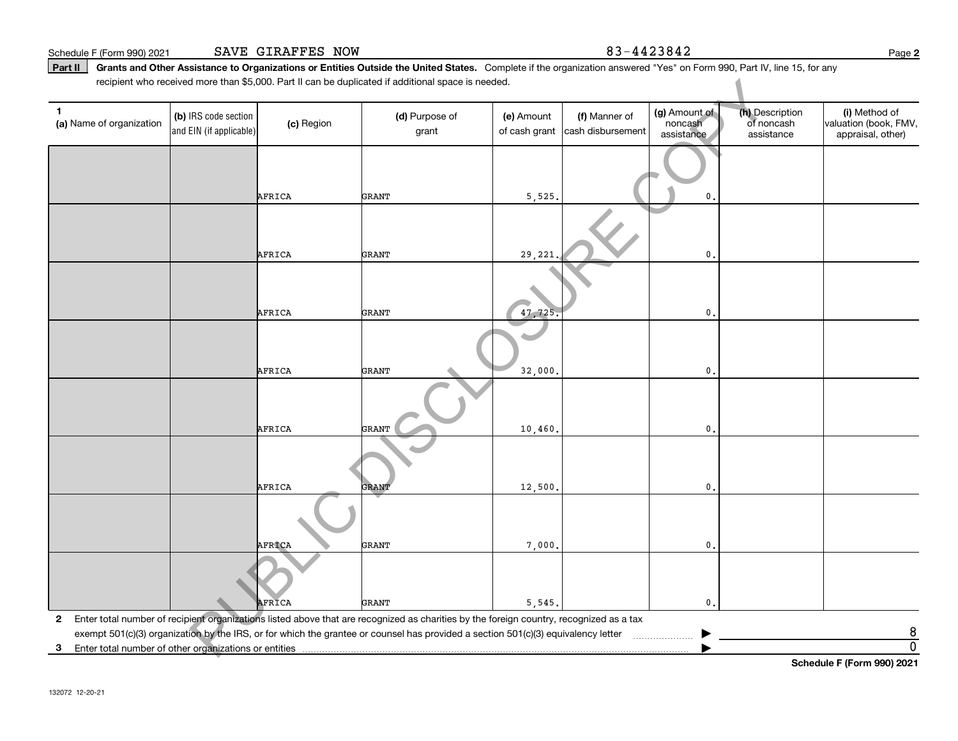Schedule F (Form 990) 2021 **SAVE GIRAFFES NOW 8** 3-4423842

**2**

**Part II Grants and Other Assistance to Organizations or Entities Outside the United States.** Complete if the organization answered "Yes" on Form 990, Part IV, line 15, for any continued the organization answered "Yes" o recipient who received more than \$5,000. Part II can be duplicated if additional space is needed.

|              |                                                       |                                                 |               | recipient who received more than \$5,000. Part II can be duplicated if additional space is needed.                                      |                             |                                    |                                        |                                             |                                                             |
|--------------|-------------------------------------------------------|-------------------------------------------------|---------------|-----------------------------------------------------------------------------------------------------------------------------------------|-----------------------------|------------------------------------|----------------------------------------|---------------------------------------------|-------------------------------------------------------------|
| 1            | (a) Name of organization                              | (b) IRS code section<br>and EIN (if applicable) | (c) Region    | (d) Purpose of<br>grant                                                                                                                 | (e) Amount<br>of cash grant | (f) Manner of<br>cash disbursement | (g) Amount of<br>noncash<br>assistance | (h) Description<br>of noncash<br>assistance | (i) Method of<br>valuation (book, FMV,<br>appraisal, other) |
|              |                                                       |                                                 |               |                                                                                                                                         |                             |                                    |                                        |                                             |                                                             |
|              |                                                       |                                                 |               |                                                                                                                                         |                             |                                    |                                        |                                             |                                                             |
|              |                                                       |                                                 | AFRICA        | <b>GRANT</b>                                                                                                                            | 5,525.                      |                                    | $\mathbf{0}$ .                         |                                             |                                                             |
|              |                                                       |                                                 | AFRICA        | <b>GRANT</b>                                                                                                                            | 29,221                      |                                    | $\mathbf{0}$ .                         |                                             |                                                             |
|              |                                                       |                                                 | AFRICA        | <b>GRANT</b>                                                                                                                            | 47,725.                     |                                    | $\mathbf{0}$ .                         |                                             |                                                             |
|              |                                                       |                                                 |               |                                                                                                                                         |                             |                                    |                                        |                                             |                                                             |
|              |                                                       |                                                 | AFRICA        | <b>GRANT</b>                                                                                                                            | 32,000.                     |                                    | $\mathbf{0}$ .                         |                                             |                                                             |
|              |                                                       |                                                 | AFRICA        | GRANT                                                                                                                                   | 10,460.                     |                                    | $\mathbf{0}$ .                         |                                             |                                                             |
|              |                                                       |                                                 | AFRICA        | <b>GRANT</b>                                                                                                                            | 12,500.                     |                                    | $\mathbf 0$ .                          |                                             |                                                             |
|              |                                                       |                                                 | <b>AFRICA</b> | <b>GRANT</b>                                                                                                                            | 7,000,                      |                                    | $\mathbf{0}$ .                         |                                             |                                                             |
|              |                                                       |                                                 | AFRICA        | <b>GRANT</b>                                                                                                                            | 5,545.                      |                                    | $\mathbf{0}$ .                         |                                             |                                                             |
| $\mathbf{2}$ |                                                       |                                                 |               | Enter total number of recipient organizations listed above that are recognized as charities by the foreign country, recognized as a tax |                             |                                    |                                        |                                             |                                                             |
|              |                                                       |                                                 |               | exempt 501(c)(3) organization by the IRS, or for which the grantee or counsel has provided a section 501(c)(3) equivalency letter       |                             |                                    |                                        |                                             | $\frac{8}{2}$                                               |
| $\mathbf{3}$ | Enter total number of other organizations or entities |                                                 |               |                                                                                                                                         |                             |                                    |                                        |                                             | $\overline{0}$<br>Pelcedule E (Ferry 000) 0004              |

**Schedule F (Form 990) 2021**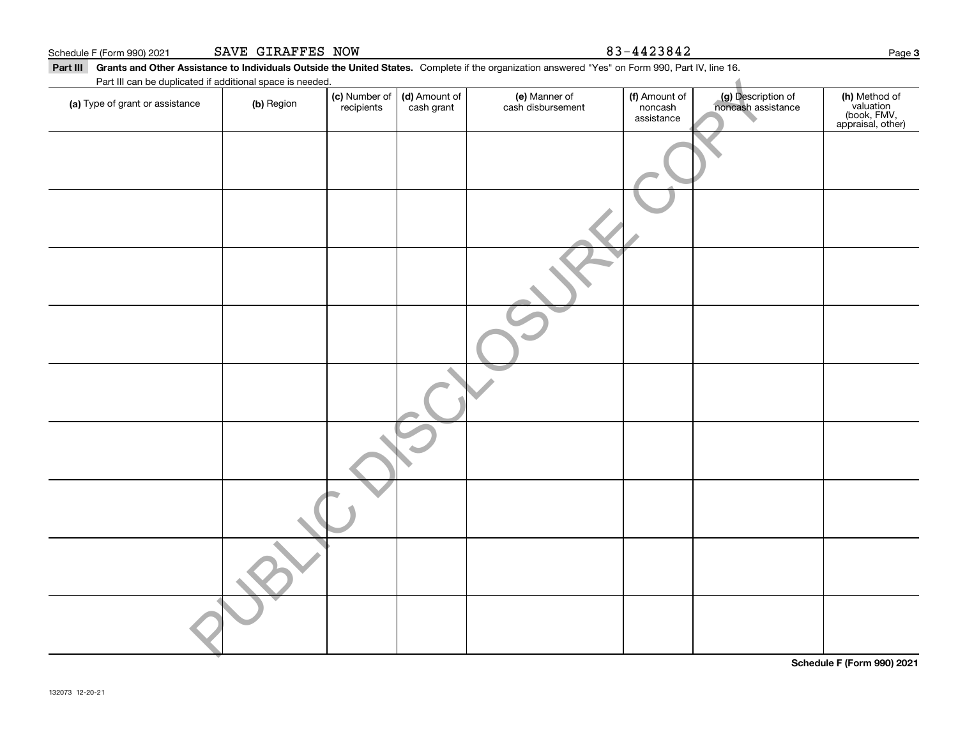| Schedule F (Form 990) 2021<br>Part III Grants and Other Assistance to Individuals Outside the United States. Complete if the organization answered "Yes" on Form 990, Part IV, line 16. | SAVE GIRAFFES NOW |                             |                             |                                    | 83-4423842                             |                                          | Page                                                           |
|-----------------------------------------------------------------------------------------------------------------------------------------------------------------------------------------|-------------------|-----------------------------|-----------------------------|------------------------------------|----------------------------------------|------------------------------------------|----------------------------------------------------------------|
| Part III can be duplicated if additional space is needed.<br>(a) Type of grant or assistance                                                                                            | (b) Region        | (c) Number of<br>recipients | (d) Amount of<br>cash grant | (e) Manner of<br>cash disbursement | (f) Amount of<br>noncash<br>assistance | (g) Description of<br>noncash assistance | (h) Method of<br>valuation<br>(book, FMV,<br>appraisal, other) |
|                                                                                                                                                                                         |                   |                             |                             |                                    |                                        |                                          |                                                                |
|                                                                                                                                                                                         |                   |                             |                             |                                    |                                        |                                          |                                                                |
|                                                                                                                                                                                         |                   |                             |                             |                                    |                                        |                                          |                                                                |
|                                                                                                                                                                                         |                   |                             |                             |                                    |                                        |                                          |                                                                |
|                                                                                                                                                                                         |                   |                             |                             |                                    |                                        |                                          |                                                                |
|                                                                                                                                                                                         |                   |                             |                             |                                    |                                        |                                          |                                                                |
|                                                                                                                                                                                         |                   |                             |                             |                                    |                                        |                                          |                                                                |
|                                                                                                                                                                                         |                   |                             |                             |                                    |                                        |                                          |                                                                |
|                                                                                                                                                                                         |                   |                             |                             |                                    |                                        |                                          |                                                                |

**Schedule F (Form 990) 2021**

**3**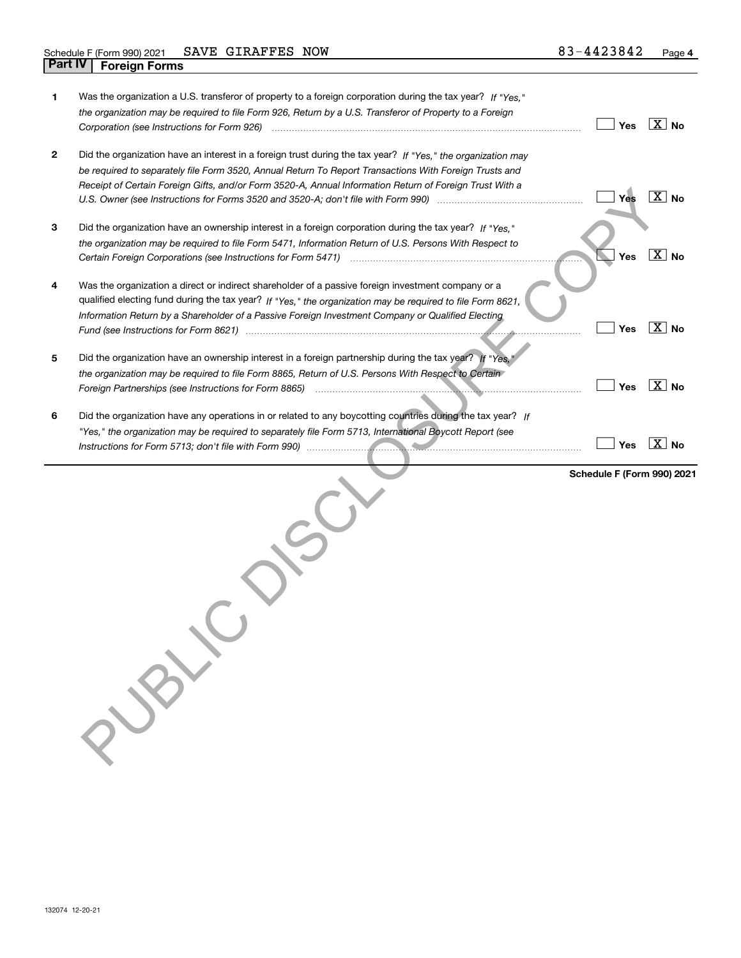| 1 | Was the organization a U.S. transferor of property to a foreign corporation during the tax year? If "Yes."<br>the organization may be required to file Form 926, Return by a U.S. Transferor of Property to a Foreign                                                                                                             |                            |                            |
|---|-----------------------------------------------------------------------------------------------------------------------------------------------------------------------------------------------------------------------------------------------------------------------------------------------------------------------------------|----------------------------|----------------------------|
|   | Corporation (see Instructions for Form 926)                                                                                                                                                                                                                                                                                       | Yes                        | $X $ No                    |
| 2 | Did the organization have an interest in a foreign trust during the tax year? If "Yes," the organization may<br>be required to separately file Form 3520, Annual Return To Report Transactions With Foreign Trusts and<br>Receipt of Certain Foreign Gifts, and/or Form 3520-A, Annual Information Return of Foreign Trust With a | Yes                        | $\overline{\mathbf{X}}$ No |
| 3 | Did the organization have an ownership interest in a foreign corporation during the tax year? If "Yes."                                                                                                                                                                                                                           |                            |                            |
|   | the organization may be required to file Form 5471, Information Return of U.S. Persons With Respect to                                                                                                                                                                                                                            |                            |                            |
|   |                                                                                                                                                                                                                                                                                                                                   | Yes                        | $\mathbf{X}$<br><b>No</b>  |
|   |                                                                                                                                                                                                                                                                                                                                   |                            |                            |
|   | Was the organization a direct or indirect shareholder of a passive foreign investment company or a                                                                                                                                                                                                                                |                            |                            |
|   | qualified electing fund during the tax year? If "Yes," the organization may be required to file Form 8621,                                                                                                                                                                                                                        |                            |                            |
|   | Information Return by a Shareholder of a Passive Foreign Investment Company or Qualified Electing                                                                                                                                                                                                                                 |                            | $\overline{X}$ No          |
|   |                                                                                                                                                                                                                                                                                                                                   | Yes                        |                            |
| 5 | Did the organization have an ownership interest in a foreign partnership during the tax year? If "Yes,                                                                                                                                                                                                                            |                            |                            |
|   | the organization may be required to file Form 8865, Return of U.S. Persons With Respect to Certain                                                                                                                                                                                                                                |                            |                            |
|   | Foreign Partnerships (see Instructions for Form 8865) manufactured contains and contained and contained and contained and contained and contained and contained and contained and contained and contained and contained and co                                                                                                    | Yes                        | $\overline{X}$ No          |
|   |                                                                                                                                                                                                                                                                                                                                   |                            |                            |
| 6 | Did the organization have any operations in or related to any boycotting countries during the tax year? If                                                                                                                                                                                                                        |                            |                            |
|   | "Yes," the organization may be required to separately file Form 5713, International Boycott Report (see                                                                                                                                                                                                                           |                            |                            |
|   |                                                                                                                                                                                                                                                                                                                                   | Yes                        | $\overline{X}$ No          |
|   |                                                                                                                                                                                                                                                                                                                                   |                            |                            |
|   |                                                                                                                                                                                                                                                                                                                                   | Schedule F (Form 990) 2021 |                            |
|   |                                                                                                                                                                                                                                                                                                                                   |                            |                            |
|   |                                                                                                                                                                                                                                                                                                                                   |                            |                            |
|   |                                                                                                                                                                                                                                                                                                                                   |                            |                            |
|   |                                                                                                                                                                                                                                                                                                                                   |                            |                            |
|   |                                                                                                                                                                                                                                                                                                                                   |                            |                            |
|   |                                                                                                                                                                                                                                                                                                                                   |                            |                            |
|   |                                                                                                                                                                                                                                                                                                                                   |                            |                            |
|   |                                                                                                                                                                                                                                                                                                                                   |                            |                            |
|   |                                                                                                                                                                                                                                                                                                                                   |                            |                            |
|   |                                                                                                                                                                                                                                                                                                                                   |                            |                            |
|   |                                                                                                                                                                                                                                                                                                                                   |                            |                            |
|   |                                                                                                                                                                                                                                                                                                                                   |                            |                            |
|   |                                                                                                                                                                                                                                                                                                                                   |                            |                            |
|   |                                                                                                                                                                                                                                                                                                                                   |                            |                            |
|   |                                                                                                                                                                                                                                                                                                                                   |                            |                            |
|   |                                                                                                                                                                                                                                                                                                                                   |                            |                            |
|   |                                                                                                                                                                                                                                                                                                                                   |                            |                            |
|   | obert                                                                                                                                                                                                                                                                                                                             |                            |                            |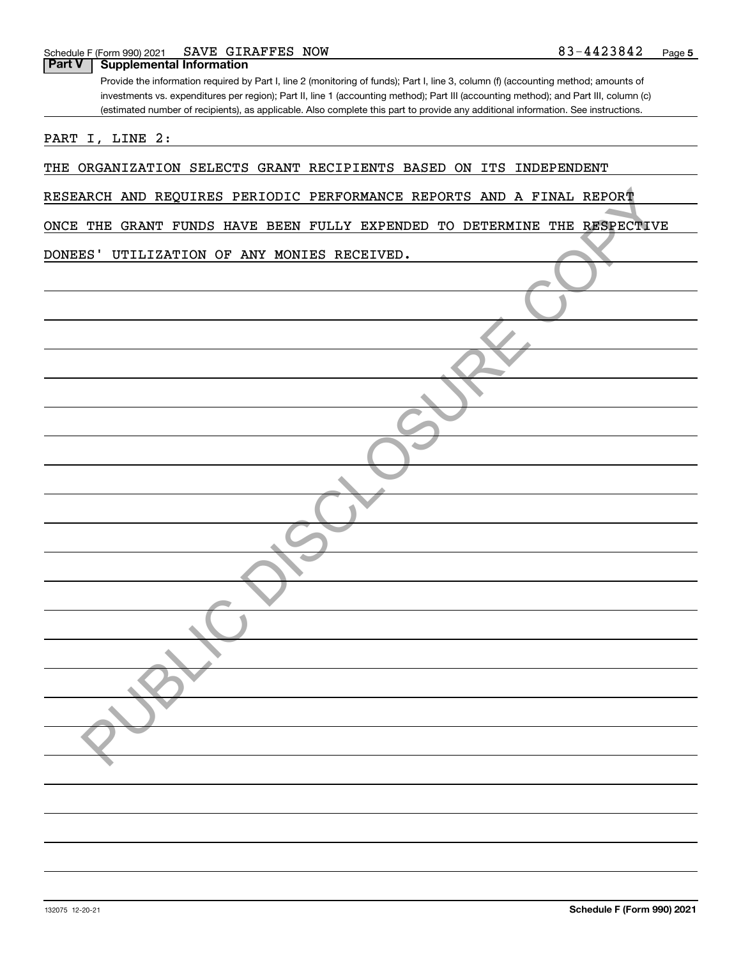| SAVE GIRAFFES NOW<br>Schedule F (Form 990) 2021                                                                                       | 83-4423842  | Page 5 |
|---------------------------------------------------------------------------------------------------------------------------------------|-------------|--------|
| <b>Part V</b><br><b>Supplemental Information</b>                                                                                      |             |        |
| Provide the information required by Part I, line 2 (monitoring of funds); Part I, line 3, column (f) (accounting method; amounts of   |             |        |
| investments vs. expenditures per region); Part II, line 1 (accounting method); Part III (accounting method); and Part III, column (c) |             |        |
| (estimated number of recipients), as applicable. Also complete this part to provide any additional information. See instructions.     |             |        |
|                                                                                                                                       |             |        |
| PART I, LINE 2:                                                                                                                       |             |        |
| THE ORGANIZATION SELECTS GRANT RECIPIENTS BASED ON ITS                                                                                | INDEPENDENT |        |
|                                                                                                                                       |             |        |
| RESEARCH AND REQUIRES PERIODIC PERFORMANCE REPORTS AND A FINAL REPORT                                                                 |             |        |
|                                                                                                                                       |             |        |
| ONCE THE GRANT FUNDS HAVE BEEN FULLY EXPENDED TO DETERMINE THE RESPECTIVE                                                             |             |        |
|                                                                                                                                       |             |        |
| DONEES'<br>UTILIZATION OF ANY MONIES RECEIVED.                                                                                        |             |        |
|                                                                                                                                       |             |        |
|                                                                                                                                       |             |        |
|                                                                                                                                       |             |        |
|                                                                                                                                       |             |        |
|                                                                                                                                       |             |        |
|                                                                                                                                       |             |        |
|                                                                                                                                       |             |        |
|                                                                                                                                       |             |        |
|                                                                                                                                       |             |        |
|                                                                                                                                       |             |        |
|                                                                                                                                       |             |        |
|                                                                                                                                       |             |        |
|                                                                                                                                       |             |        |
|                                                                                                                                       |             |        |
|                                                                                                                                       |             |        |
|                                                                                                                                       |             |        |
|                                                                                                                                       |             |        |
|                                                                                                                                       |             |        |
|                                                                                                                                       |             |        |
|                                                                                                                                       |             |        |
|                                                                                                                                       |             |        |
|                                                                                                                                       |             |        |
|                                                                                                                                       |             |        |
|                                                                                                                                       |             |        |
|                                                                                                                                       |             |        |
|                                                                                                                                       |             |        |
|                                                                                                                                       |             |        |
|                                                                                                                                       |             |        |
|                                                                                                                                       |             |        |
|                                                                                                                                       |             |        |
|                                                                                                                                       |             |        |
|                                                                                                                                       |             |        |
|                                                                                                                                       |             |        |
|                                                                                                                                       |             |        |
|                                                                                                                                       |             |        |
|                                                                                                                                       |             |        |
|                                                                                                                                       |             |        |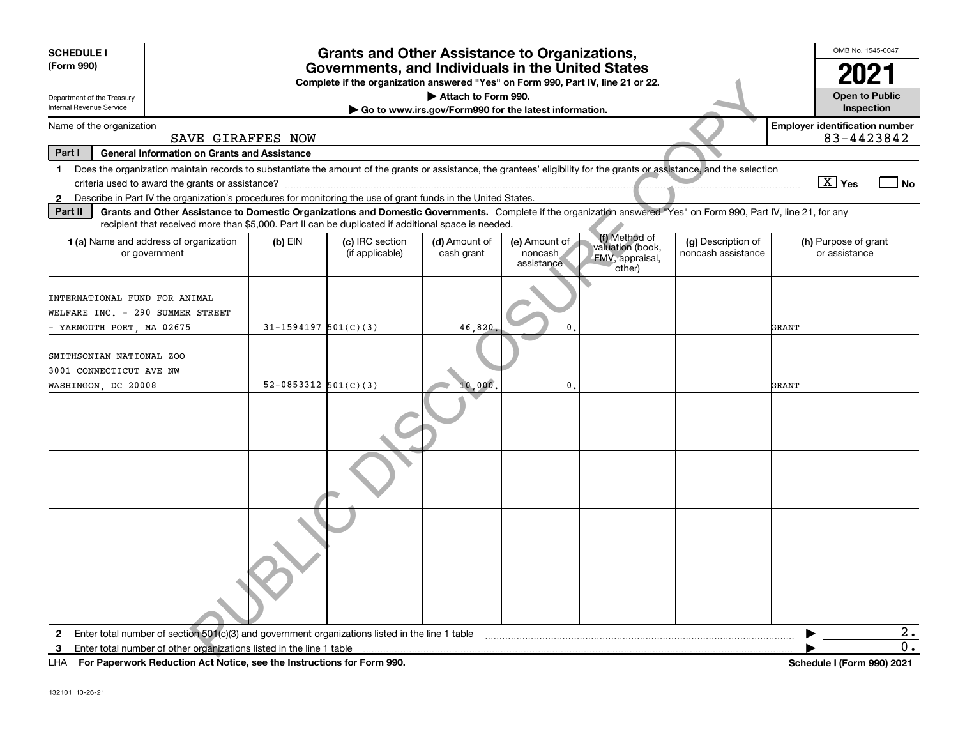| <b>SCHEDULE I</b><br>(Form 990)                                                                                                                                                                                                                                                                                |                          | <b>Grants and Other Assistance to Organizations,</b><br>Governments, and Individuals in the United States<br>Complete if the organization answered "Yes" on Form 990, Part IV, line 21 or 22. |                             |                                                       |                                                                |                                          | OMB No. 1545-0047<br>2021             |
|----------------------------------------------------------------------------------------------------------------------------------------------------------------------------------------------------------------------------------------------------------------------------------------------------------------|--------------------------|-----------------------------------------------------------------------------------------------------------------------------------------------------------------------------------------------|-----------------------------|-------------------------------------------------------|----------------------------------------------------------------|------------------------------------------|---------------------------------------|
| Department of the Treasury<br>Internal Revenue Service                                                                                                                                                                                                                                                         |                          |                                                                                                                                                                                               | Attach to Form 990.         |                                                       |                                                                |                                          | <b>Open to Public</b><br>Inspection   |
| Name of the organization                                                                                                                                                                                                                                                                                       |                          |                                                                                                                                                                                               |                             | Go to www.irs.gov/Form990 for the latest information. |                                                                |                                          | <b>Employer identification number</b> |
| SAVE GIRAFFES NOW                                                                                                                                                                                                                                                                                              |                          |                                                                                                                                                                                               |                             |                                                       |                                                                |                                          | 83-4423842                            |
| Part I<br><b>General Information on Grants and Assistance</b>                                                                                                                                                                                                                                                  |                          |                                                                                                                                                                                               |                             |                                                       |                                                                |                                          |                                       |
| Does the organization maintain records to substantiate the amount of the grants or assistance, the grantees' eligibility for the grants or assistance, and the selection<br>1<br>Describe in Part IV the organization's procedures for monitoring the use of grant funds in the United States.<br>$\mathbf{2}$ |                          |                                                                                                                                                                                               |                             |                                                       |                                                                |                                          | $\boxed{\text{X}}$ Yes<br>$ $ No      |
| Grants and Other Assistance to Domestic Organizations and Domestic Governments. Complete if the organization answered "Yes" on Form 990, Part IV, line 21, for any<br>Part II<br>recipient that received more than \$5,000. Part II can be duplicated if additional space is needed.                           |                          |                                                                                                                                                                                               |                             |                                                       |                                                                |                                          |                                       |
| 1 (a) Name and address of organization<br>or government                                                                                                                                                                                                                                                        | $(b)$ EIN                | (c) IRC section<br>(if applicable)                                                                                                                                                            | (d) Amount of<br>cash grant | (e) Amount of<br>noncash<br>assistance                | (f) Method of<br>valuation (book,<br>FMV, appraisal,<br>other) | (g) Description of<br>noncash assistance | (h) Purpose of grant<br>or assistance |
| INTERNATIONAL FUND FOR ANIMAL<br>WELFARE INC. - 290 SUMMER STREET<br>- YARMOUTH PORT, MA 02675                                                                                                                                                                                                                 | $31 - 1594197$ 501(C)(3) |                                                                                                                                                                                               | 46,820                      | 0                                                     |                                                                |                                          | GRANT                                 |
| SMITHSONIAN NATIONAL ZOO<br>3001 CONNECTICUT AVE NW<br>WASHINGON, DC 20008                                                                                                                                                                                                                                     | 52-0853312 $501(C)(3)$   |                                                                                                                                                                                               | 10,000                      | $\mathbf{0}$                                          |                                                                |                                          | GRANT                                 |
|                                                                                                                                                                                                                                                                                                                |                          |                                                                                                                                                                                               |                             |                                                       |                                                                |                                          |                                       |
|                                                                                                                                                                                                                                                                                                                |                          |                                                                                                                                                                                               |                             |                                                       |                                                                |                                          |                                       |
|                                                                                                                                                                                                                                                                                                                |                          |                                                                                                                                                                                               |                             |                                                       |                                                                |                                          |                                       |
|                                                                                                                                                                                                                                                                                                                |                          |                                                                                                                                                                                               |                             |                                                       |                                                                |                                          |                                       |
| Enter total number of section 501(c)(3) and government organizations listed in the line 1 table<br>2                                                                                                                                                                                                           |                          |                                                                                                                                                                                               |                             |                                                       |                                                                |                                          | 2.                                    |
| Enter total number of other organizations listed in the line 1 table<br>3<br>LHA For Paperwork Reduction Act Notice, see the Instructions for Form 990.                                                                                                                                                        |                          |                                                                                                                                                                                               |                             |                                                       |                                                                |                                          | 0.<br>Schedule I (Form 990) 2021      |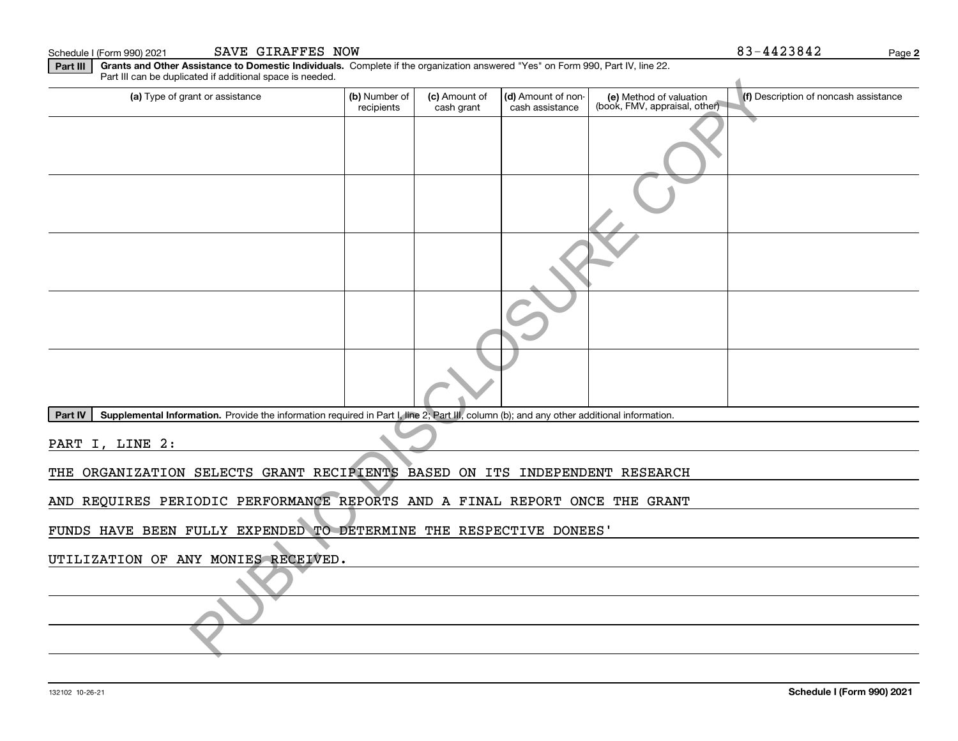| SAVE GIRAFFES NOW<br>Schedule I (Form 990) 2021                                                                                                                                                          |                             |                             |                                       |                                                          | 83-4423842                            | Page 2 |
|----------------------------------------------------------------------------------------------------------------------------------------------------------------------------------------------------------|-----------------------------|-----------------------------|---------------------------------------|----------------------------------------------------------|---------------------------------------|--------|
| Grants and Other Assistance to Domestic Individuals. Complete if the organization answered "Yes" on Form 990, Part IV, line 22.<br>Part III<br>Part III can be duplicated if additional space is needed. |                             |                             |                                       |                                                          |                                       |        |
| (a) Type of grant or assistance                                                                                                                                                                          | (b) Number of<br>recipients | (c) Amount of<br>cash grant | (d) Amount of non-<br>cash assistance | (e) Method of valuation<br>(book, FMV, appraisal, other) | (f) Description of noncash assistance |        |
|                                                                                                                                                                                                          |                             |                             |                                       |                                                          |                                       |        |
|                                                                                                                                                                                                          |                             |                             |                                       |                                                          |                                       |        |
|                                                                                                                                                                                                          |                             |                             |                                       |                                                          |                                       |        |
|                                                                                                                                                                                                          |                             |                             |                                       |                                                          |                                       |        |
|                                                                                                                                                                                                          |                             |                             |                                       |                                                          |                                       |        |
| Supplemental Information. Provide the information required in Part I, line 2; Part III, column (b); and any other additional information.<br>Part IV                                                     |                             |                             |                                       |                                                          |                                       |        |
| PART I, LINE 2:                                                                                                                                                                                          |                             |                             |                                       |                                                          |                                       |        |
| THE ORGANIZATION SELECTS GRANT RECIPIENTS BASED ON ITS INDEPENDENT RESEARCH                                                                                                                              |                             |                             |                                       |                                                          |                                       |        |
| AND REQUIRES PERIODIC PERFORMANCE REPORTS AND A FINAL REPORT ONCE THE GRANT                                                                                                                              |                             |                             |                                       |                                                          |                                       |        |
| FUNDS HAVE BEEN FULLY EXPENDED TO DETERMINE THE RESPECTIVE DONEES'                                                                                                                                       |                             |                             |                                       |                                                          |                                       |        |
| UTILIZATION OF ANY MONIES RECEIVED.                                                                                                                                                                      |                             |                             |                                       |                                                          |                                       |        |
|                                                                                                                                                                                                          |                             |                             |                                       |                                                          |                                       |        |
|                                                                                                                                                                                                          |                             |                             |                                       |                                                          |                                       |        |
|                                                                                                                                                                                                          |                             |                             |                                       |                                                          |                                       |        |
|                                                                                                                                                                                                          |                             |                             |                                       |                                                          |                                       |        |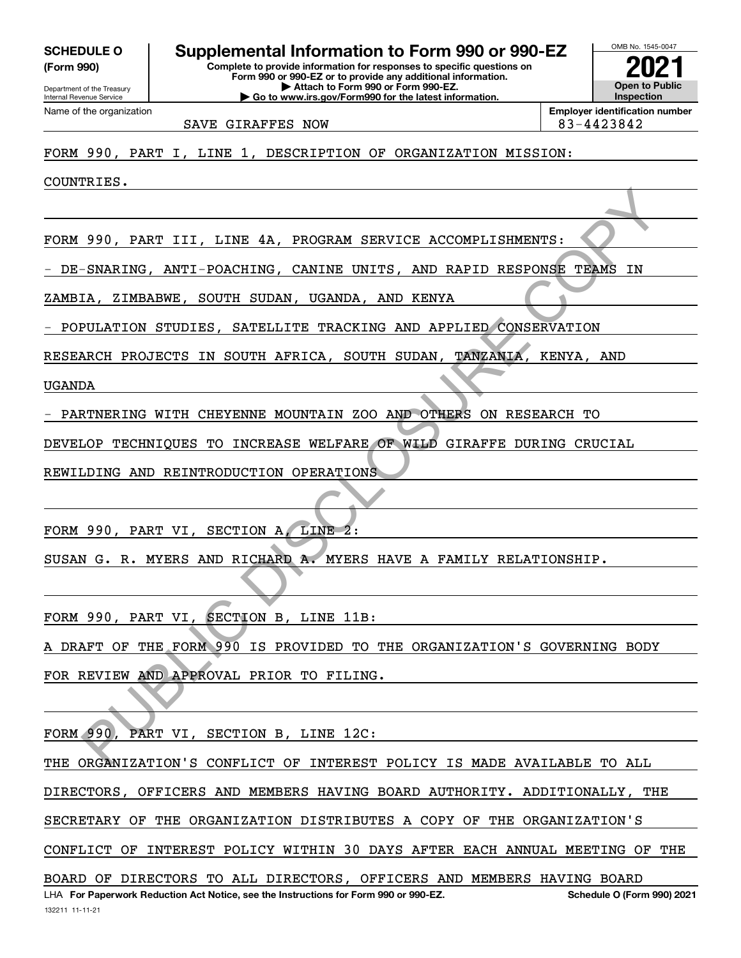**(Form 990)**

### **Complete to provide information for responses to specific questions on Form 990 or 990-EZ or to provide any additional information. SCHEDULE O Supplemental Information to Form 990 or 990-EZ**

**| Attach to Form 990 or Form 990-EZ. | Go to www.irs.gov/Form990 for the latest information.**

**Employer identification number** SAVE GIRAFFES NOW 83-4423842

OMB No. 1545-0047

**Open to Public Inspection**

**2021**

FORM 990, PART I, LINE 1, DESCRIPTION OF ORGANIZATION MISSION:

COUNTRIES.

FORM 990, PART III, LINE 4A, PROGRAM SERVICE ACCOMPLISHMENTS:

- DE-SNARING, ANTI-POACHING, CANINE UNITS, AND RAPID RESPONSE TEAMS IN

ZAMBIA, ZIMBABWE, SOUTH SUDAN, UGANDA, AND KENYA

- POPULATION STUDIES, SATELLITE TRACKING AND APPLIED CONSERVATION

RESEARCH PROJECTS IN SOUTH AFRICA, SOUTH SUDAN, TANZANIA, KENYA, AND

UGANDA

- PARTNERING WITH CHEYENNE MOUNTAIN ZOO AND OTHERS ON RESEARCH TO

DEVELOP TECHNIQUES TO INCREASE WELFARE OF WILD GIRAFFE DURING CRUCIAL

REWILDING AND REINTRODUCTION OPERATIONS

FORM 990, PART VI, SECTION A, LINE 2

SUSAN G. R. MYERS AND RICHARD A. MYERS HAVE A FAMILY RELATIONSHIP.

FORM 990, PART VI, SECTION B, LINE 11B:

A DRAFT OF THE FORM 990 IS PROVIDED TO THE ORGANIZATION'S GOVERNING BODY 990, PART III, LINE 4A, PROGRAM SERVICE ACCOMPLISHMENTS;<br>
SNARING, ANTI-POACHING, CANINE UNITS, AND RAPID RESPONSE TEMMS IN<br>
TA, ZIMBAEWE, SOUTH SUDAN, UGANDA, AND KENYA<br>
PULATION STUDIES, SATELLITE TRACKING AND APPLIED CO

FOR REVIEW AND APPROVAL PRIOR TO FILING.

FORM 990, PART VI, SECTION B, LINE 12C:

THE ORGANIZATION'S CONFLICT OF INTEREST POLICY IS MADE AVAILABLE TO ALL

DIRECTORS, OFFICERS AND MEMBERS HAVING BOARD AUTHORITY. ADDITIONALLY, THE

SECRETARY OF THE ORGANIZATION DISTRIBUTES A COPY OF THE ORGANIZATION'S

CONFLICT OF INTEREST POLICY WITHIN 30 DAYS AFTER EACH ANNUAL MEETING OF THE